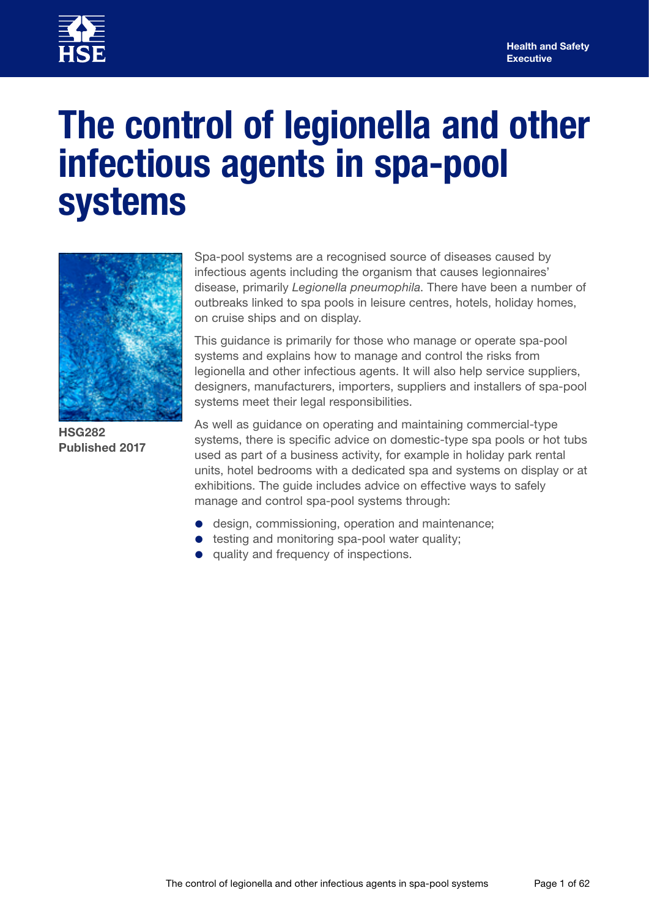

# **The control of legionella and other infectious agents in spa-pool systems**



**HSG282 Published 2017**

Spa-pool systems are a recognised source of diseases caused by infectious agents including the organism that causes legionnaires' disease, primarily *Legionella pneumophila*. There have been a number of outbreaks linked to spa pools in leisure centres, hotels, holiday homes, on cruise ships and on display.

This guidance is primarily for those who manage or operate spa-pool systems and explains how to manage and control the risks from legionella and other infectious agents. It will also help service suppliers, designers, manufacturers, importers, suppliers and installers of spa-pool systems meet their legal responsibilities.

As well as guidance on operating and maintaining commercial-type systems, there is specific advice on domestic-type spa pools or hot tubs used as part of a business activity, for example in holiday park rental units, hotel bedrooms with a dedicated spa and systems on display or at exhibitions. The guide includes advice on effective ways to safely manage and control spa-pool systems through:

- design, commissioning, operation and maintenance;
- testing and monitoring spa-pool water quality;
- quality and frequency of inspections.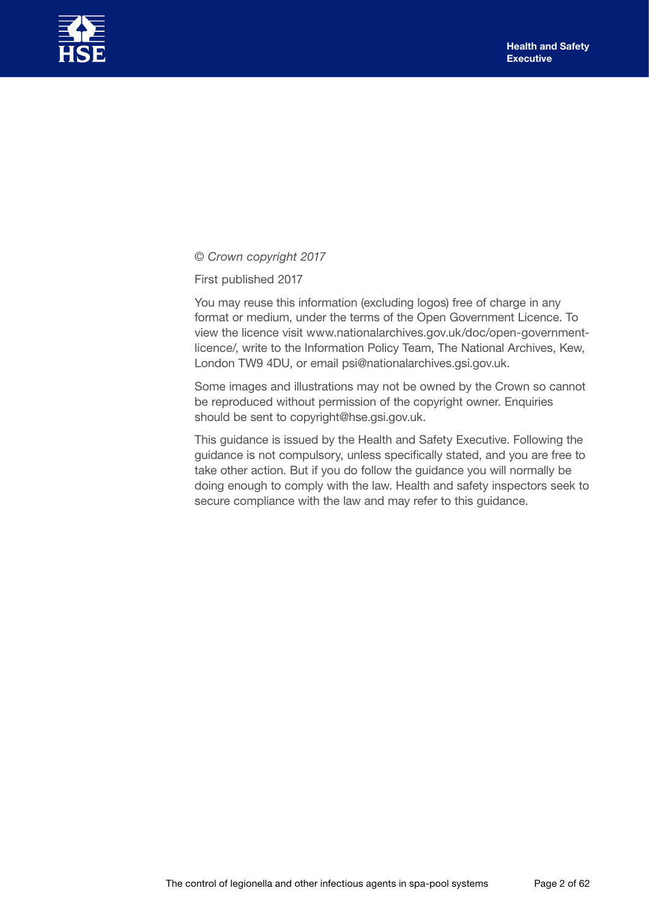

*© Crown copyright 2017*

First published 2017

You may reuse this information (excluding logos) free of charge in any format or medium, under the terms of the Open Government Licence. To view the licence visit [www.nationalarchives.gov.uk/doc/open-government](http://www.nationalarchives.gov.uk/doc/open-government-licence/)[licence/,](http://www.nationalarchives.gov.uk/doc/open-government-licence/) write to the Information Policy Team, The National Archives, Kew, London TW9 4DU, or email [psi@nationalarchives.gsi.gov.uk.](mailto:psi%40nationalarchives.gsi.gov.uk?subject=)

Some images and illustrations may not be owned by the Crown so cannot be reproduced without permission of the copyright owner. Enquiries should be sent to [copyright@hse.gsi.gov.uk.](mailto:copyright%40hse.gsi.gov.uk?subject=)

This guidance is issued by the Health and Safety Executive. Following the guidance is not compulsory, unless specifically stated, and you are free to take other action. But if you do follow the guidance you will normally be doing enough to comply with the law. Health and safety inspectors seek to secure compliance with the law and may refer to this guidance.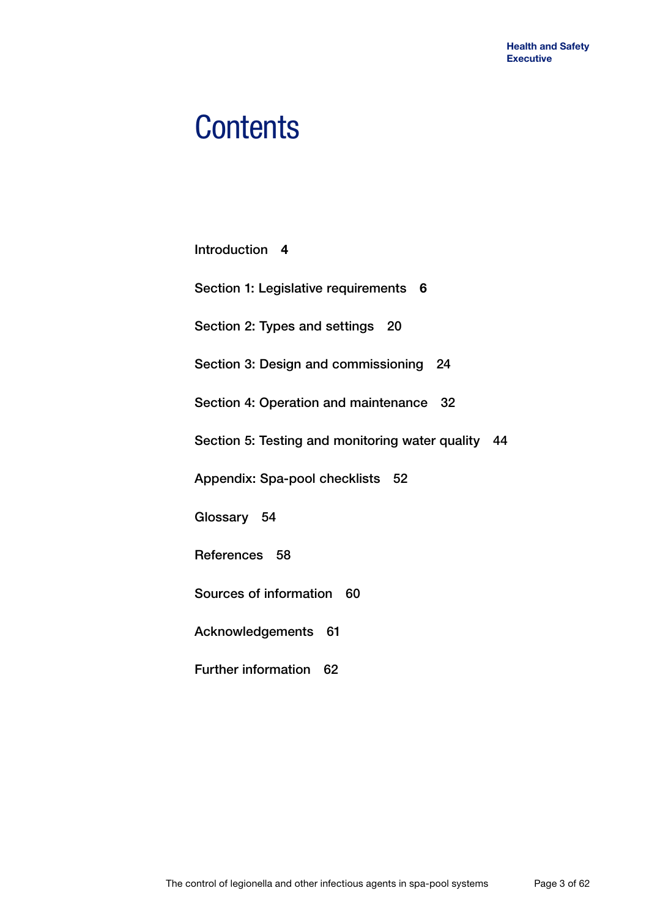# **Contents**

| Introduction 4                                         |
|--------------------------------------------------------|
| Section 1: Legislative requirements 6                  |
| Section 2: Types and settings 20                       |
| Section 3: Design and commissioning 24                 |
| Section 4: Operation and maintenance 32                |
| Section 5: Testing and monitoring water quality<br>-44 |
| Appendix: Spa-pool checklists 52                       |
| Glossary 54                                            |
| References 58                                          |
| Sources of information 60                              |
| Acknowledgements 61                                    |
| <b>Further information</b><br>62                       |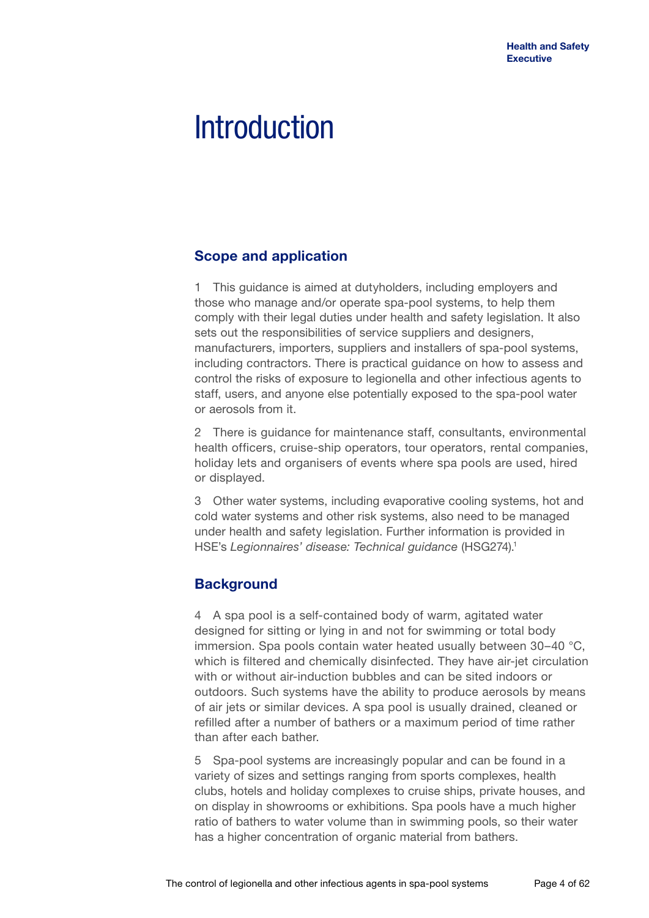# **Introduction**

## **Scope and application**

1 This guidance is aimed at dutyholders, including employers and those who manage and/or operate spa-pool systems, to help them comply with their legal duties under health and safety legislation. It also sets out the responsibilities of service suppliers and designers, manufacturers, importers, suppliers and installers of spa-pool systems, including contractors. There is practical guidance on how to assess and control the risks of exposure to legionella and other infectious agents to staff, users, and anyone else potentially exposed to the spa-pool water or aerosols from it.

2 There is guidance for maintenance staff, consultants, environmental health officers, cruise-ship operators, tour operators, rental companies, holiday lets and organisers of events where spa pools are used, hired or displayed.

3 Other water systems, including evaporative cooling systems, hot and cold water systems and other risk systems, also need to be managed under health and safety legislation. Further information is provided in HSE's *Legionnaires' disease: Technical guidance* (HSG274).1

## **Background**

4 A spa pool is a self-contained body of warm, agitated water designed for sitting or lying in and not for swimming or total body immersion. Spa pools contain water heated usually between 30–40 °C, which is filtered and chemically disinfected. They have air-jet circulation with or without air-induction bubbles and can be sited indoors or outdoors. Such systems have the ability to produce aerosols by means of air jets or similar devices. A spa pool is usually drained, cleaned or refilled after a number of bathers or a maximum period of time rather than after each bather.

5 Spa-pool systems are increasingly popular and can be found in a variety of sizes and settings ranging from sports complexes, health clubs, hotels and holiday complexes to cruise ships, private houses, and on display in showrooms or exhibitions. Spa pools have a much higher ratio of bathers to water volume than in swimming pools, so their water has a higher concentration of organic material from bathers.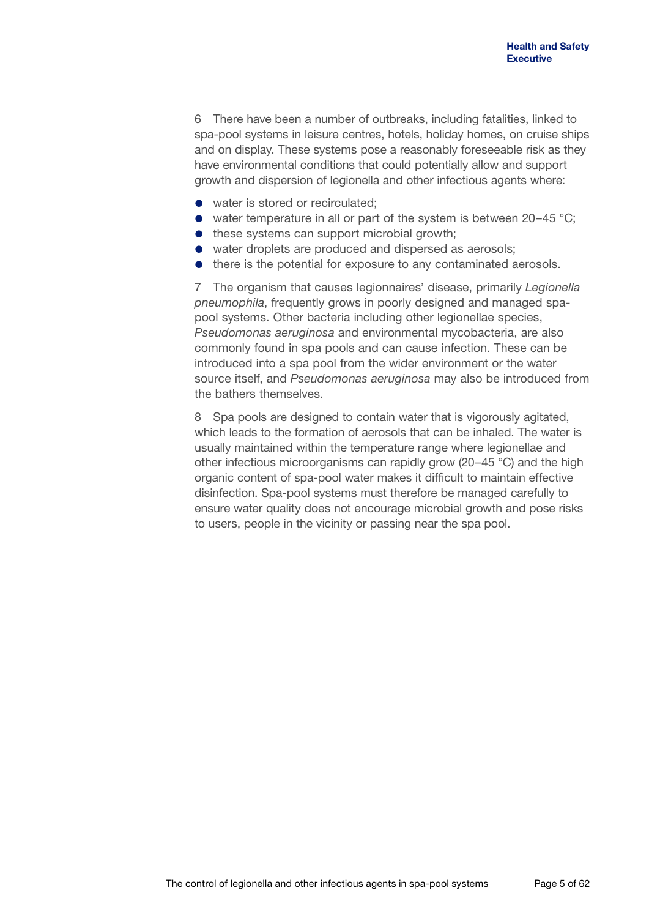6 There have been a number of outbreaks, including fatalities, linked to spa-pool systems in leisure centres, hotels, holiday homes, on cruise ships and on display. These systems pose a reasonably foreseeable risk as they have environmental conditions that could potentially allow and support growth and dispersion of legionella and other infectious agents where:

- water is stored or recirculated:
- water temperature in all or part of the system is between  $20-45$  °C;
- these systems can support microbial growth;
- water droplets are produced and dispersed as aerosols;
- there is the potential for exposure to any contaminated aerosols.

7 The organism that causes legionnaires' disease, primarily *Legionella pneumophila*, frequently grows in poorly designed and managed spapool systems. Other bacteria including other legionellae species, *Pseudomonas aeruginosa* and environmental mycobacteria, are also commonly found in spa pools and can cause infection. These can be introduced into a spa pool from the wider environment or the water source itself, and *Pseudomonas aeruginosa* may also be introduced from the bathers themselves.

8 Spa pools are designed to contain water that is vigorously agitated, which leads to the formation of aerosols that can be inhaled. The water is usually maintained within the temperature range where legionellae and other infectious microorganisms can rapidly grow (20–45 °C) and the high organic content of spa-pool water makes it difficult to maintain effective disinfection. Spa-pool systems must therefore be managed carefully to ensure water quality does not encourage microbial growth and pose risks to users, people in the vicinity or passing near the spa pool.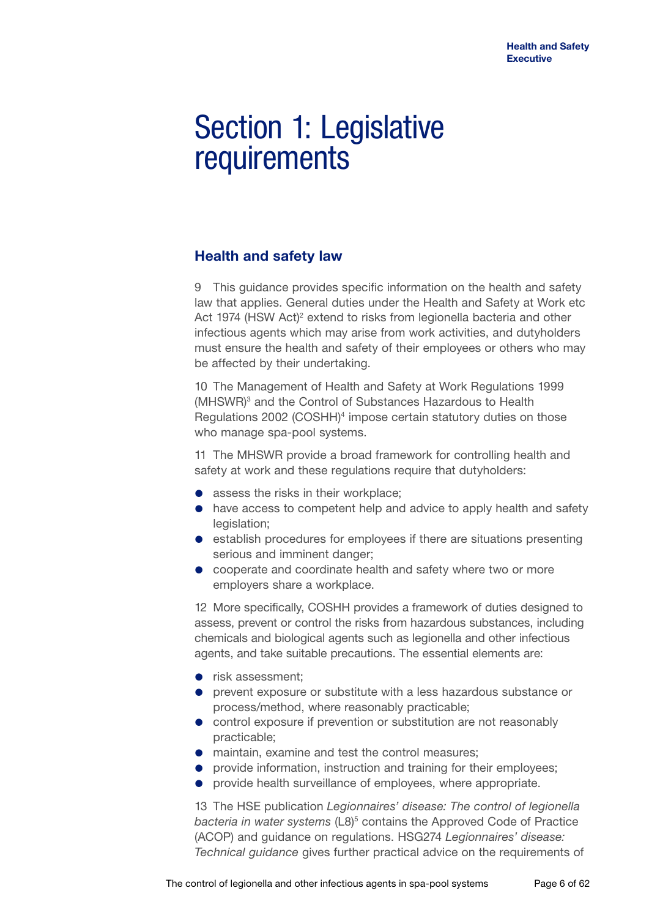## Section 1: Legislative requirements

## **Health and safety law**

9 This guidance provides specific information on the health and safety law that applies. General duties under the Health and Safety at Work etc Act 1974 (HSW Act)<sup>2</sup> extend to risks from legionella bacteria and other infectious agents which may arise from work activities, and dutyholders must ensure the health and safety of their employees or others who may be affected by their undertaking.

10 The Management of Health and Safety at Work Regulations 1999 (MHSWR)<sup>3</sup> and the Control of Substances Hazardous to Health Regulations 2002 (COSHH)<sup>4</sup> impose certain statutory duties on those who manage spa-pool systems.

11 The MHSWR provide a broad framework for controlling health and safety at work and these regulations require that dutyholders:

- assess the risks in their workplace;
- have access to competent help and advice to apply health and safety legislation;
- **e** establish procedures for employees if there are situations presenting serious and imminent danger;
- cooperate and coordinate health and safety where two or more employers share a workplace.

12 More specifically, COSHH provides a framework of duties designed to assess, prevent or control the risks from hazardous substances, including chemicals and biological agents such as legionella and other infectious agents, and take suitable precautions. The essential elements are:

- risk assessment:
- prevent exposure or substitute with a less hazardous substance or process/method, where reasonably practicable;
- control exposure if prevention or substitution are not reasonably practicable;
- maintain, examine and test the control measures;
- **provide information, instruction and training for their employees;**
- provide health surveillance of employees, where appropriate.

13 The HSE publication *Legionnaires' disease: The control of legionella*  bacteria in water systems (L8)<sup>5</sup> contains the Approved Code of Practice (ACOP) and guidance on regulations. HSG274 *Legionnaires' disease: Technical guidance* gives further practical advice on the requirements of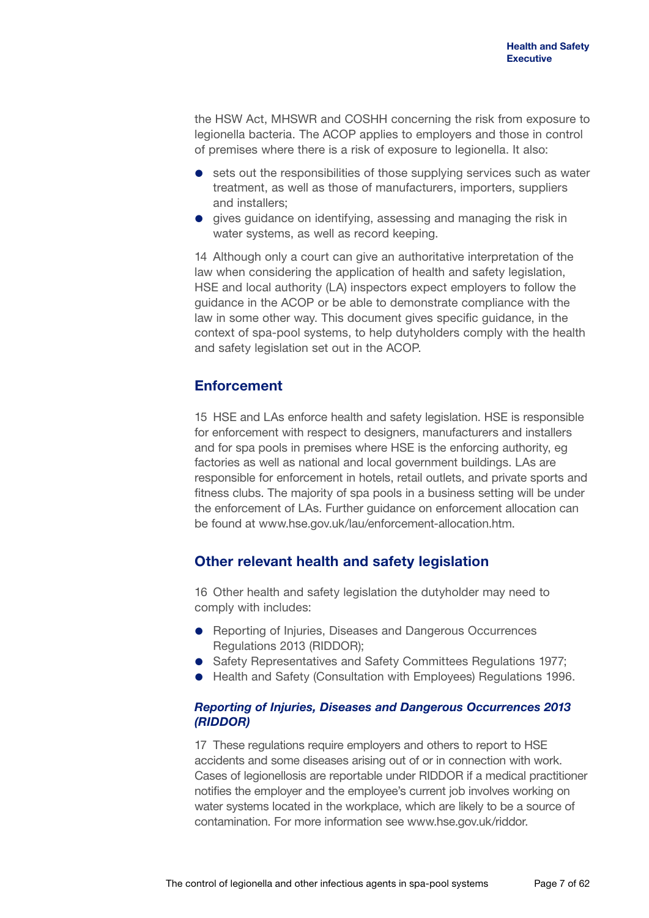the HSW Act, MHSWR and COSHH concerning the risk from exposure to legionella bacteria. The ACOP applies to employers and those in control of premises where there is a risk of exposure to legionella. It also:

- sets out the responsibilities of those supplying services such as water treatment, as well as those of manufacturers, importers, suppliers and installers;
- **e** gives guidance on identifying, assessing and managing the risk in water systems, as well as record keeping.

14 Although only a court can give an authoritative interpretation of the law when considering the application of health and safety legislation, HSE and local authority (LA) inspectors expect employers to follow the guidance in the ACOP or be able to demonstrate compliance with the law in some other way. This document gives specific guidance, in the context of spa-pool systems, to help dutyholders comply with the health and safety legislation set out in the ACOP.

## **Enforcement**

15 HSE and LAs enforce health and safety legislation. HSE is responsible for enforcement with respect to designers, manufacturers and installers and for spa pools in premises where HSE is the enforcing authority, eg factories as well as national and local government buildings. LAs are responsible for enforcement in hotels, retail outlets, and private sports and fitness clubs. The majority of spa pools in a business setting will be under the enforcement of LAs. Further guidance on enforcement allocation can be found at [www.hse.gov.uk/lau/enforcement-allocation.htm.](http://www.hse.gov.uk/lau/enforcement-allocation.htm)

## **Other relevant health and safety legislation**

16 Other health and safety legislation the dutyholder may need to comply with includes:

- **•** Reporting of Injuries, Diseases and Dangerous Occurrences Regulations 2013 (RIDDOR);
- Safety Representatives and Safety Committees Regulations 1977;
- Health and Safety (Consultation with Employees) Regulations 1996.

### *Reporting of Injuries, Diseases and Dangerous Occurrences 2013 (RIDDOR)*

17 These regulations require employers and others to report to HSE accidents and some diseases arising out of or in connection with work. Cases of legionellosis are reportable under RIDDOR if a medical practitioner notifies the employer and the employee's current job involves working on water systems located in the workplace, which are likely to be a source of contamination. For more information see [www.hse.gov.uk/riddor.](www.hse.gov.uk/riddor)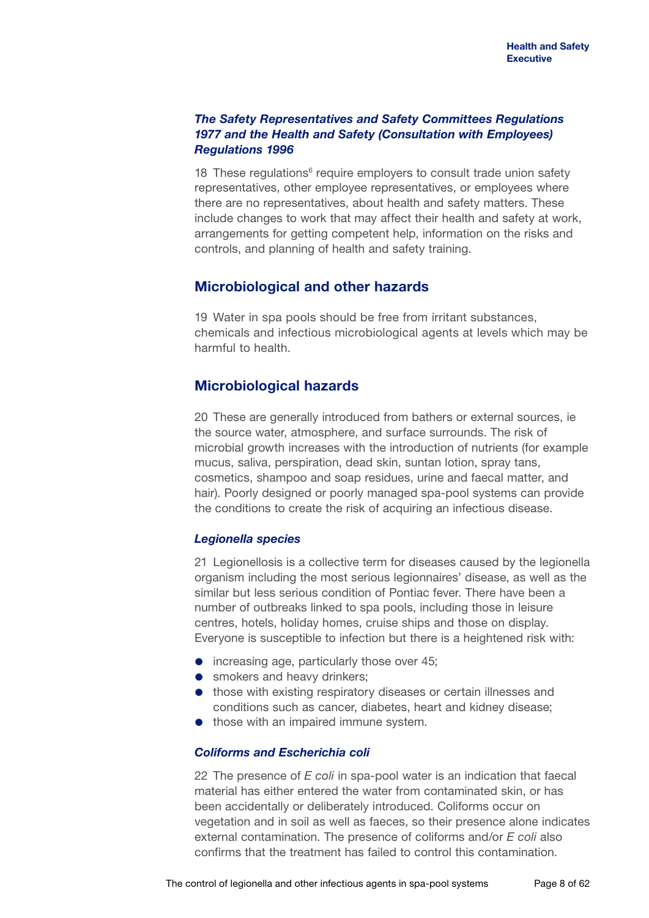### *The Safety Representatives and Safety Committees Regulations 1977 and the Health and Safety (Consultation with Employees) Regulations 1996*

18 These regulations<sup>6</sup> require employers to consult trade union safety representatives, other employee representatives, or employees where there are no representatives, about health and safety matters. These include changes to work that may affect their health and safety at work, arrangements for getting competent help, information on the risks and controls, and planning of health and safety training.

## **Microbiological and other hazards**

19 Water in spa pools should be free from irritant substances, chemicals and infectious microbiological agents at levels which may be harmful to health.

## **Microbiological hazards**

20 These are generally introduced from bathers or external sources, ie the source water, atmosphere, and surface surrounds. The risk of microbial growth increases with the introduction of nutrients (for example mucus, saliva, perspiration, dead skin, suntan lotion, spray tans, cosmetics, shampoo and soap residues, urine and faecal matter, and hair). Poorly designed or poorly managed spa-pool systems can provide the conditions to create the risk of acquiring an infectious disease.

## *Legionella species*

21 Legionellosis is a collective term for diseases caused by the legionella organism including the most serious legionnaires' disease, as well as the similar but less serious condition of Pontiac fever. There have been a number of outbreaks linked to spa pools, including those in leisure centres, hotels, holiday homes, cruise ships and those on display. Everyone is susceptible to infection but there is a heightened risk with:

- increasing age, particularly those over 45;
- smokers and heavy drinkers;
- those with existing respiratory diseases or certain illnesses and conditions such as cancer, diabetes, heart and kidney disease;
- those with an impaired immune system.

### *Coliforms and Escherichia coli*

22 The presence of *E coli* in spa-pool water is an indication that faecal material has either entered the water from contaminated skin, or has been accidentally or deliberately introduced. Coliforms occur on vegetation and in soil as well as faeces, so their presence alone indicates external contamination. The presence of coliforms and/or *E coli* also confirms that the treatment has failed to control this contamination.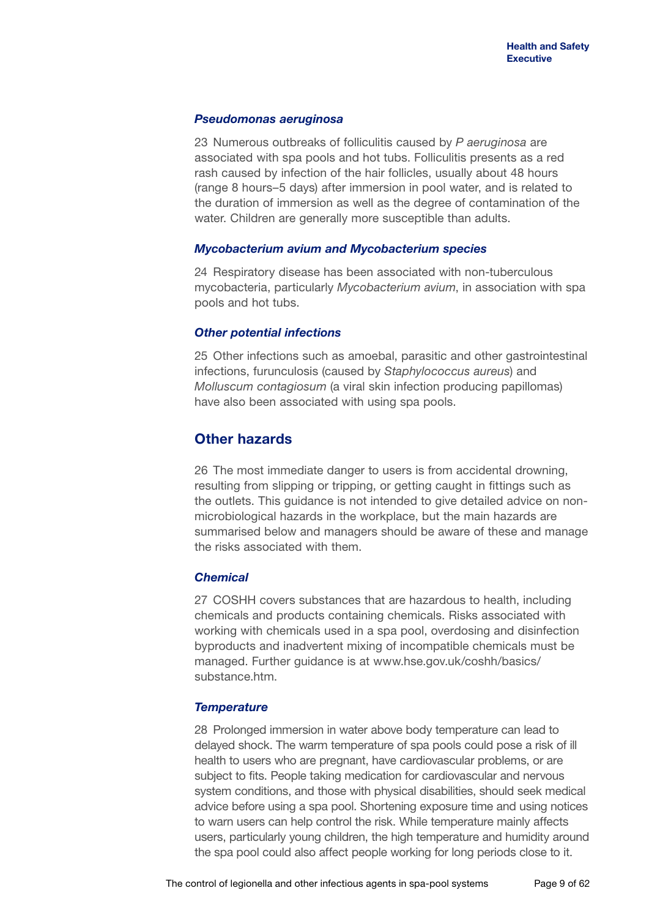### *Pseudomonas aeruginosa*

23 Numerous outbreaks of folliculitis caused by *P aeruginosa* are associated with spa pools and hot tubs. Folliculitis presents as a red rash caused by infection of the hair follicles, usually about 48 hours (range 8 hours–5 days) after immersion in pool water, and is related to the duration of immersion as well as the degree of contamination of the water. Children are generally more susceptible than adults.

#### *Mycobacterium avium and Mycobacterium species*

24 Respiratory disease has been associated with non-tuberculous mycobacteria, particularly *Mycobacterium avium*, in association with spa pools and hot tubs.

#### *Other potential infections*

25 Other infections such as amoebal, parasitic and other gastrointestinal infections, furunculosis (caused by *Staphylococcus aureus*) and *Molluscum contagiosum* (a viral skin infection producing papillomas) have also been associated with using spa pools.

## **Other hazards**

26 The most immediate danger to users is from accidental drowning, resulting from slipping or tripping, or getting caught in fittings such as the outlets. This guidance is not intended to give detailed advice on nonmicrobiological hazards in the workplace, but the main hazards are summarised below and managers should be aware of these and manage the risks associated with them.

### *Chemical*

27 COSHH covers substances that are hazardous to health, including chemicals and products containing chemicals. Risks associated with working with chemicals used in a spa pool, overdosing and disinfection byproducts and inadvertent mixing of incompatible chemicals must be managed. Further guidance is at [www.hse.gov.uk/coshh/basics/](www.hse.gov.uk/coshh/basics/substance.htm) [substance.htm](www.hse.gov.uk/coshh/basics/substance.htm).

#### *Temperature*

28 Prolonged immersion in water above body temperature can lead to delayed shock. The warm temperature of spa pools could pose a risk of ill health to users who are pregnant, have cardiovascular problems, or are subject to fits. People taking medication for cardiovascular and nervous system conditions, and those with physical disabilities, should seek medical advice before using a spa pool. Shortening exposure time and using notices to warn users can help control the risk. While temperature mainly affects users, particularly young children, the high temperature and humidity around the spa pool could also affect people working for long periods close to it.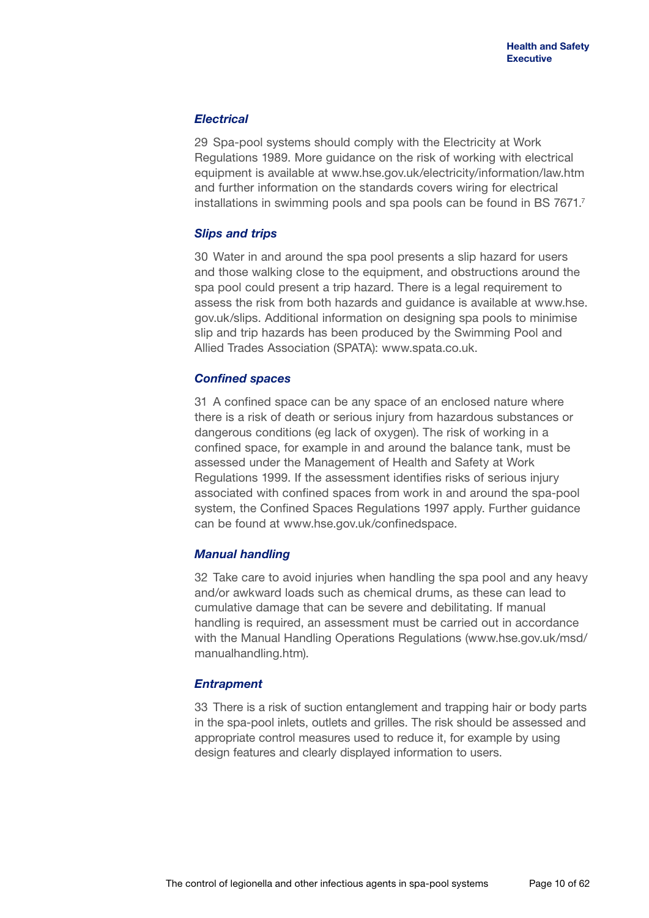### *Electrical*

29 Spa-pool systems should comply with the Electricity at Work Regulations 1989. More guidance on the risk of working with electrical equipment is available at<www.hse.gov.uk/electricity/information/law.htm> and further information on the standards covers wiring for electrical installations in swimming pools and spa pools can be found in BS 7671.<sup>7</sup>

### *Slips and trips*

30 Water in and around the spa pool presents a slip hazard for users and those walking close to the equipment, and obstructions around the spa pool could present a trip hazard. There is a legal requirement to assess the risk from both hazards and guidance is available at [www.hse.](http://www.hse.gov.uk/slips) [gov.uk/slips.](http://www.hse.gov.uk/slips) Additional information on designing spa pools to minimise slip and trip hazards has been produced by the Swimming Pool and Allied Trades Association (SPATA):<www.spata.co.uk>.

### *Confined spaces*

31 A confined space can be any space of an enclosed nature where there is a risk of death or serious injury from hazardous substances or dangerous conditions (eg lack of oxygen). The risk of working in a confined space, for example in and around the balance tank, must be assessed under the Management of Health and Safety at Work Regulations 1999. If the assessment identifies risks of serious injury associated with confined spaces from work in and around the spa-pool system, the Confined Spaces Regulations 1997 apply. Further guidance can be found at <www.hse.gov.uk/confinedspace>.

### *Manual handling*

32 Take care to avoid injuries when handling the spa pool and any heavy and/or awkward loads such as chemical drums, as these can lead to cumulative damage that can be severe and debilitating. If manual handling is required, an assessment must be carried out in accordance with the Manual Handling Operations Regulations ([www.hse.gov.uk/msd/](www.hse.gov.uk/msd/manualhandling.htm) [manualhandling.htm\)](www.hse.gov.uk/msd/manualhandling.htm).

### *Entrapment*

33 There is a risk of suction entanglement and trapping hair or body parts in the spa-pool inlets, outlets and grilles. The risk should be assessed and appropriate control measures used to reduce it, for example by using design features and clearly displayed information to users.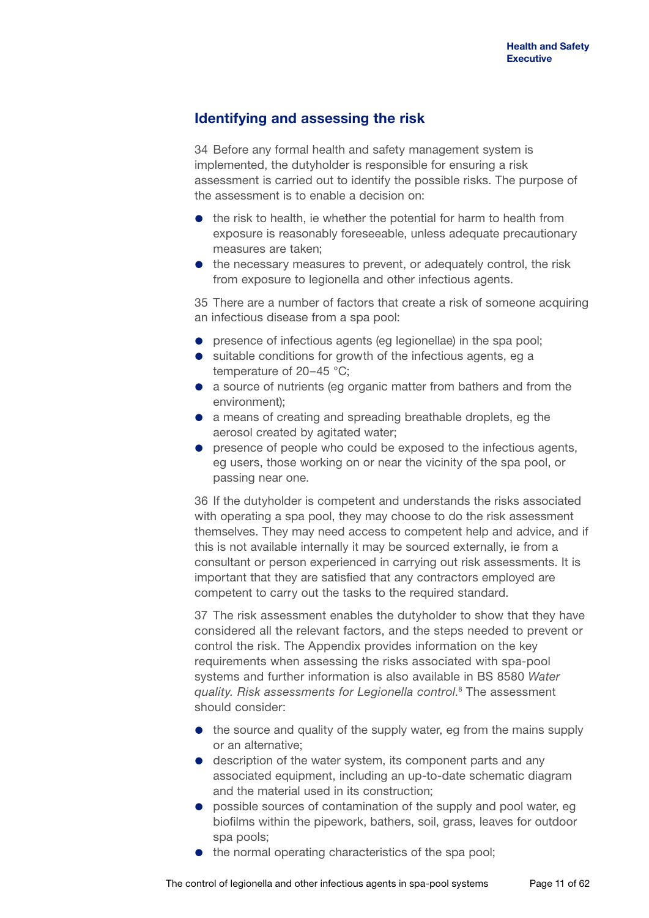## **Identifying and assessing the risk**

34 Before any formal health and safety management system is implemented, the dutyholder is responsible for ensuring a risk assessment is carried out to identify the possible risks. The purpose of the assessment is to enable a decision on:

- the risk to health, ie whether the potential for harm to health from exposure is reasonably foreseeable, unless adequate precautionary measures are taken;
- the necessary measures to prevent, or adequately control, the risk from exposure to legionella and other infectious agents.

35 There are a number of factors that create a risk of someone acquiring an infectious disease from a spa pool:

- **•** presence of infectious agents (eg legionellae) in the spa pool;
- suitable conditions for growth of the infectious agents, eg a temperature of 20–45 °C;
- a source of nutrients (eg organic matter from bathers and from the environment);
- a means of creating and spreading breathable droplets, eg the aerosol created by agitated water;
- **•** presence of people who could be exposed to the infectious agents, eg users, those working on or near the vicinity of the spa pool, or passing near one.

36 If the dutyholder is competent and understands the risks associated with operating a spa pool, they may choose to do the risk assessment themselves. They may need access to competent help and advice, and if this is not available internally it may be sourced externally, ie from a consultant or person experienced in carrying out risk assessments. It is important that they are satisfied that any contractors employed are competent to carry out the tasks to the required standard.

37 The risk assessment enables the dutyholder to show that they have considered all the relevant factors, and the steps needed to prevent or control the risk. The Appendix provides information on the key requirements when assessing the risks associated with spa-pool systems and further information is also available in BS 8580 *Water quality. Risk assessments for Legionella control*. 8 The assessment should consider:

- the source and quality of the supply water, eg from the mains supply or an alternative;
- description of the water system, its component parts and any associated equipment, including an up-to-date schematic diagram and the material used in its construction;
- **•** possible sources of contamination of the supply and pool water, eg biofilms within the pipework, bathers, soil, grass, leaves for outdoor spa pools;
- the normal operating characteristics of the spa pool;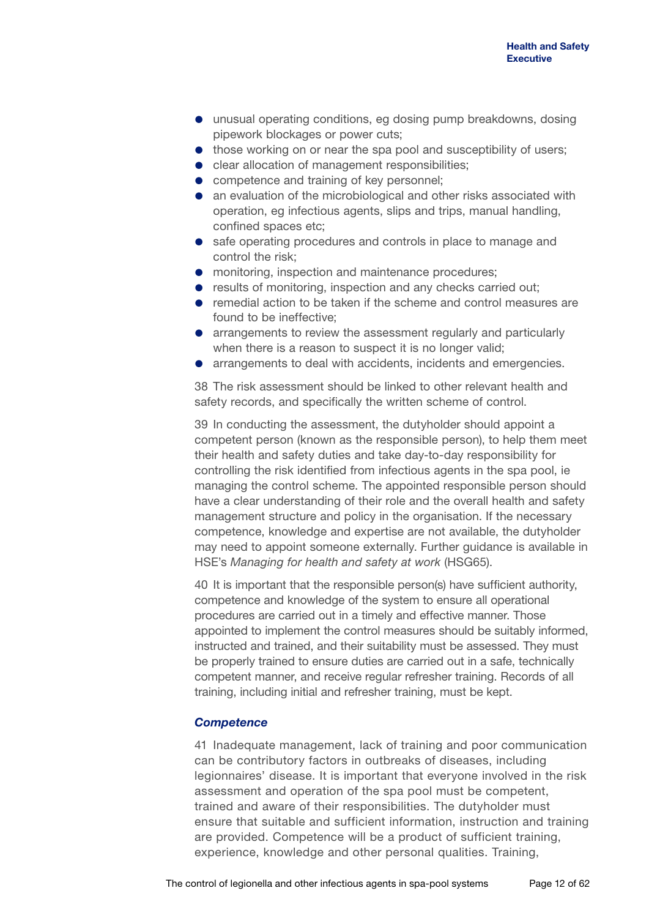- unusual operating conditions, eg dosing pump breakdowns, dosing pipework blockages or power cuts;
- those working on or near the spa pool and susceptibility of users;
- **•** clear allocation of management responsibilities;
- competence and training of key personnel;
- an evaluation of the microbiological and other risks associated with operation, eg infectious agents, slips and trips, manual handling, confined spaces etc;
- safe operating procedures and controls in place to manage and control the risk;
- **•** monitoring, inspection and maintenance procedures:
- **•** results of monitoring, inspection and any checks carried out:
- remedial action to be taken if the scheme and control measures are found to be ineffective;
- arrangements to review the assessment regularly and particularly when there is a reason to suspect it is no longer valid;
- arrangements to deal with accidents, incidents and emergencies.

38 The risk assessment should be linked to other relevant health and safety records, and specifically the written scheme of control.

39 In conducting the assessment, the dutyholder should appoint a competent person (known as the responsible person), to help them meet their health and safety duties and take day-to-day responsibility for controlling the risk identified from infectious agents in the spa pool, ie managing the control scheme. The appointed responsible person should have a clear understanding of their role and the overall health and safety management structure and policy in the organisation. If the necessary competence, knowledge and expertise are not available, the dutyholder may need to appoint someone externally. Further guidance is available in HSE's *Managing for health and safety at work* (HSG65).

40 It is important that the responsible person(s) have sufficient authority, competence and knowledge of the system to ensure all operational procedures are carried out in a timely and effective manner. Those appointed to implement the control measures should be suitably informed, instructed and trained, and their suitability must be assessed. They must be properly trained to ensure duties are carried out in a safe, technically competent manner, and receive regular refresher training. Records of all training, including initial and refresher training, must be kept.

### *Competence*

41 Inadequate management, lack of training and poor communication can be contributory factors in outbreaks of diseases, including legionnaires' disease. It is important that everyone involved in the risk assessment and operation of the spa pool must be competent, trained and aware of their responsibilities. The dutyholder must ensure that suitable and sufficient information, instruction and training are provided. Competence will be a product of sufficient training, experience, knowledge and other personal qualities. Training,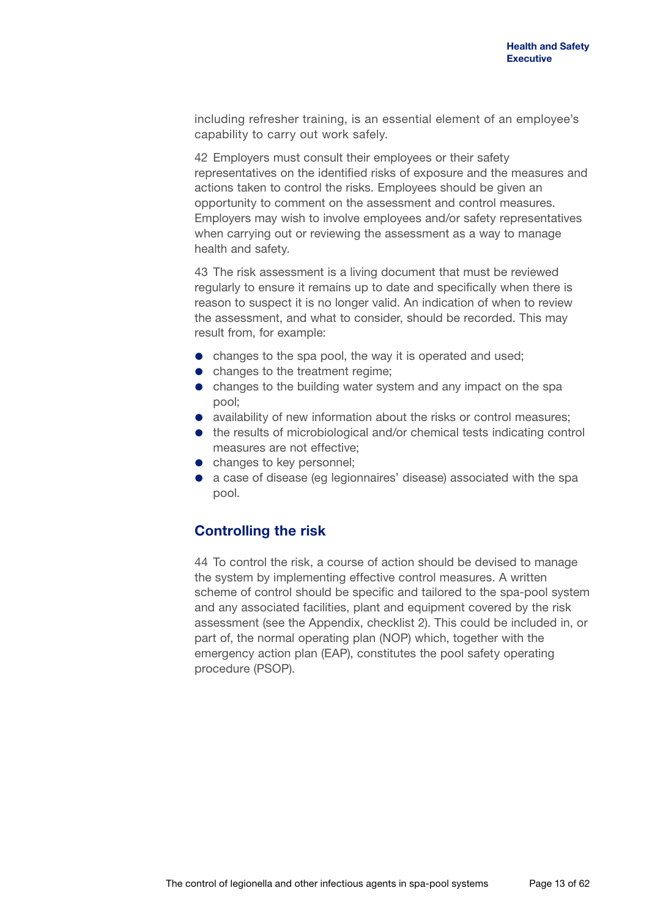including refresher training, is an essential element of an employee's capability to carry out work safely.

42 Employers must consult their employees or their safety representatives on the identified risks of exposure and the measures and actions taken to control the risks. Employees should be given an opportunity to comment on the assessment and control measures. Employers may wish to involve employees and/or safety representatives when carrying out or reviewing the assessment as a way to manage health and safety.

43 The risk assessment is a living document that must be reviewed regularly to ensure it remains up to date and specifically when there is reason to suspect it is no longer valid. An indication of when to review the assessment, and what to consider, should be recorded. This may result from, for example:

- changes to the spa pool, the way it is operated and used:
- changes to the treatment regime;
- changes to the building water system and any impact on the spa pool;
- availability of new information about the risks or control measures;
- the results of microbiological and/or chemical tests indicating control measures are not effective;
- changes to key personnel;
- a case of disease (eg legionnaires' disease) associated with the spa pool.

## **Controlling the risk**

44 To control the risk, a course of action should be devised to manage the system by implementing effective control measures. A written scheme of control should be specific and tailored to the spa-pool system and any associated facilities, plant and equipment covered by the risk assessment (see the Appendix, checklist 2). This could be included in, or part of, the normal operating plan (NOP) which, together with the emergency action plan (EAP), constitutes the pool safety operating procedure (PSOP).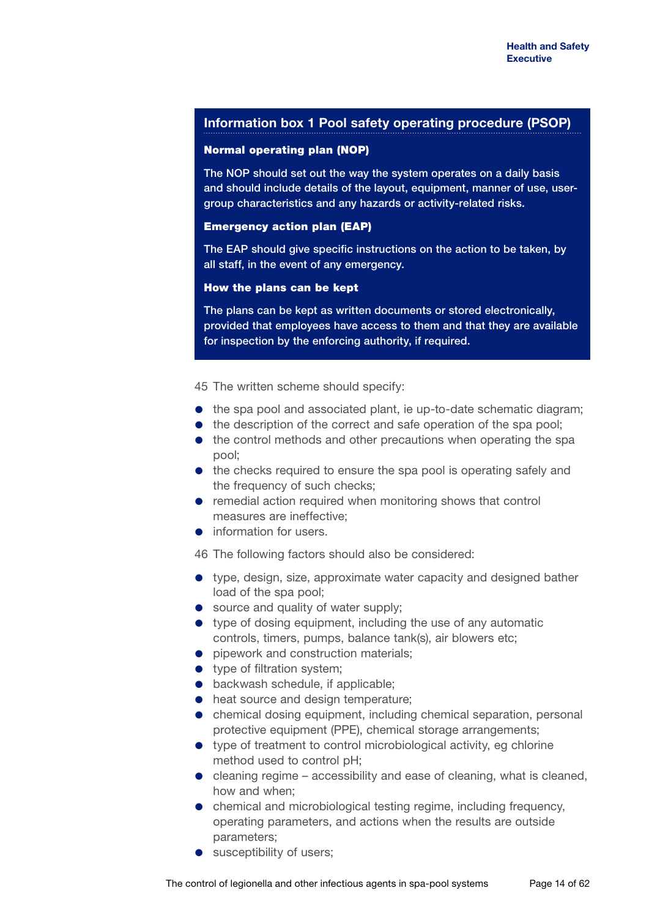### **Information box 1 Pool safety operating procedure (PSOP)**

### Normal operating plan (NOP)

The NOP should set out the way the system operates on a daily basis and should include details of the layout, equipment, manner of use, usergroup characteristics and any hazards or activity-related risks.

#### Emergency action plan (EAP)

The EAP should give specific instructions on the action to be taken, by all staff, in the event of any emergency.

#### How the plans can be kept

The plans can be kept as written documents or stored electronically, provided that employees have access to them and that they are available for inspection by the enforcing authority, if required.

45 The written scheme should specify:

- $\bullet$  the spa pool and associated plant, ie up-to-date schematic diagram;
- the description of the correct and safe operation of the spa pool:
- the control methods and other precautions when operating the spa pool;
- the checks required to ensure the spa pool is operating safely and the frequency of such checks;
- remedial action required when monitoring shows that control measures are ineffective;
- **•** information for users.

46 The following factors should also be considered:

- type, design, size, approximate water capacity and designed bather load of the spa pool;
- source and quality of water supply;
- type of dosing equipment, including the use of any automatic controls, timers, pumps, balance tank(s), air blowers etc;
- **•** pipework and construction materials;
- type of filtration system:
- **•** backwash schedule, if applicable;
- $\bullet$  heat source and design temperature;
- chemical dosing equipment, including chemical separation, personal protective equipment (PPE), chemical storage arrangements;
- type of treatment to control microbiological activity, eg chlorine method used to control pH;
- $\bullet$  cleaning regime accessibility and ease of cleaning, what is cleaned, how and when;
- chemical and microbiological testing regime, including frequency, operating parameters, and actions when the results are outside parameters;
- susceptibility of users;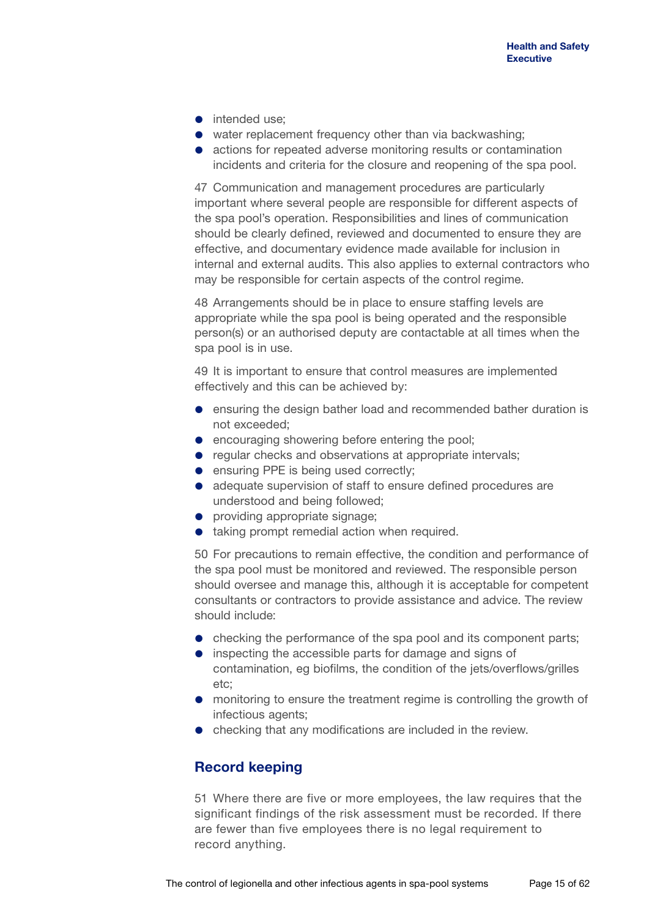- intended use:
- water replacement frequency other than via backwashing;
- actions for repeated adverse monitoring results or contamination incidents and criteria for the closure and reopening of the spa pool.

47 Communication and management procedures are particularly important where several people are responsible for different aspects of the spa pool's operation. Responsibilities and lines of communication should be clearly defined, reviewed and documented to ensure they are effective, and documentary evidence made available for inclusion in internal and external audits. This also applies to external contractors who may be responsible for certain aspects of the control regime.

48 Arrangements should be in place to ensure staffing levels are appropriate while the spa pool is being operated and the responsible person(s) or an authorised deputy are contactable at all times when the spa pool is in use.

49 It is important to ensure that control measures are implemented effectively and this can be achieved by:

- ensuring the design bather load and recommended bather duration is not exceeded;
- **e** encouraging showering before entering the pool;
- regular checks and observations at appropriate intervals;
- **e** ensuring PPE is being used correctly;
- adequate supervision of staff to ensure defined procedures are understood and being followed;
- **•** providing appropriate signage;
- taking prompt remedial action when required.

50 For precautions to remain effective, the condition and performance of the spa pool must be monitored and reviewed. The responsible person should oversee and manage this, although it is acceptable for competent consultants or contractors to provide assistance and advice. The review should include:

- checking the performance of the spa pool and its component parts;
- inspecting the accessible parts for damage and signs of contamination, eg biofilms, the condition of the jets/overflows/grilles etc;
- monitoring to ensure the treatment regime is controlling the growth of infectious agents;
- checking that any modifications are included in the review.

## **Record keeping**

51 Where there are five or more employees, the law requires that the significant findings of the risk assessment must be recorded. If there are fewer than five employees there is no legal requirement to record anything.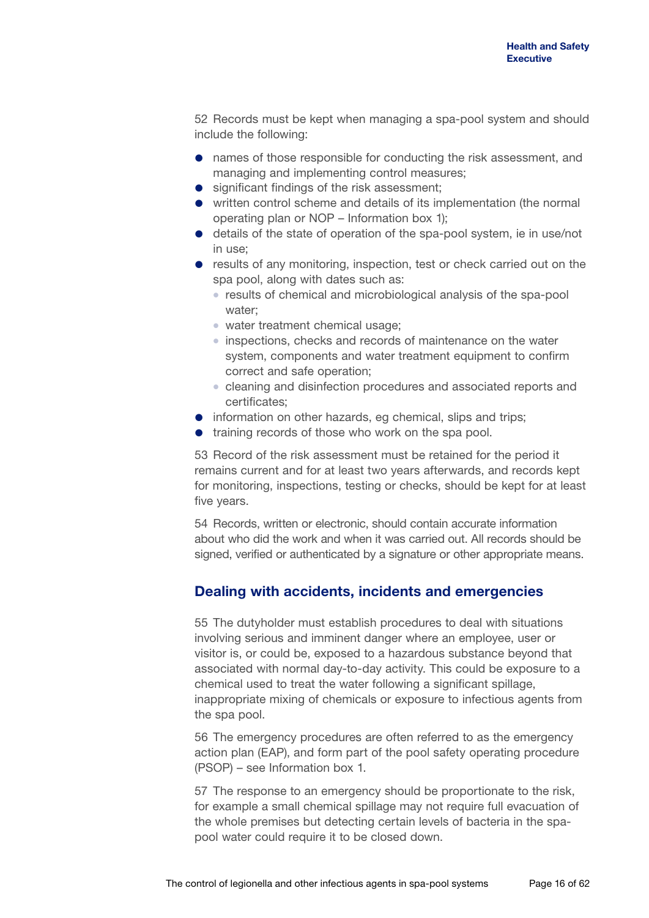52 Records must be kept when managing a spa-pool system and should include the following:

- names of those responsible for conducting the risk assessment, and managing and implementing control measures;
- significant findings of the risk assessment;
- written control scheme and details of its implementation (the normal operating plan or NOP – Information box 1);
- details of the state of operation of the spa-pool system, ie in use/not in use;
- **•** results of any monitoring, inspection, test or check carried out on the spa pool, along with dates such as:
	- results of chemical and microbiological analysis of the spa-pool water;
	- water treatment chemical usage;
	- inspections, checks and records of maintenance on the water system, components and water treatment equipment to confirm correct and safe operation;
	- cleaning and disinfection procedures and associated reports and certificates;
- information on other hazards, eg chemical, slips and trips;
- **•** training records of those who work on the spa pool.

53 Record of the risk assessment must be retained for the period it remains current and for at least two years afterwards, and records kept for monitoring, inspections, testing or checks, should be kept for at least five years.

54 Records, written or electronic, should contain accurate information about who did the work and when it was carried out. All records should be signed, verified or authenticated by a signature or other appropriate means.

## **Dealing with accidents, incidents and emergencies**

55 The dutyholder must establish procedures to deal with situations involving serious and imminent danger where an employee, user or visitor is, or could be, exposed to a hazardous substance beyond that associated with normal day-to-day activity. This could be exposure to a chemical used to treat the water following a significant spillage, inappropriate mixing of chemicals or exposure to infectious agents from the spa pool.

56 The emergency procedures are often referred to as the emergency action plan (EAP), and form part of the pool safety operating procedure (PSOP) – see Information box 1.

57 The response to an emergency should be proportionate to the risk, for example a small chemical spillage may not require full evacuation of the whole premises but detecting certain levels of bacteria in the spapool water could require it to be closed down.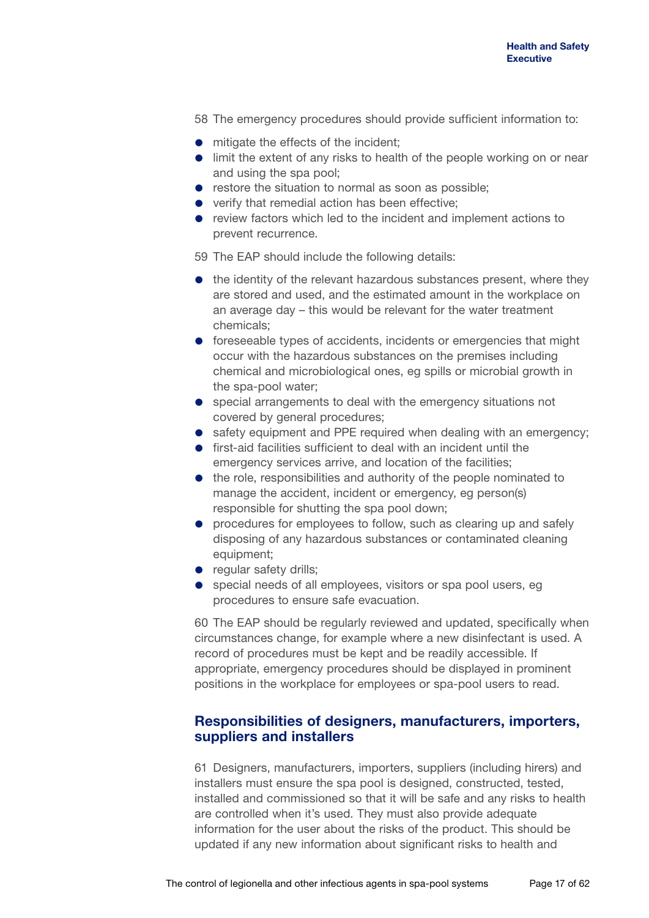58 The emergency procedures should provide sufficient information to:

- $\bullet$  mitigate the effects of the incident;
- **.** limit the extent of any risks to health of the people working on or near and using the spa pool;
- **•** restore the situation to normal as soon as possible;
- verify that remedial action has been effective;
- review factors which led to the incident and implement actions to prevent recurrence.

59 The EAP should include the following details:

- the identity of the relevant hazardous substances present, where they are stored and used, and the estimated amount in the workplace on an average day – this would be relevant for the water treatment chemicals;
- **•** foreseeable types of accidents, incidents or emergencies that might occur with the hazardous substances on the premises including chemical and microbiological ones, eg spills or microbial growth in the spa-pool water;
- special arrangements to deal with the emergency situations not covered by general procedures;
- safety equipment and PPE required when dealing with an emergency;
- **•** first-aid facilities sufficient to deal with an incident until the emergency services arrive, and location of the facilities;
- the role, responsibilities and authority of the people nominated to manage the accident, incident or emergency, eg person(s) responsible for shutting the spa pool down;
- **•** procedures for employees to follow, such as clearing up and safely disposing of any hazardous substances or contaminated cleaning equipment;
- **•** regular safety drills;
- **•** special needs of all employees, visitors or spa pool users, eg procedures to ensure safe evacuation.

60 The EAP should be regularly reviewed and updated, specifically when circumstances change, for example where a new disinfectant is used. A record of procedures must be kept and be readily accessible. If appropriate, emergency procedures should be displayed in prominent positions in the workplace for employees or spa-pool users to read.

## **Responsibilities of designers, manufacturers, importers, suppliers and installers**

61 Designers, manufacturers, importers, suppliers (including hirers) and installers must ensure the spa pool is designed, constructed, tested, installed and commissioned so that it will be safe and any risks to health are controlled when it's used. They must also provide adequate information for the user about the risks of the product. This should be updated if any new information about significant risks to health and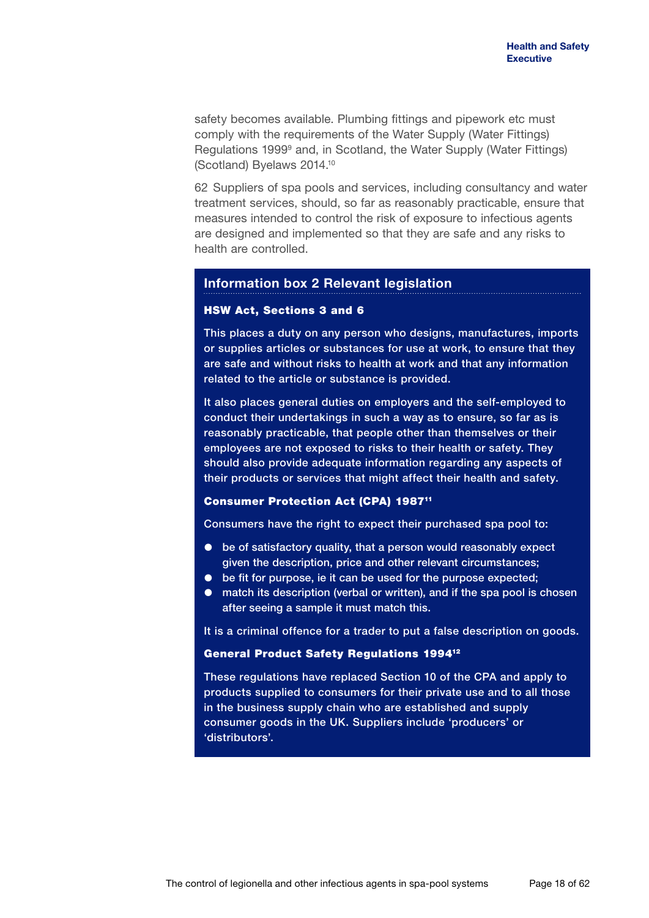safety becomes available. Plumbing fittings and pipework etc must comply with the requirements of the Water Supply (Water Fittings) Regulations 1999<sup>9</sup> and, in Scotland, the Water Supply (Water Fittings) (Scotland) Byelaws 2014.10

62 Suppliers of spa pools and services, including consultancy and water treatment services, should, so far as reasonably practicable, ensure that measures intended to control the risk of exposure to infectious agents are designed and implemented so that they are safe and any risks to health are controlled.

### **Information box 2 Relevant legislation**

#### HSW Act, Sections 3 and 6

This places a duty on any person who designs, manufactures, imports or supplies articles or substances for use at work, to ensure that they are safe and without risks to health at work and that any information related to the article or substance is provided.

It also places general duties on employers and the self-employed to conduct their undertakings in such a way as to ensure, so far as is reasonably practicable, that people other than themselves or their employees are not exposed to risks to their health or safety. They should also provide adequate information regarding any aspects of their products or services that might affect their health and safety.

### Consumer Protection Act (CPA) 198711

Consumers have the right to expect their purchased spa pool to:

- be of satisfactory quality, that a person would reasonably expect given the description, price and other relevant circumstances;
- $\bullet$  be fit for purpose, ie it can be used for the purpose expected;
- match its description (verbal or written), and if the spa pool is chosen after seeing a sample it must match this.

It is a criminal offence for a trader to put a false description on goods.

### General Product Safety Regulations 199412

These regulations have replaced Section 10 of the CPA and apply to products supplied to consumers for their private use and to all those in the business supply chain who are established and supply consumer goods in the UK. Suppliers include 'producers' or 'distributors'.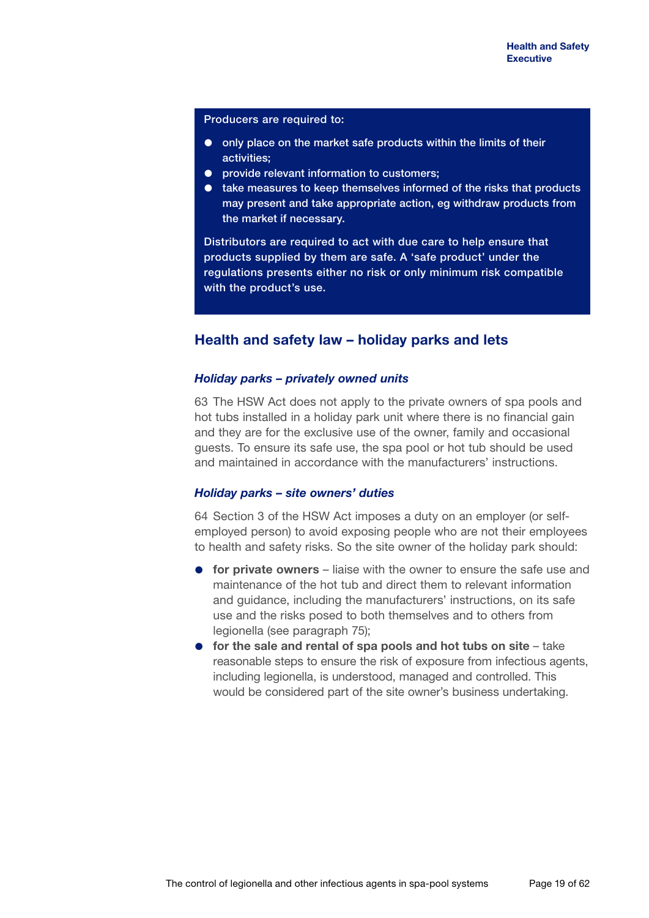Producers are required to:

- $\bullet$  only place on the market safe products within the limits of their activities;
- **•** provide relevant information to customers;
- take measures to keep themselves informed of the risks that products may present and take appropriate action, eg withdraw products from the market if necessary.

Distributors are required to act with due care to help ensure that products supplied by them are safe. A 'safe product' under the regulations presents either no risk or only minimum risk compatible with the product's use.

## **Health and safety law – holiday parks and lets**

### *Holiday parks – privately owned units*

63 The HSW Act does not apply to the private owners of spa pools and hot tubs installed in a holiday park unit where there is no financial gain and they are for the exclusive use of the owner, family and occasional guests. To ensure its safe use, the spa pool or hot tub should be used and maintained in accordance with the manufacturers' instructions.

### *Holiday parks – site owners' duties*

64 Section 3 of the HSW Act imposes a duty on an employer (or selfemployed person) to avoid exposing people who are not their employees to health and safety risks. So the site owner of the holiday park should:

- **for private owners** liaise with the owner to ensure the safe use and maintenance of the hot tub and direct them to relevant information and guidance, including the manufacturers' instructions, on its safe use and the risks posed to both themselves and to others from legionella (see paragraph 75);
- **for the sale and rental of spa pools and hot tubs on site** take reasonable steps to ensure the risk of exposure from infectious agents, including legionella, is understood, managed and controlled. This would be considered part of the site owner's business undertaking.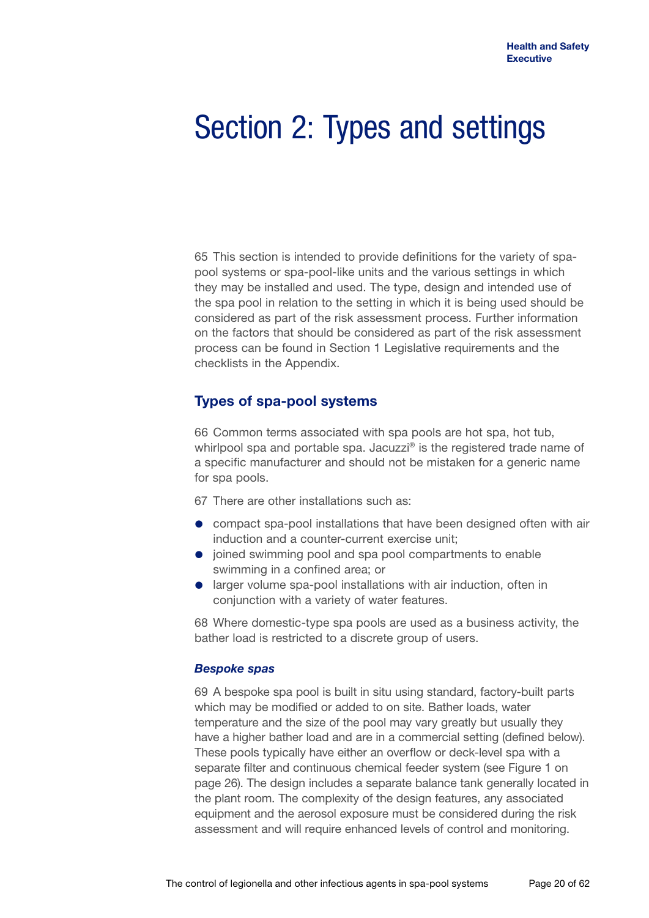## Section 2: Types and settings

65 This section is intended to provide definitions for the variety of spapool systems or spa-pool-like units and the various settings in which they may be installed and used. The type, design and intended use of the spa pool in relation to the setting in which it is being used should be considered as part of the risk assessment process. Further information on the factors that should be considered as part of the risk assessment process can be found in Section 1 Legislative requirements and the checklists in the Appendix.

## **Types of spa-pool systems**

66 Common terms associated with spa pools are hot spa, hot tub, whirlpool spa and portable spa. Jacuzzi<sup>®</sup> is the registered trade name of a specific manufacturer and should not be mistaken for a generic name for spa pools.

67 There are other installations such as:

- compact spa-pool installations that have been designed often with air induction and a counter-current exercise unit;
- joined swimming pool and spa pool compartments to enable swimming in a confined area; or
- **•** larger volume spa-pool installations with air induction, often in conjunction with a variety of water features.

68 Where domestic-type spa pools are used as a business activity, the bather load is restricted to a discrete group of users.

### *Bespoke spas*

69 A bespoke spa pool is built in situ using standard, factory-built parts which may be modified or added to on site. Bather loads, water temperature and the size of the pool may vary greatly but usually they have a higher bather load and are in a commercial setting (defined below). These pools typically have either an overflow or deck-level spa with a separate filter and continuous chemical feeder system (see Figure 1 on page 26). The design includes a separate balance tank generally located in the plant room. The complexity of the design features, any associated equipment and the aerosol exposure must be considered during the risk assessment and will require enhanced levels of control and monitoring.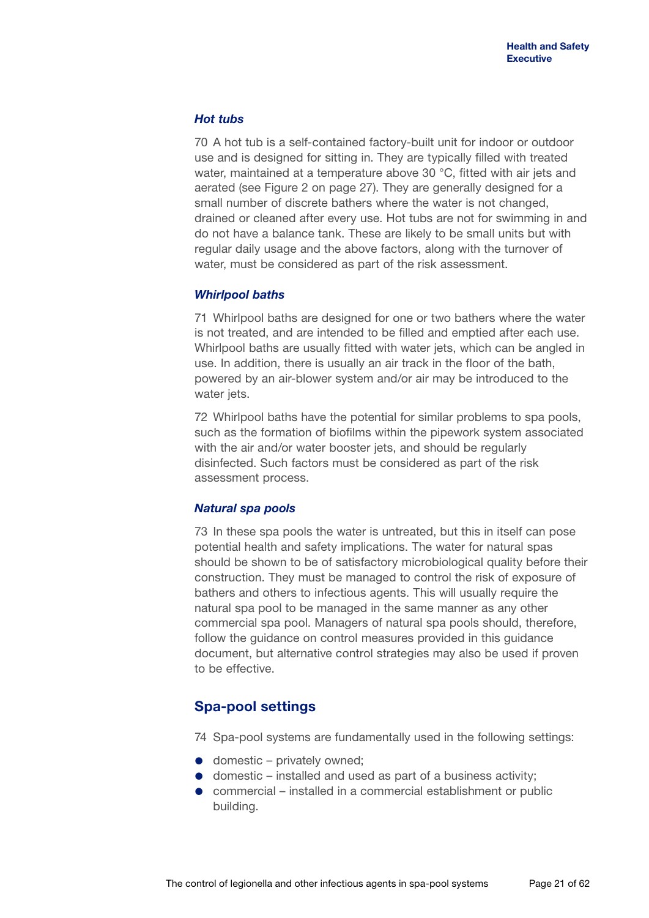### *Hot tubs*

70 A hot tub is a self-contained factory-built unit for indoor or outdoor use and is designed for sitting in. They are typically filled with treated water, maintained at a temperature above 30 °C, fitted with air jets and aerated (see Figure 2 on page 27). They are generally designed for a small number of discrete bathers where the water is not changed, drained or cleaned after every use. Hot tubs are not for swimming in and do not have a balance tank. These are likely to be small units but with regular daily usage and the above factors, along with the turnover of water, must be considered as part of the risk assessment.

### *Whirlpool baths*

71 Whirlpool baths are designed for one or two bathers where the water is not treated, and are intended to be filled and emptied after each use. Whirlpool baths are usually fitted with water jets, which can be angled in use. In addition, there is usually an air track in the floor of the bath, powered by an air-blower system and/or air may be introduced to the water jets.

72 Whirlpool baths have the potential for similar problems to spa pools, such as the formation of biofilms within the pipework system associated with the air and/or water booster jets, and should be regularly disinfected. Such factors must be considered as part of the risk assessment process.

### *Natural spa pools*

73 In these spa pools the water is untreated, but this in itself can pose potential health and safety implications. The water for natural spas should be shown to be of satisfactory microbiological quality before their construction. They must be managed to control the risk of exposure of bathers and others to infectious agents. This will usually require the natural spa pool to be managed in the same manner as any other commercial spa pool. Managers of natural spa pools should, therefore, follow the guidance on control measures provided in this guidance document, but alternative control strategies may also be used if proven to be effective.

## **Spa-pool settings**

74 Spa-pool systems are fundamentally used in the following settings:

- domestic privately owned:
- domestic installed and used as part of a business activity;
- commercial installed in a commercial establishment or public building.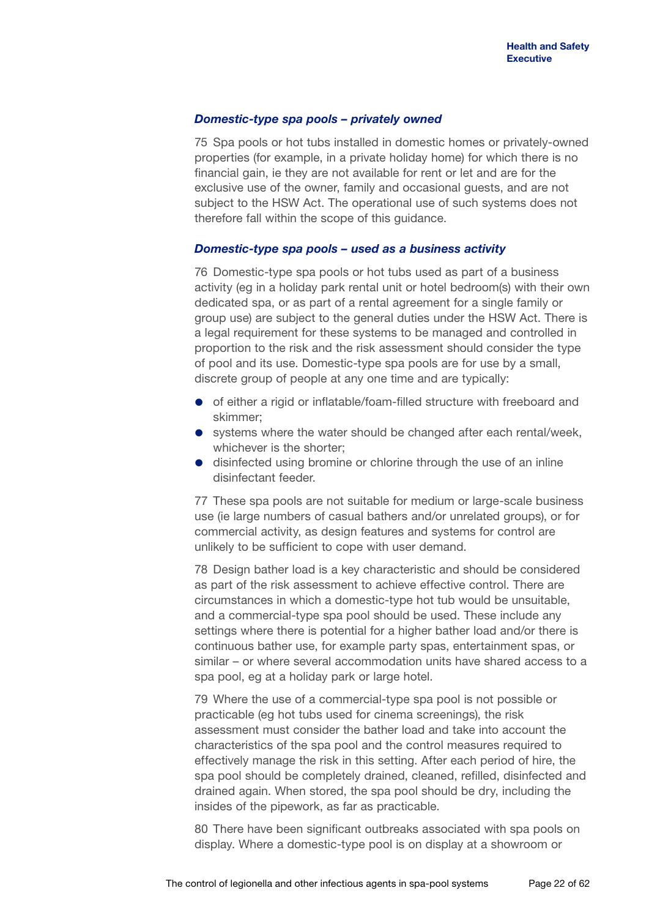### *Domestic-type spa pools – privately owned*

75 Spa pools or hot tubs installed in domestic homes or privately-owned properties (for example, in a private holiday home) for which there is no financial gain, ie they are not available for rent or let and are for the exclusive use of the owner, family and occasional guests, and are not subject to the HSW Act. The operational use of such systems does not therefore fall within the scope of this guidance.

### *Domestic-type spa pools – used as a business activity*

76 Domestic-type spa pools or hot tubs used as part of a business activity (eg in a holiday park rental unit or hotel bedroom(s) with their own dedicated spa, or as part of a rental agreement for a single family or group use) are subject to the general duties under the HSW Act. There is a legal requirement for these systems to be managed and controlled in proportion to the risk and the risk assessment should consider the type of pool and its use. Domestic-type spa pools are for use by a small, discrete group of people at any one time and are typically:

- of either a rigid or inflatable/foam-filled structure with freeboard and skimmer;
- systems where the water should be changed after each rental/week, whichever is the shorter;
- **•** disinfected using bromine or chlorine through the use of an inline disinfectant feeder.

77 These spa pools are not suitable for medium or large-scale business use (ie large numbers of casual bathers and/or unrelated groups), or for commercial activity, as design features and systems for control are unlikely to be sufficient to cope with user demand.

78 Design bather load is a key characteristic and should be considered as part of the risk assessment to achieve effective control. There are circumstances in which a domestic-type hot tub would be unsuitable, and a commercial-type spa pool should be used. These include any settings where there is potential for a higher bather load and/or there is continuous bather use, for example party spas, entertainment spas, or similar – or where several accommodation units have shared access to a spa pool, eg at a holiday park or large hotel.

79 Where the use of a commercial-type spa pool is not possible or practicable (eg hot tubs used for cinema screenings), the risk assessment must consider the bather load and take into account the characteristics of the spa pool and the control measures required to effectively manage the risk in this setting. After each period of hire, the spa pool should be completely drained, cleaned, refilled, disinfected and drained again. When stored, the spa pool should be dry, including the insides of the pipework, as far as practicable.

80 There have been significant outbreaks associated with spa pools on display. Where a domestic-type pool is on display at a showroom or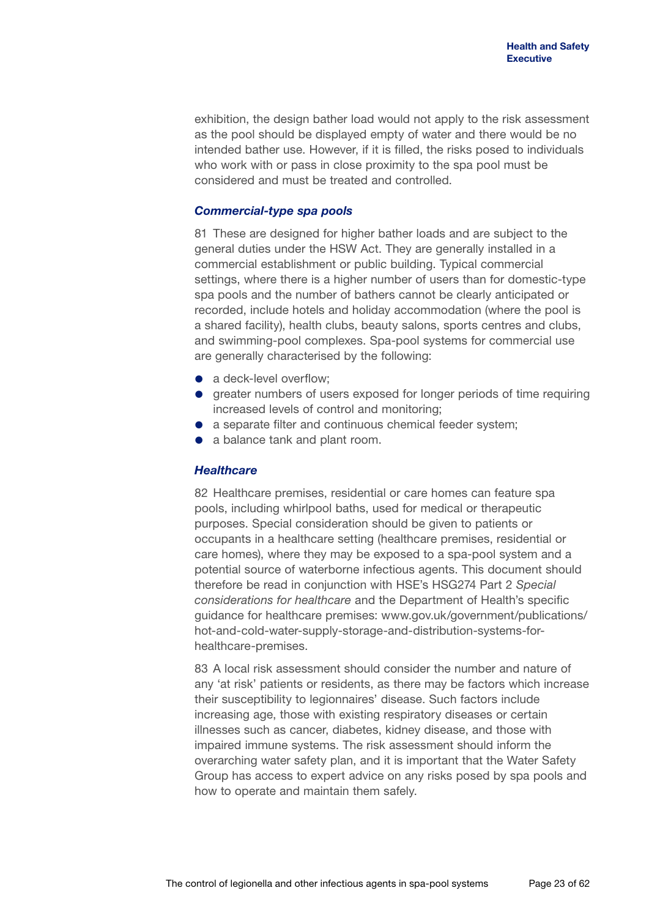exhibition, the design bather load would not apply to the risk assessment as the pool should be displayed empty of water and there would be no intended bather use. However, if it is filled, the risks posed to individuals who work with or pass in close proximity to the spa pool must be considered and must be treated and controlled.

### *Commercial-type spa pools*

81 These are designed for higher bather loads and are subject to the general duties under the HSW Act. They are generally installed in a commercial establishment or public building. Typical commercial settings, where there is a higher number of users than for domestic-type spa pools and the number of bathers cannot be clearly anticipated or recorded, include hotels and holiday accommodation (where the pool is a shared facility), health clubs, beauty salons, sports centres and clubs, and swimming-pool complexes. Spa-pool systems for commercial use are generally characterised by the following:

- a deck-level overflow:
- greater numbers of users exposed for longer periods of time requiring increased levels of control and monitoring;
- a separate filter and continuous chemical feeder system;
- a balance tank and plant room.

### *Healthcare*

82 Healthcare premises, residential or care homes can feature spa pools, including whirlpool baths, used for medical or therapeutic purposes. Special consideration should be given to patients or occupants in a healthcare setting (healthcare premises, residential or care homes), where they may be exposed to a spa-pool system and a potential source of waterborne infectious agents. This document should therefore be read in conjunction with HSE's HSG274 Part 2 *Special considerations for healthcare* and the Department of Health's specific guidance for healthcare premises: [www.gov.uk/government/publications/](www.gov.uk/government/publications/hot-and-cold-water-supply-storage-and-distribution-systems-for-healthcare-premises) [hot-and-cold-water-supply-storage-and-distribution-systems-for](www.gov.uk/government/publications/hot-and-cold-water-supply-storage-and-distribution-systems-for-healthcare-premises)[healthcare-premises.](www.gov.uk/government/publications/hot-and-cold-water-supply-storage-and-distribution-systems-for-healthcare-premises)

83 A local risk assessment should consider the number and nature of any 'at risk' patients or residents, as there may be factors which increase their susceptibility to legionnaires' disease. Such factors include increasing age, those with existing respiratory diseases or certain illnesses such as cancer, diabetes, kidney disease, and those with impaired immune systems. The risk assessment should inform the overarching water safety plan, and it is important that the Water Safety Group has access to expert advice on any risks posed by spa pools and how to operate and maintain them safely.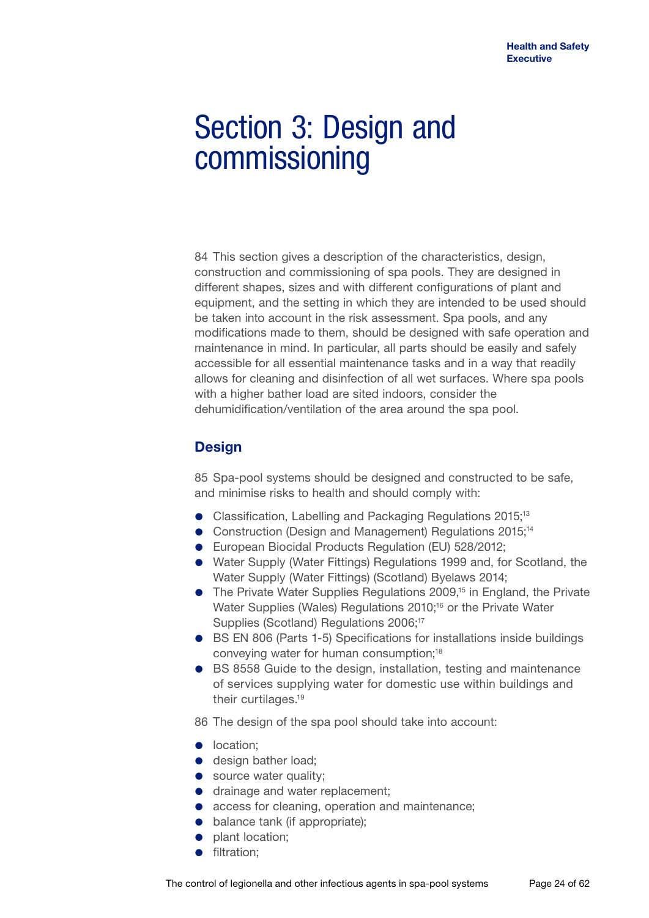## Section 3: Design and commissioning

84 This section gives a description of the characteristics, design, construction and commissioning of spa pools. They are designed in different shapes, sizes and with different configurations of plant and equipment, and the setting in which they are intended to be used should be taken into account in the risk assessment. Spa pools, and any modifications made to them, should be designed with safe operation and maintenance in mind. In particular, all parts should be easily and safely accessible for all essential maintenance tasks and in a way that readily allows for cleaning and disinfection of all wet surfaces. Where spa pools with a higher bather load are sited indoors, consider the dehumidification/ventilation of the area around the spa pool.

## **Design**

85 Spa-pool systems should be designed and constructed to be safe, and minimise risks to health and should comply with:

- Classification, Labelling and Packaging Regulations 2015;<sup>13</sup>
- **•** Construction (Design and Management) Regulations 2015;<sup>14</sup>
- European Biocidal Products Regulation (EU) 528/2012;
- Water Supply (Water Fittings) Regulations 1999 and, for Scotland, the Water Supply (Water Fittings) (Scotland) Byelaws 2014;
- The Private Water Supplies Regulations 2009,<sup>15</sup> in England, the Private Water Supplies (Wales) Regulations 2010;<sup>16</sup> or the Private Water Supplies (Scotland) Regulations 2006;<sup>17</sup>
- BS EN 806 (Parts 1-5) Specifications for installations inside buildings conveying water for human consumption;18
- BS 8558 Guide to the design, installation, testing and maintenance of services supplying water for domestic use within buildings and their curtilages.19
- 86 The design of the spa pool should take into account:
- **·** location;
- design bather load:
- source water quality;
- **o** drainage and water replacement;
- access for cleaning, operation and maintenance;
- **•** balance tank (if appropriate);
- plant location;
- **·** filtration;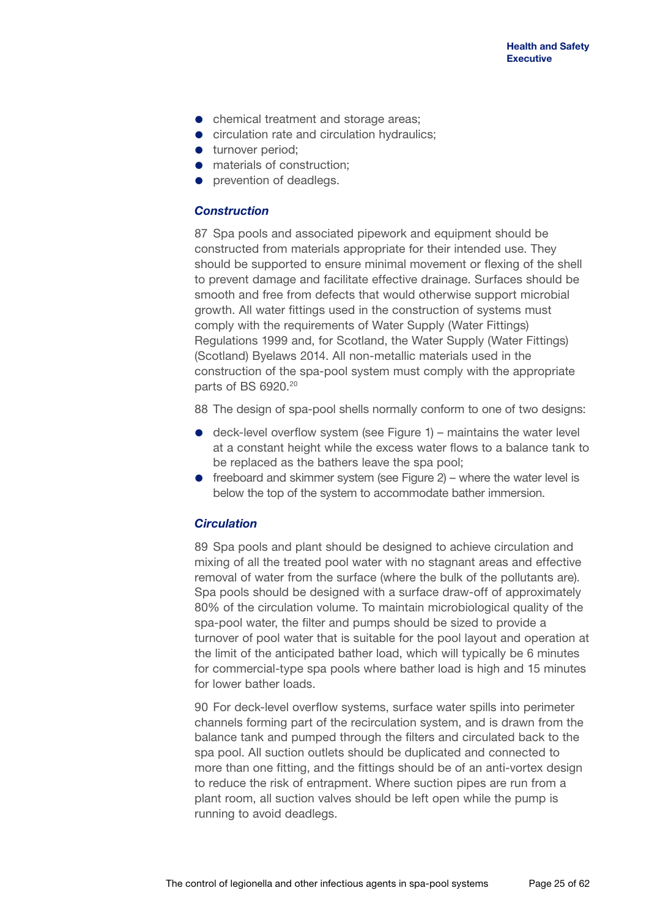- chemical treatment and storage areas;
- **•** circulation rate and circulation hydraulics;
- **turnover period:**
- **•** materials of construction:
- prevention of deadlegs.

### *Construction*

87 Spa pools and associated pipework and equipment should be constructed from materials appropriate for their intended use. They should be supported to ensure minimal movement or flexing of the shell to prevent damage and facilitate effective drainage. Surfaces should be smooth and free from defects that would otherwise support microbial growth. All water fittings used in the construction of systems must comply with the requirements of Water Supply (Water Fittings) Regulations 1999 and, for Scotland, the Water Supply (Water Fittings) (Scotland) Byelaws 2014. All non-metallic materials used in the construction of the spa-pool system must comply with the appropriate parts of BS 6920.<sup>20</sup>

88 The design of spa-pool shells normally conform to one of two designs:

- $\bullet$  deck-level overflow system (see Figure 1) maintains the water level at a constant height while the excess water flows to a balance tank to be replaced as the bathers leave the spa pool;
- $\bullet$  freeboard and skimmer system (see Figure 2) where the water level is below the top of the system to accommodate bather immersion.

### *Circulation*

89 Spa pools and plant should be designed to achieve circulation and mixing of all the treated pool water with no stagnant areas and effective removal of water from the surface (where the bulk of the pollutants are). Spa pools should be designed with a surface draw-off of approximately 80% of the circulation volume. To maintain microbiological quality of the spa-pool water, the filter and pumps should be sized to provide a turnover of pool water that is suitable for the pool layout and operation at the limit of the anticipated bather load, which will typically be 6 minutes for commercial-type spa pools where bather load is high and 15 minutes for lower bather loads.

90 For deck-level overflow systems, surface water spills into perimeter channels forming part of the recirculation system, and is drawn from the balance tank and pumped through the filters and circulated back to the spa pool. All suction outlets should be duplicated and connected to more than one fitting, and the fittings should be of an anti-vortex design to reduce the risk of entrapment. Where suction pipes are run from a plant room, all suction valves should be left open while the pump is running to avoid deadlegs.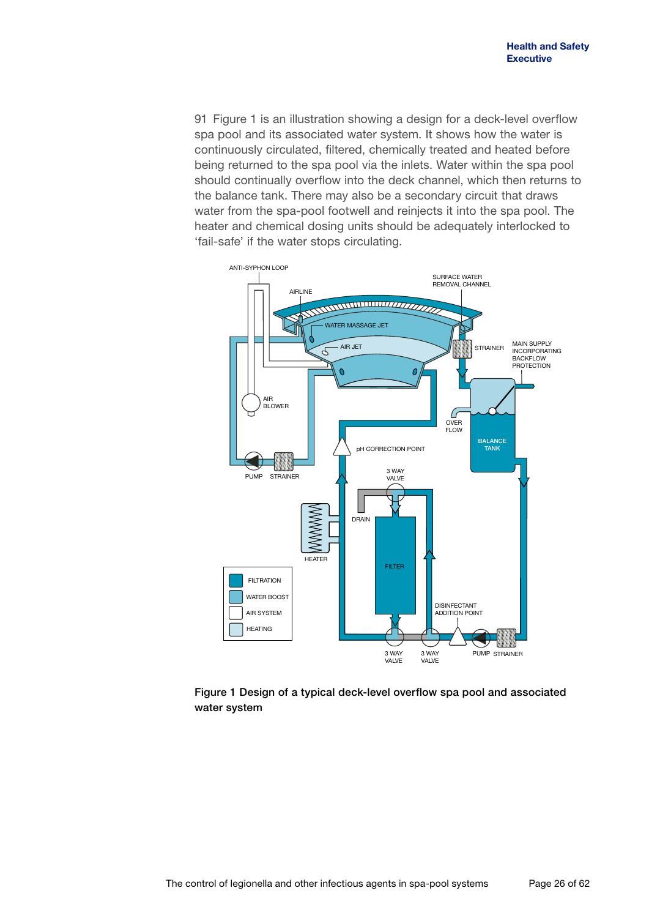91 Figure 1 is an illustration showing a design for a deck-level overflow spa pool and its associated water system. It shows how the water is continuously circulated, filtered, chemically treated and heated before being returned to the spa pool via the inlets. Water within the spa pool should continually overflow into the deck channel, which then returns to the balance tank. There may also be a secondary circuit that draws water from the spa-pool footwell and reinjects it into the spa pool. The heater and chemical dosing units should be adequately interlocked to 'fail-safe' if the water stops circulating.



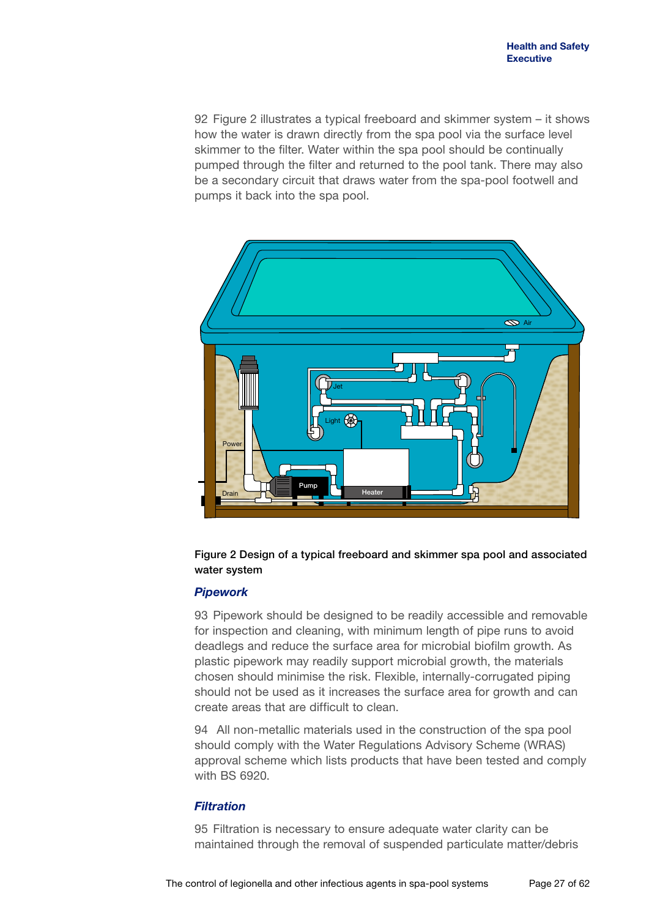92 Figure 2 illustrates a typical freeboard and skimmer system – it shows how the water is drawn directly from the spa pool via the surface level skimmer to the filter. Water within the spa pool should be continually pumped through the filter and returned to the pool tank. There may also be a secondary circuit that draws water from the spa-pool footwell and pumps it back into the spa pool.





### *Pipework*

93 Pipework should be designed to be readily accessible and removable for inspection and cleaning, with minimum length of pipe runs to avoid deadlegs and reduce the surface area for microbial biofilm growth. As plastic pipework may readily support microbial growth, the materials chosen should minimise the risk. Flexible, internally-corrugated piping should not be used as it increases the surface area for growth and can create areas that are difficult to clean.

94 All non-metallic materials used in the construction of the spa pool should comply with the Water Regulations Advisory Scheme (WRAS) approval scheme which lists products that have been tested and comply with BS 6920.

### *Filtration*

95 Filtration is necessary to ensure adequate water clarity can be maintained through the removal of suspended particulate matter/debris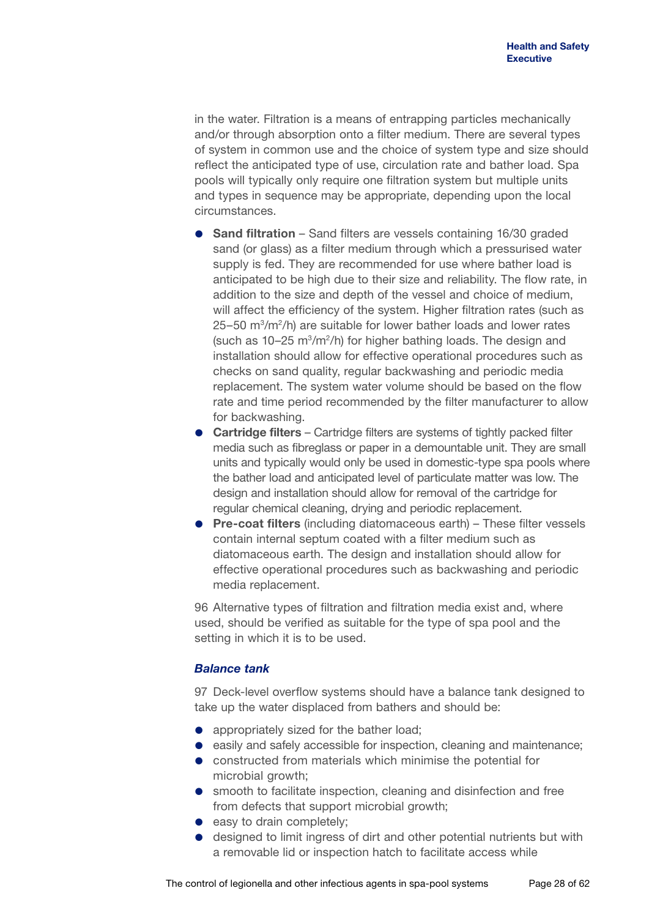in the water. Filtration is a means of entrapping particles mechanically and/or through absorption onto a filter medium. There are several types of system in common use and the choice of system type and size should reflect the anticipated type of use, circulation rate and bather load. Spa pools will typically only require one filtration system but multiple units and types in sequence may be appropriate, depending upon the local circumstances.

- **Sand filtration** Sand filters are vessels containing 16/30 graded sand (or glass) as a filter medium through which a pressurised water supply is fed. They are recommended for use where bather load is anticipated to be high due to their size and reliability. The flow rate, in addition to the size and depth of the vessel and choice of medium, will affect the efficiency of the system. Higher filtration rates (such as  $25-50$  m<sup>3</sup>/m<sup>2</sup>/h) are suitable for lower bather loads and lower rates (such as  $10-25$  m<sup>3</sup>/m<sup>2</sup>/h) for higher bathing loads. The design and installation should allow for effective operational procedures such as checks on sand quality, regular backwashing and periodic media replacement. The system water volume should be based on the flow rate and time period recommended by the filter manufacturer to allow for backwashing.
- **Cartridge filters** Cartridge filters are systems of tightly packed filter media such as fibreglass or paper in a demountable unit. They are small units and typically would only be used in domestic-type spa pools where the bather load and anticipated level of particulate matter was low. The design and installation should allow for removal of the cartridge for regular chemical cleaning, drying and periodic replacement.
- **Pre-coat filters** (including diatomaceous earth) These filter vessels contain internal septum coated with a filter medium such as diatomaceous earth. The design and installation should allow for effective operational procedures such as backwashing and periodic media replacement.

96 Alternative types of filtration and filtration media exist and, where used, should be verified as suitable for the type of spa pool and the setting in which it is to be used.

### *Balance tank*

97 Deck-level overflow systems should have a balance tank designed to take up the water displaced from bathers and should be:

- appropriately sized for the bather load;
- **e** easily and safely accessible for inspection, cleaning and maintenance;
- constructed from materials which minimise the potential for microbial growth;
- smooth to facilitate inspection, cleaning and disinfection and free from defects that support microbial growth:
- **e** easy to drain completely;
- designed to limit ingress of dirt and other potential nutrients but with a removable lid or inspection hatch to facilitate access while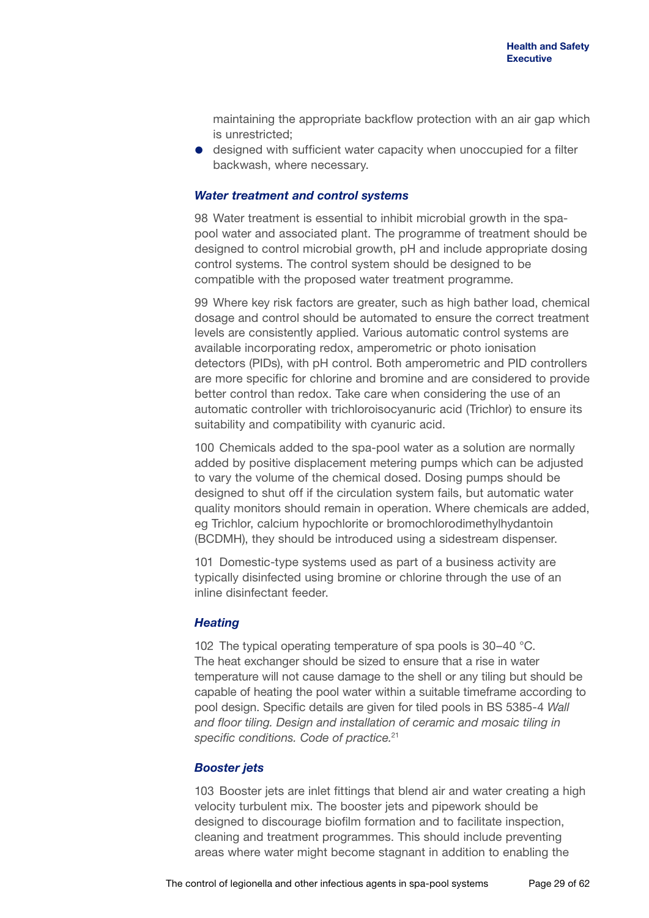maintaining the appropriate backflow protection with an air gap which is unrestricted;

 designed with sufficient water capacity when unoccupied for a filter backwash, where necessary.

### *Water treatment and control systems*

98 Water treatment is essential to inhibit microbial growth in the spapool water and associated plant. The programme of treatment should be designed to control microbial growth, pH and include appropriate dosing control systems. The control system should be designed to be compatible with the proposed water treatment programme.

99 Where key risk factors are greater, such as high bather load, chemical dosage and control should be automated to ensure the correct treatment levels are consistently applied. Various automatic control systems are available incorporating redox, amperometric or photo ionisation detectors (PIDs), with pH control. Both amperometric and PID controllers are more specific for chlorine and bromine and are considered to provide better control than redox. Take care when considering the use of an automatic controller with trichloroisocyanuric acid (Trichlor) to ensure its suitability and compatibility with cyanuric acid.

100 Chemicals added to the spa-pool water as a solution are normally added by positive displacement metering pumps which can be adjusted to vary the volume of the chemical dosed. Dosing pumps should be designed to shut off if the circulation system fails, but automatic water quality monitors should remain in operation. Where chemicals are added, eg Trichlor, calcium hypochlorite or bromochlorodimethylhydantoin (BCDMH), they should be introduced using a sidestream dispenser.

101 Domestic-type systems used as part of a business activity are typically disinfected using bromine or chlorine through the use of an inline disinfectant feeder.

### *Heating*

102 The typical operating temperature of spa pools is 30–40 °C. The heat exchanger should be sized to ensure that a rise in water temperature will not cause damage to the shell or any tiling but should be capable of heating the pool water within a suitable timeframe according to pool design. Specific details are given for tiled pools in BS 5385-4 *Wall and floor tiling. Design and installation of ceramic and mosaic tiling in specific conditions. Code of practice.*<sup>21</sup>

### *Booster jets*

103 Booster jets are inlet fittings that blend air and water creating a high velocity turbulent mix. The booster jets and pipework should be designed to discourage biofilm formation and to facilitate inspection, cleaning and treatment programmes. This should include preventing areas where water might become stagnant in addition to enabling the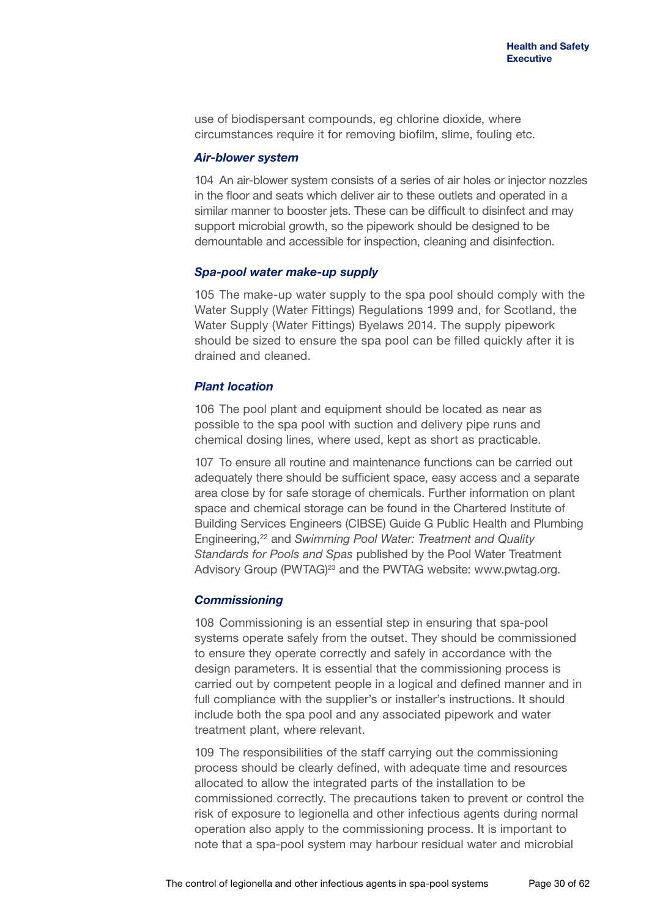use of biodispersant compounds, eg chlorine dioxide, where circumstances require it for removing biofilm, slime, fouling etc.

### *Air-blower system*

104 An air-blower system consists of a series of air holes or injector nozzles in the floor and seats which deliver air to these outlets and operated in a similar manner to booster jets. These can be difficult to disinfect and may support microbial growth, so the pipework should be designed to be demountable and accessible for inspection, cleaning and disinfection.

### *Spa-pool water make-up supply*

105 The make-up water supply to the spa pool should comply with the Water Supply (Water Fittings) Regulations 1999 and, for Scotland, the Water Supply (Water Fittings) Byelaws 2014. The supply pipework should be sized to ensure the spa pool can be filled quickly after it is drained and cleaned.

### *Plant location*

106 The pool plant and equipment should be located as near as possible to the spa pool with suction and delivery pipe runs and chemical dosing lines, where used, kept as short as practicable.

107 To ensure all routine and maintenance functions can be carried out adequately there should be sufficient space, easy access and a separate area close by for safe storage of chemicals. Further information on plant space and chemical storage can be found in the Chartered Institute of Building Services Engineers (CIBSE) Guide G Public Health and Plumbing Engineering,22 and *Swimming Pool Water: Treatment and Quality Standards for Pools and Spas* published by the Pool Water Treatment Advisory Group (PWTAG)<sup>23</sup> and the PWTAG website: <www.pwtag.org>.

### *Commissioning*

108 Commissioning is an essential step in ensuring that spa-pool systems operate safely from the outset. They should be commissioned to ensure they operate correctly and safely in accordance with the design parameters. It is essential that the commissioning process is carried out by competent people in a logical and defined manner and in full compliance with the supplier's or installer's instructions. It should include both the spa pool and any associated pipework and water treatment plant, where relevant.

109 The responsibilities of the staff carrying out the commissioning process should be clearly defined, with adequate time and resources allocated to allow the integrated parts of the installation to be commissioned correctly. The precautions taken to prevent or control the risk of exposure to legionella and other infectious agents during normal operation also apply to the commissioning process. It is important to note that a spa-pool system may harbour residual water and microbial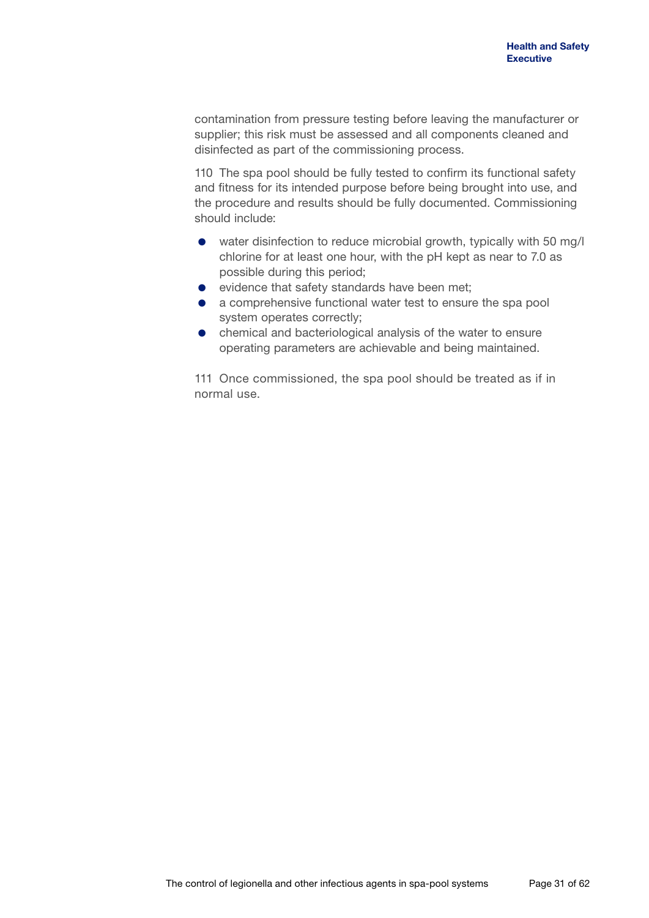contamination from pressure testing before leaving the manufacturer or supplier; this risk must be assessed and all components cleaned and disinfected as part of the commissioning process.

110 The spa pool should be fully tested to confirm its functional safety and fitness for its intended purpose before being brought into use, and the procedure and results should be fully documented. Commissioning should include:

- water disinfection to reduce microbial growth, typically with 50 mg/l chlorine for at least one hour, with the pH kept as near to 7.0 as possible during this period;
- evidence that safety standards have been met:
- a comprehensive functional water test to ensure the spa pool system operates correctly;
- chemical and bacteriological analysis of the water to ensure operating parameters are achievable and being maintained.

111 Once commissioned, the spa pool should be treated as if in normal use.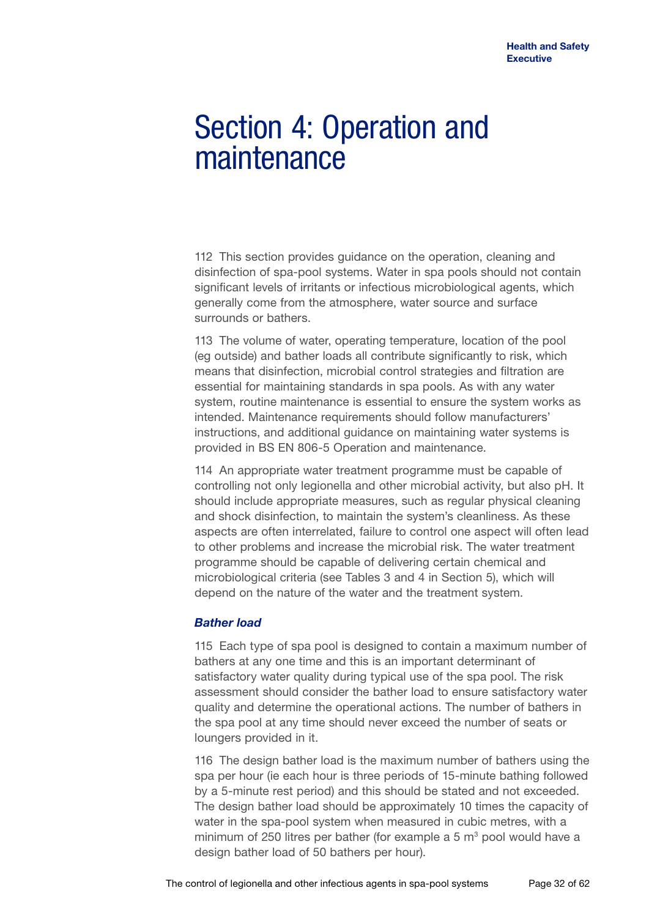## Section 4: Operation and maintenance

112 This section provides guidance on the operation, cleaning and disinfection of spa-pool systems. Water in spa pools should not contain significant levels of irritants or infectious microbiological agents, which generally come from the atmosphere, water source and surface surrounds or bathers.

113 The volume of water, operating temperature, location of the pool (eg outside) and bather loads all contribute significantly to risk, which means that disinfection, microbial control strategies and filtration are essential for maintaining standards in spa pools. As with any water system, routine maintenance is essential to ensure the system works as intended. Maintenance requirements should follow manufacturers' instructions, and additional guidance on maintaining water systems is provided in BS EN 806-5 Operation and maintenance.

114 An appropriate water treatment programme must be capable of controlling not only legionella and other microbial activity, but also pH. It should include appropriate measures, such as regular physical cleaning and shock disinfection, to maintain the system's cleanliness. As these aspects are often interrelated, failure to control one aspect will often lead to other problems and increase the microbial risk. The water treatment programme should be capable of delivering certain chemical and microbiological criteria (see Tables 3 and 4 in Section 5), which will depend on the nature of the water and the treatment system.

### *Bather load*

115 Each type of spa pool is designed to contain a maximum number of bathers at any one time and this is an important determinant of satisfactory water quality during typical use of the spa pool. The risk assessment should consider the bather load to ensure satisfactory water quality and determine the operational actions. The number of bathers in the spa pool at any time should never exceed the number of seats or loungers provided in it.

116 The design bather load is the maximum number of bathers using the spa per hour (ie each hour is three periods of 15-minute bathing followed by a 5-minute rest period) and this should be stated and not exceeded. The design bather load should be approximately 10 times the capacity of water in the spa-pool system when measured in cubic metres, with a minimum of 250 litres per bather (for example a 5  $m<sup>3</sup>$  pool would have a design bather load of 50 bathers per hour).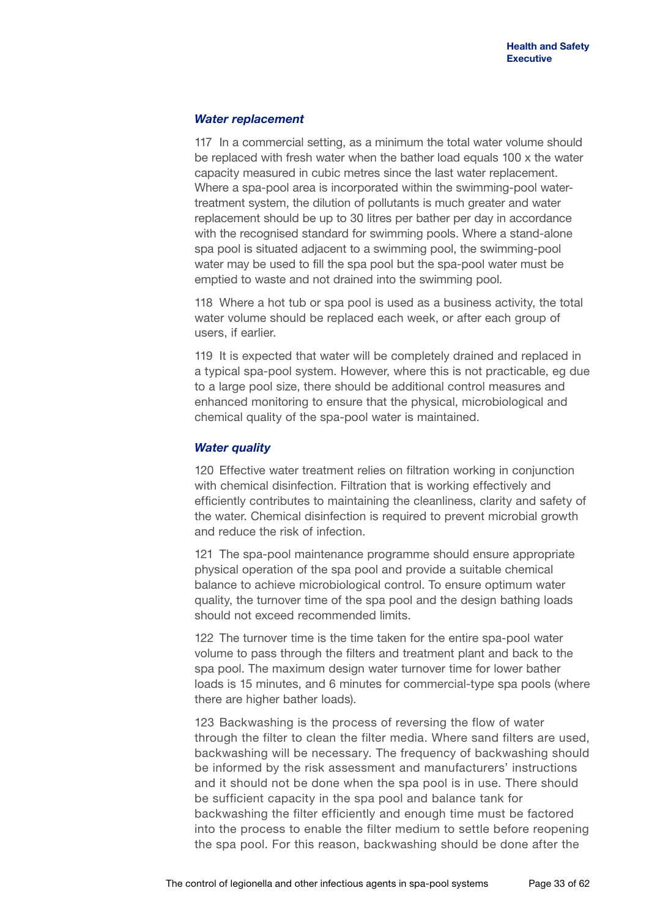### *Water replacement*

117 In a commercial setting, as a minimum the total water volume should be replaced with fresh water when the bather load equals 100 x the water capacity measured in cubic metres since the last water replacement. Where a spa-pool area is incorporated within the swimming-pool watertreatment system, the dilution of pollutants is much greater and water replacement should be up to 30 litres per bather per day in accordance with the recognised standard for swimming pools. Where a stand-alone spa pool is situated adjacent to a swimming pool, the swimming-pool water may be used to fill the spa pool but the spa-pool water must be emptied to waste and not drained into the swimming pool.

118 Where a hot tub or spa pool is used as a business activity, the total water volume should be replaced each week, or after each group of users, if earlier.

119 It is expected that water will be completely drained and replaced in a typical spa-pool system. However, where this is not practicable, eg due to a large pool size, there should be additional control measures and enhanced monitoring to ensure that the physical, microbiological and chemical quality of the spa-pool water is maintained.

### *Water quality*

120 Effective water treatment relies on filtration working in conjunction with chemical disinfection. Filtration that is working effectively and efficiently contributes to maintaining the cleanliness, clarity and safety of the water. Chemical disinfection is required to prevent microbial growth and reduce the risk of infection.

121 The spa-pool maintenance programme should ensure appropriate physical operation of the spa pool and provide a suitable chemical balance to achieve microbiological control. To ensure optimum water quality, the turnover time of the spa pool and the design bathing loads should not exceed recommended limits.

122 The turnover time is the time taken for the entire spa-pool water volume to pass through the filters and treatment plant and back to the spa pool. The maximum design water turnover time for lower bather loads is 15 minutes, and 6 minutes for commercial-type spa pools (where there are higher bather loads).

123 Backwashing is the process of reversing the flow of water through the filter to clean the filter media. Where sand filters are used, backwashing will be necessary. The frequency of backwashing should be informed by the risk assessment and manufacturers' instructions and it should not be done when the spa pool is in use. There should be sufficient capacity in the spa pool and balance tank for backwashing the filter efficiently and enough time must be factored into the process to enable the filter medium to settle before reopening the spa pool. For this reason, backwashing should be done after the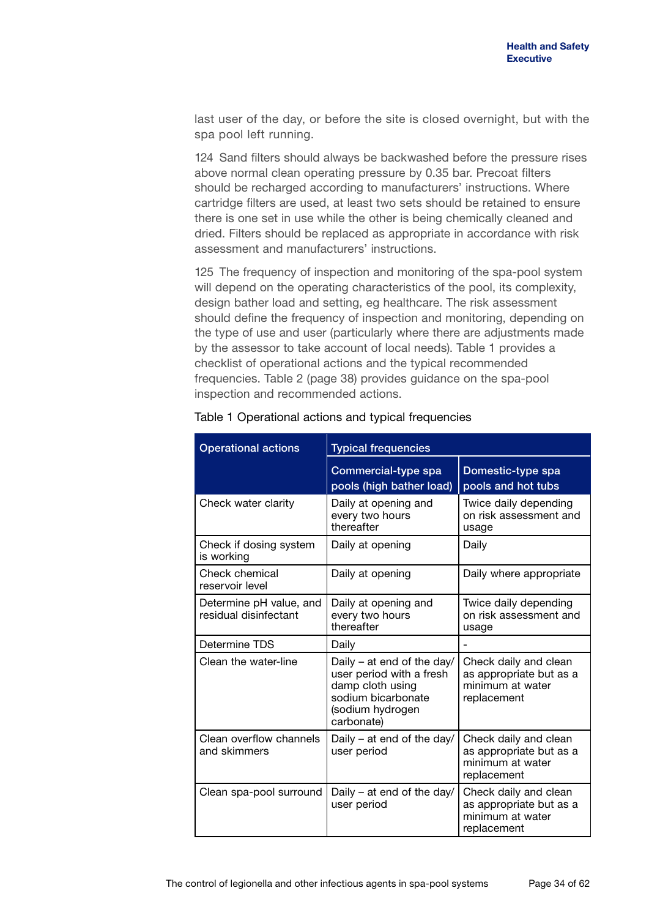last user of the day, or before the site is closed overnight, but with the spa pool left running.

124 Sand filters should always be backwashed before the pressure rises above normal clean operating pressure by 0.35 bar. Precoat filters should be recharged according to manufacturers' instructions. Where cartridge filters are used, at least two sets should be retained to ensure there is one set in use while the other is being chemically cleaned and dried. Filters should be replaced as appropriate in accordance with risk assessment and manufacturers' instructions.

125 The frequency of inspection and monitoring of the spa-pool system will depend on the operating characteristics of the pool, its complexity, design bather load and setting, eg healthcare. The risk assessment should define the frequency of inspection and monitoring, depending on the type of use and user (particularly where there are adjustments made by the assessor to take account of local needs). Table 1 provides a checklist of operational actions and the typical recommended frequencies. Table 2 (page 38) provides guidance on the spa-pool inspection and recommended actions.

| <b>Operational actions</b>                       | <b>Typical frequencies</b>                                                                                                         |                                                                                     |  |
|--------------------------------------------------|------------------------------------------------------------------------------------------------------------------------------------|-------------------------------------------------------------------------------------|--|
|                                                  | Commercial-type spa<br>pools (high bather load)                                                                                    | Domestic-type spa<br>pools and hot tubs                                             |  |
| Check water clarity                              | Daily at opening and<br>every two hours<br>thereafter                                                                              | Twice daily depending<br>on risk assessment and<br>usage                            |  |
| Check if dosing system<br>is working             | Daily at opening                                                                                                                   | Daily                                                                               |  |
| Check chemical<br>reservoir level                | Daily at opening                                                                                                                   | Daily where appropriate                                                             |  |
| Determine pH value, and<br>residual disinfectant | Daily at opening and<br>every two hours<br>thereafter                                                                              | Twice daily depending<br>on risk assessment and<br>usage                            |  |
| Determine TDS                                    | Daily                                                                                                                              |                                                                                     |  |
| Clean the water-line                             | Daily – at end of the day/<br>user period with a fresh<br>damp cloth using<br>sodium bicarbonate<br>(sodium hydrogen<br>carbonate) | Check daily and clean<br>as appropriate but as a<br>minimum at water<br>replacement |  |
| Clean overflow channels<br>and skimmers          | Daily – at end of the day/<br>user period                                                                                          | Check daily and clean<br>as appropriate but as a<br>minimum at water<br>replacement |  |
| Clean spa-pool surround                          | Daily – at end of the day/<br>user period                                                                                          | Check daily and clean<br>as appropriate but as a<br>minimum at water<br>replacement |  |

### Table 1 Operational actions and typical frequencies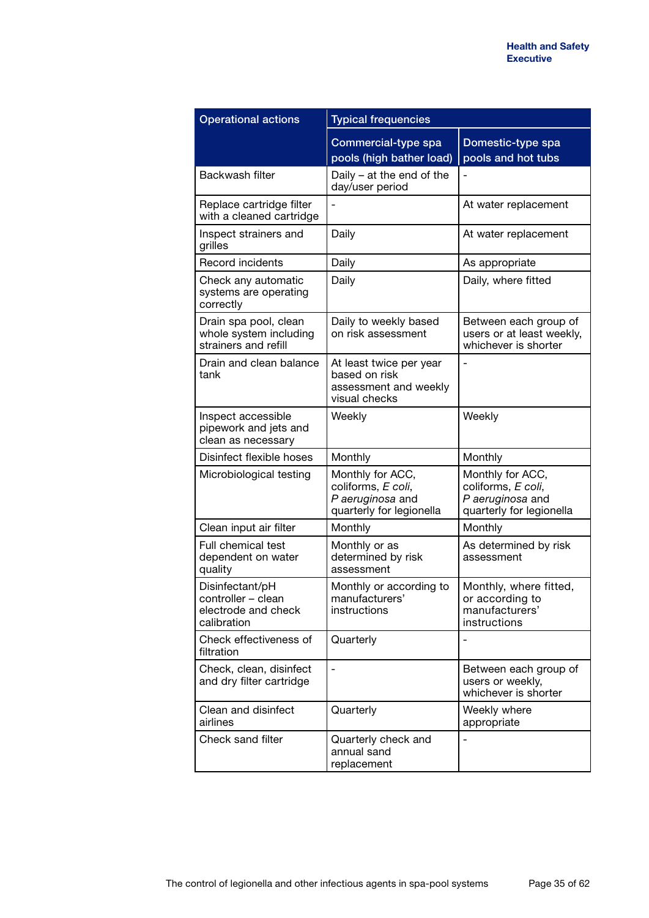| <b>Operational actions</b>                                                  | <b>Typical frequencies</b>                                                             |                                                                                        |  |
|-----------------------------------------------------------------------------|----------------------------------------------------------------------------------------|----------------------------------------------------------------------------------------|--|
|                                                                             | Commercial-type spa<br>pools (high bather load)                                        | Domestic-type spa<br>pools and hot tubs                                                |  |
| Backwash filter                                                             | Daily $-$ at the end of the<br>day/user period                                         |                                                                                        |  |
| Replace cartridge filter<br>with a cleaned cartridge                        |                                                                                        | At water replacement                                                                   |  |
| Inspect strainers and<br>grilles                                            | Daily                                                                                  | At water replacement                                                                   |  |
| <b>Record incidents</b>                                                     | Daily                                                                                  | As appropriate                                                                         |  |
| Check any automatic<br>systems are operating<br>correctly                   | Daily                                                                                  | Daily, where fitted                                                                    |  |
| Drain spa pool, clean<br>whole system including<br>strainers and refill     | Daily to weekly based<br>on risk assessment                                            | Between each group of<br>users or at least weekly,<br>whichever is shorter             |  |
| Drain and clean balance<br>tank                                             | At least twice per year<br>based on risk<br>assessment and weekly<br>visual checks     |                                                                                        |  |
| Inspect accessible<br>pipework and jets and<br>clean as necessary           | Weekly                                                                                 | Weekly                                                                                 |  |
| Disinfect flexible hoses                                                    | Monthly                                                                                | Monthly                                                                                |  |
| Microbiological testing                                                     | Monthly for ACC,<br>coliforms, E coli,<br>P aeruginosa and<br>quarterly for legionella | Monthly for ACC,<br>coliforms, E coli,<br>P aeruginosa and<br>quarterly for legionella |  |
| Clean input air filter                                                      | Monthly                                                                                | Monthly                                                                                |  |
| Full chemical test<br>dependent on water<br>quality                         | Monthly or as<br>determined by risk<br>assessment                                      | As determined by risk<br>assessment                                                    |  |
| Disinfectant/pH<br>controller - clean<br>electrode and check<br>calibration | Monthly or according to<br>manufacturers'<br>instructions                              | Monthly, where fitted,<br>or according to<br>manufacturers'<br>instructions            |  |
| Check effectiveness of<br>filtration                                        | Quarterly                                                                              |                                                                                        |  |
| Check, clean, disinfect<br>and dry filter cartridge                         | $\overline{\phantom{0}}$                                                               | Between each group of<br>users or weekly,<br>whichever is shorter                      |  |
| Clean and disinfect<br>airlines                                             | Quarterly                                                                              | Weekly where<br>appropriate                                                            |  |
| Check sand filter                                                           | Quarterly check and<br>annual sand<br>replacement                                      | Ĭ.                                                                                     |  |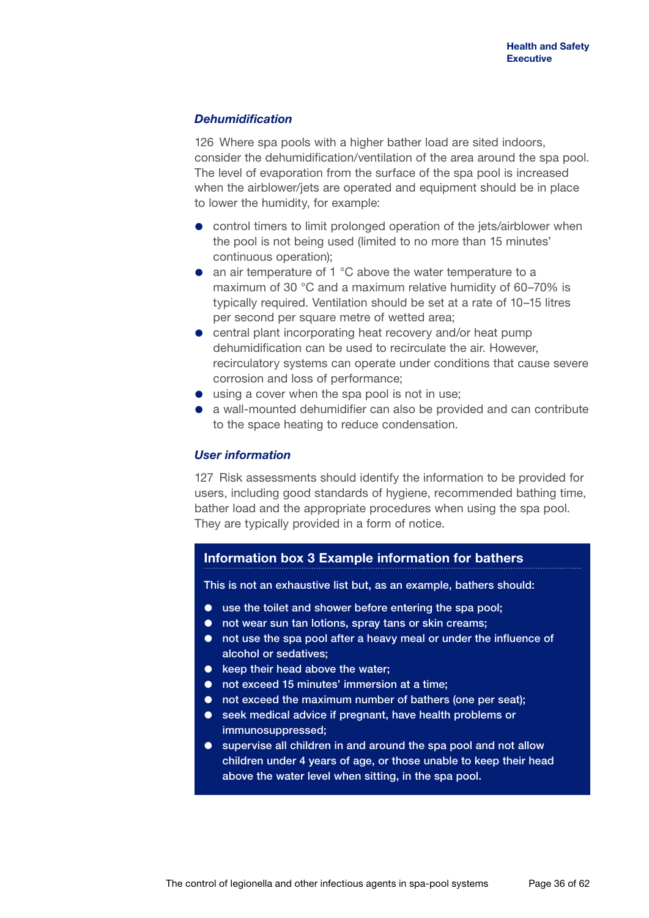### *Dehumidification*

126 Where spa pools with a higher bather load are sited indoors, consider the dehumidification/ventilation of the area around the spa pool. The level of evaporation from the surface of the spa pool is increased when the airblower/jets are operated and equipment should be in place to lower the humidity, for example:

- control timers to limit prolonged operation of the jets/airblower when the pool is not being used (limited to no more than 15 minutes' continuous operation);
- an air temperature of 1 °C above the water temperature to a maximum of 30 °C and a maximum relative humidity of 60–70% is typically required. Ventilation should be set at a rate of 10–15 litres per second per square metre of wetted area;
- central plant incorporating heat recovery and/or heat pump dehumidification can be used to recirculate the air. However, recirculatory systems can operate under conditions that cause severe corrosion and loss of performance;
- using a cover when the spa pool is not in use;
- a wall-mounted dehumidifier can also be provided and can contribute to the space heating to reduce condensation.

### *User information*

127 Risk assessments should identify the information to be provided for users, including good standards of hygiene, recommended bathing time, bather load and the appropriate procedures when using the spa pool. They are typically provided in a form of notice.

### **Information box 3 Example information for bathers**

This is not an exhaustive list but, as an example, bathers should:

- use the toilet and shower before entering the spa pool;
- not wear sun tan lotions, spray tans or skin creams;
- not use the spa pool after a heavy meal or under the influence of alcohol or sedatives;
- $\bullet$  keep their head above the water:
- not exceed 15 minutes' immersion at a time;
- not exceed the maximum number of bathers (one per seat);
- seek medical advice if pregnant, have health problems or immunosuppressed;
- supervise all children in and around the spa pool and not allow children under 4 years of age, or those unable to keep their head above the water level when sitting, in the spa pool.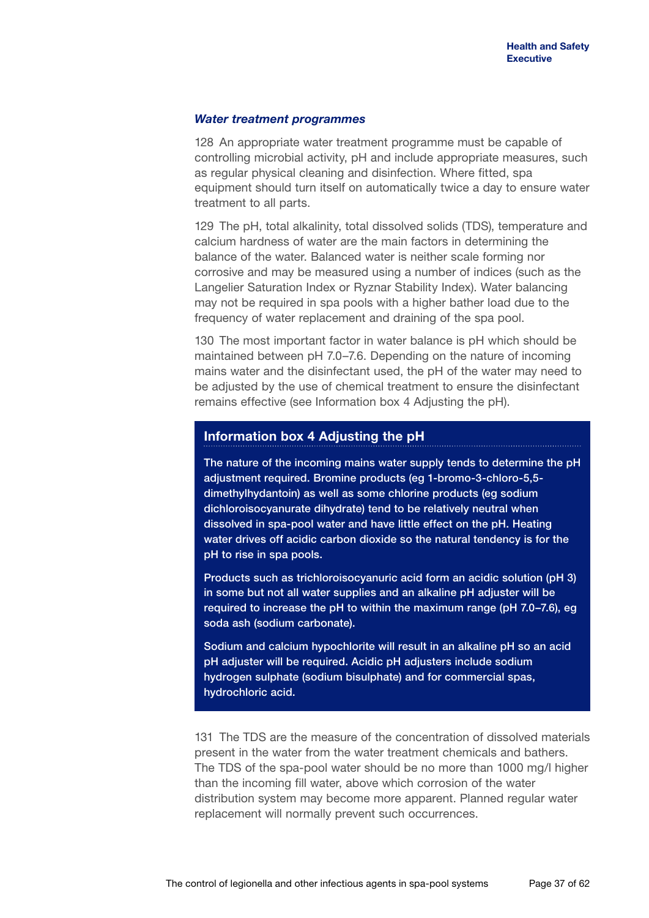### *Water treatment programmes*

128 An appropriate water treatment programme must be capable of controlling microbial activity, pH and include appropriate measures, such as regular physical cleaning and disinfection. Where fitted, spa equipment should turn itself on automatically twice a day to ensure water treatment to all parts.

129 The pH, total alkalinity, total dissolved solids (TDS), temperature and calcium hardness of water are the main factors in determining the balance of the water. Balanced water is neither scale forming nor corrosive and may be measured using a number of indices (such as the Langelier Saturation Index or Ryznar Stability Index). Water balancing may not be required in spa pools with a higher bather load due to the frequency of water replacement and draining of the spa pool.

130 The most important factor in water balance is pH which should be maintained between pH 7.0–7.6. Depending on the nature of incoming mains water and the disinfectant used, the pH of the water may need to be adjusted by the use of chemical treatment to ensure the disinfectant remains effective (see Information box 4 Adjusting the pH).

### **Information box 4 Adjusting the pH**

The nature of the incoming mains water supply tends to determine the pH adjustment required. Bromine products (eg 1-bromo-3-chloro-5,5 dimethylhydantoin) as well as some chlorine products (eg sodium dichloroisocyanurate dihydrate) tend to be relatively neutral when dissolved in spa-pool water and have little effect on the pH. Heating water drives off acidic carbon dioxide so the natural tendency is for the pH to rise in spa pools.

Products such as trichloroisocyanuric acid form an acidic solution (pH 3) in some but not all water supplies and an alkaline pH adjuster will be required to increase the pH to within the maximum range (pH 7.0–7.6), eg soda ash (sodium carbonate).

Sodium and calcium hypochlorite will result in an alkaline pH so an acid pH adjuster will be required. Acidic pH adjusters include sodium hydrogen sulphate (sodium bisulphate) and for commercial spas, hydrochloric acid.

131 The TDS are the measure of the concentration of dissolved materials present in the water from the water treatment chemicals and bathers. The TDS of the spa-pool water should be no more than 1000 mg/l higher than the incoming fill water, above which corrosion of the water distribution system may become more apparent. Planned regular water replacement will normally prevent such occurrences.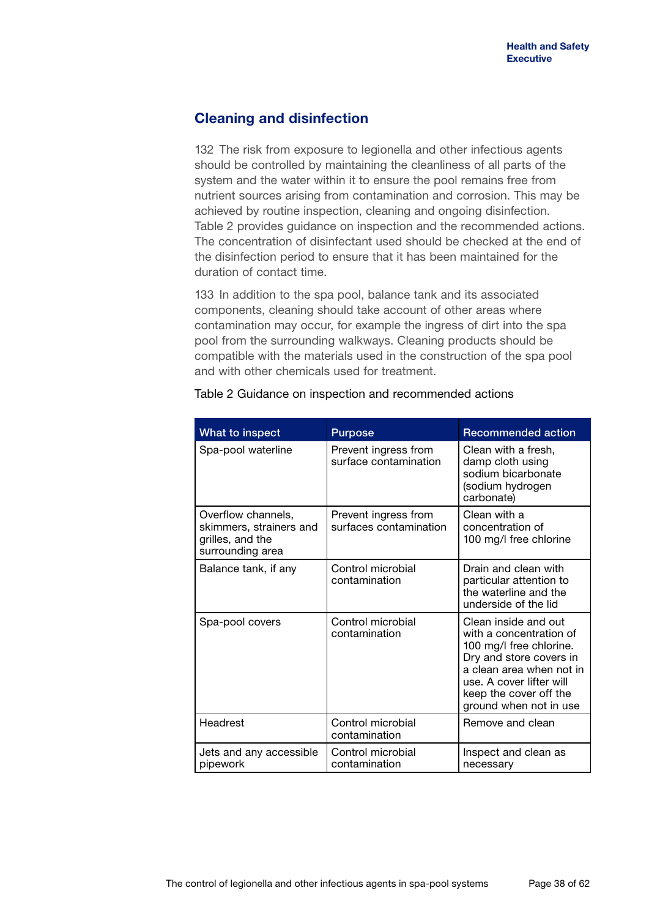## **Cleaning and disinfection**

132 The risk from exposure to legionella and other infectious agents should be controlled by maintaining the cleanliness of all parts of the system and the water within it to ensure the pool remains free from nutrient sources arising from contamination and corrosion. This may be achieved by routine inspection, cleaning and ongoing disinfection. Table 2 provides guidance on inspection and the recommended actions. The concentration of disinfectant used should be checked at the end of the disinfection period to ensure that it has been maintained for the duration of contact time.

133 In addition to the spa pool, balance tank and its associated components, cleaning should take account of other areas where contamination may occur, for example the ingress of dirt into the spa pool from the surrounding walkways. Cleaning products should be compatible with the materials used in the construction of the spa pool and with other chemicals used for treatment.

| <b>What to inspect</b>                                                                | <b>Purpose</b>                                 | <b>Recommended action</b>                                                                                                                                                                                         |
|---------------------------------------------------------------------------------------|------------------------------------------------|-------------------------------------------------------------------------------------------------------------------------------------------------------------------------------------------------------------------|
| Spa-pool waterline                                                                    | Prevent ingress from<br>surface contamination  | Clean with a fresh,<br>damp cloth using<br>sodium bicarbonate<br>(sodium hydrogen<br>carbonate)                                                                                                                   |
| Overflow channels,<br>skimmers, strainers and<br>grilles, and the<br>surrounding area | Prevent ingress from<br>surfaces contamination | Clean with a<br>concentration of<br>100 mg/l free chlorine                                                                                                                                                        |
| Balance tank, if any                                                                  | Control microbial<br>contamination             | Drain and clean with<br>particular attention to<br>the waterline and the<br>underside of the lid                                                                                                                  |
| Spa-pool covers                                                                       | Control microbial<br>contamination             | Clean inside and out<br>with a concentration of<br>100 mg/l free chlorine.<br>Dry and store covers in<br>a clean area when not in<br>use. A cover lifter will<br>keep the cover off the<br>ground when not in use |
| Headrest                                                                              | Control microbial<br>contamination             | Remove and clean                                                                                                                                                                                                  |
| Jets and any accessible<br>pipework                                                   | Control microbial<br>contamination             | Inspect and clean as<br>necessary                                                                                                                                                                                 |

### Table 2 Guidance on inspection and recommended actions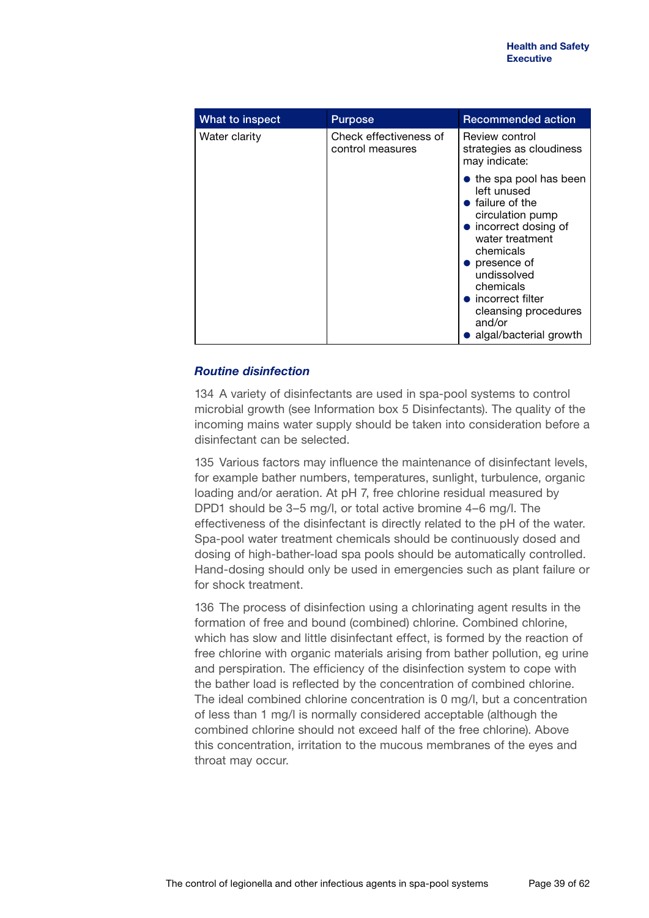| What to inspect | <b>Purpose</b>                             | <b>Recommended action</b>                                                                                                                                                                                                                                                                                |
|-----------------|--------------------------------------------|----------------------------------------------------------------------------------------------------------------------------------------------------------------------------------------------------------------------------------------------------------------------------------------------------------|
| Water clarity   | Check effectiveness of<br>control measures | Review control<br>strategies as cloudiness<br>may indicate:                                                                                                                                                                                                                                              |
|                 |                                            | $\bullet$ the spa pool has been<br>left unused<br>$\bullet$ failure of the<br>circulation pump<br>• incorrect dosing of<br>water treatment<br>chemicals<br>$\bullet$ presence of<br>undissolved<br>chemicals<br>$\bullet$ incorrect filter<br>cleansing procedures<br>and/or<br>• algal/bacterial growth |

### *Routine disinfection*

134 A variety of disinfectants are used in spa-pool systems to control microbial growth (see Information box 5 Disinfectants). The quality of the incoming mains water supply should be taken into consideration before a disinfectant can be selected.

135 Various factors may influence the maintenance of disinfectant levels, for example bather numbers, temperatures, sunlight, turbulence, organic loading and/or aeration. At pH 7, free chlorine residual measured by DPD1 should be 3–5 mg/l, or total active bromine 4–6 mg/l. The effectiveness of the disinfectant is directly related to the pH of the water. Spa-pool water treatment chemicals should be continuously dosed and dosing of high-bather-load spa pools should be automatically controlled. Hand-dosing should only be used in emergencies such as plant failure or for shock treatment.

136 The process of disinfection using a chlorinating agent results in the formation of free and bound (combined) chlorine. Combined chlorine, which has slow and little disinfectant effect, is formed by the reaction of free chlorine with organic materials arising from bather pollution, eg urine and perspiration. The efficiency of the disinfection system to cope with the bather load is reflected by the concentration of combined chlorine. The ideal combined chlorine concentration is 0 mg/l, but a concentration of less than 1 mg/l is normally considered acceptable (although the combined chlorine should not exceed half of the free chlorine). Above this concentration, irritation to the mucous membranes of the eyes and throat may occur.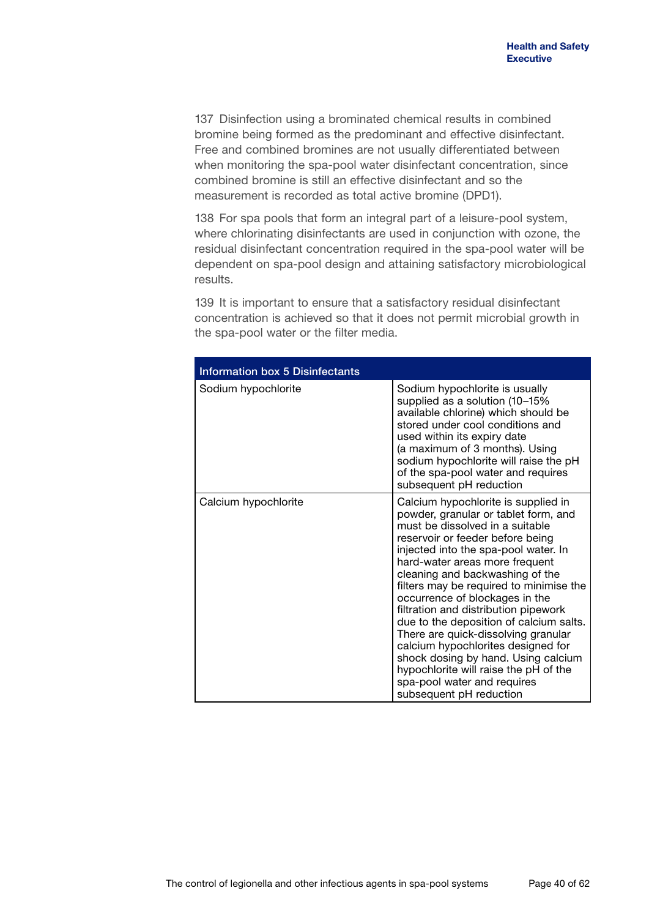137 Disinfection using a brominated chemical results in combined bromine being formed as the predominant and effective disinfectant. Free and combined bromines are not usually differentiated between when monitoring the spa-pool water disinfectant concentration, since combined bromine is still an effective disinfectant and so the measurement is recorded as total active bromine (DPD1).

138 For spa pools that form an integral part of a leisure-pool system, where chlorinating disinfectants are used in conjunction with ozone, the residual disinfectant concentration required in the spa-pool water will be dependent on spa-pool design and attaining satisfactory microbiological results.

139 It is important to ensure that a satisfactory residual disinfectant concentration is achieved so that it does not permit microbial growth in the spa-pool water or the filter media.

| <b>Information box 5 Disinfectants</b> |                                                                                                                                                                                                                                                                                                                                                                                                                                                                                                                                                                                                                                                        |
|----------------------------------------|--------------------------------------------------------------------------------------------------------------------------------------------------------------------------------------------------------------------------------------------------------------------------------------------------------------------------------------------------------------------------------------------------------------------------------------------------------------------------------------------------------------------------------------------------------------------------------------------------------------------------------------------------------|
| Sodium hypochlorite                    | Sodium hypochlorite is usually<br>supplied as a solution (10-15%<br>available chlorine) which should be<br>stored under cool conditions and<br>used within its expiry date<br>(a maximum of 3 months). Using<br>sodium hypochlorite will raise the pH<br>of the spa-pool water and requires<br>subsequent pH reduction                                                                                                                                                                                                                                                                                                                                 |
| Calcium hypochlorite                   | Calcium hypochlorite is supplied in<br>powder, granular or tablet form, and<br>must be dissolved in a suitable<br>reservoir or feeder before being<br>injected into the spa-pool water. In<br>hard-water areas more frequent<br>cleaning and backwashing of the<br>filters may be required to minimise the<br>occurrence of blockages in the<br>filtration and distribution pipework<br>due to the deposition of calcium salts.<br>There are quick-dissolving granular<br>calcium hypochlorites designed for<br>shock dosing by hand. Using calcium<br>hypochlorite will raise the pH of the<br>spa-pool water and requires<br>subsequent pH reduction |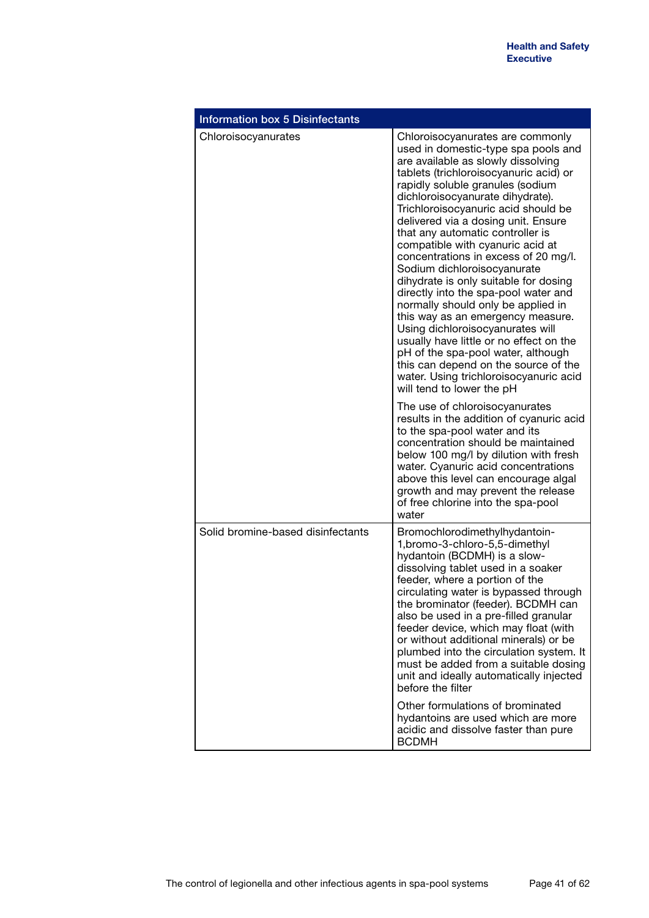| <b>Information box 5 Disinfectants</b> |                                                                                                                                                                                                                                                                                                                                                                                                                                                                                                                                                                                                                                                                                                                                                                                                                                                              |
|----------------------------------------|--------------------------------------------------------------------------------------------------------------------------------------------------------------------------------------------------------------------------------------------------------------------------------------------------------------------------------------------------------------------------------------------------------------------------------------------------------------------------------------------------------------------------------------------------------------------------------------------------------------------------------------------------------------------------------------------------------------------------------------------------------------------------------------------------------------------------------------------------------------|
| Chloroisocyanurates                    | Chloroisocyanurates are commonly<br>used in domestic-type spa pools and<br>are available as slowly dissolving<br>tablets (trichloroisocyanuric acid) or<br>rapidly soluble granules (sodium<br>dichloroisocyanurate dihydrate).<br>Trichloroisocyanuric acid should be<br>delivered via a dosing unit. Ensure<br>that any automatic controller is<br>compatible with cyanuric acid at<br>concentrations in excess of 20 mg/l.<br>Sodium dichloroisocyanurate<br>dihydrate is only suitable for dosing<br>directly into the spa-pool water and<br>normally should only be applied in<br>this way as an emergency measure.<br>Using dichloroisocyanurates will<br>usually have little or no effect on the<br>pH of the spa-pool water, although<br>this can depend on the source of the<br>water. Using trichloroisocyanuric acid<br>will tend to lower the pH |
|                                        | The use of chloroisocyanurates<br>results in the addition of cyanuric acid<br>to the spa-pool water and its<br>concentration should be maintained<br>below 100 mg/l by dilution with fresh<br>water. Cyanuric acid concentrations<br>above this level can encourage algal<br>growth and may prevent the release<br>of free chlorine into the spa-pool<br>water                                                                                                                                                                                                                                                                                                                                                                                                                                                                                               |
| Solid bromine-based disinfectants      | Bromochlorodimethylhydantoin-<br>1,bromo-3-chloro-5,5-dimethyl<br>hydantoin (BCDMH) is a slow-<br>dissolving tablet used in a soaker<br>feeder, where a portion of the<br>circulating water is bypassed through<br>the brominator (feeder). BCDMH can<br>also be used in a pre-filled granular<br>feeder device, which may float (with<br>or without additional minerals) or be<br>plumbed into the circulation system. It<br>must be added from a suitable dosing<br>unit and ideally automatically injected<br>before the filter                                                                                                                                                                                                                                                                                                                           |
|                                        | Other formulations of brominated<br>hydantoins are used which are more<br>acidic and dissolve faster than pure<br><b>BCDMH</b>                                                                                                                                                                                                                                                                                                                                                                                                                                                                                                                                                                                                                                                                                                                               |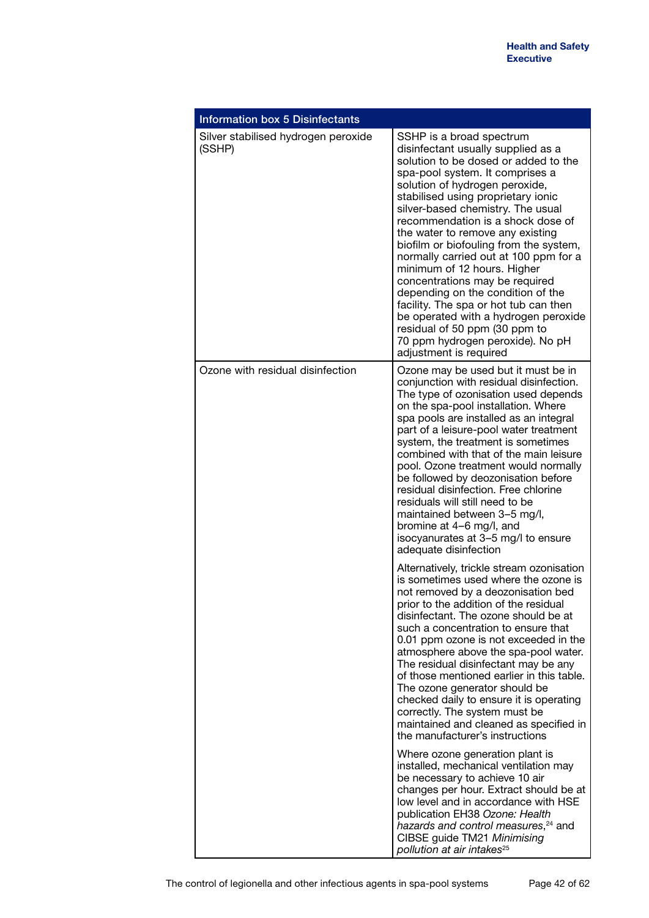| <b>Information box 5 Disinfectants</b>        |                                                                                                                                                                                                                                                                                                                                                                                                                                                                                                                                                                                                                                                                                                          |  |  |
|-----------------------------------------------|----------------------------------------------------------------------------------------------------------------------------------------------------------------------------------------------------------------------------------------------------------------------------------------------------------------------------------------------------------------------------------------------------------------------------------------------------------------------------------------------------------------------------------------------------------------------------------------------------------------------------------------------------------------------------------------------------------|--|--|
| Silver stabilised hydrogen peroxide<br>(SSHP) | SSHP is a broad spectrum<br>disinfectant usually supplied as a<br>solution to be dosed or added to the<br>spa-pool system. It comprises a<br>solution of hydrogen peroxide,<br>stabilised using proprietary ionic<br>silver-based chemistry. The usual<br>recommendation is a shock dose of<br>the water to remove any existing<br>biofilm or biofouling from the system,<br>normally carried out at 100 ppm for a<br>minimum of 12 hours. Higher<br>concentrations may be required<br>depending on the condition of the<br>facility. The spa or hot tub can then<br>be operated with a hydrogen peroxide<br>residual of 50 ppm (30 ppm to<br>70 ppm hydrogen peroxide). No pH<br>adjustment is required |  |  |
| Ozone with residual disinfection              | Ozone may be used but it must be in<br>conjunction with residual disinfection.<br>The type of ozonisation used depends<br>on the spa-pool installation. Where<br>spa pools are installed as an integral<br>part of a leisure-pool water treatment<br>system, the treatment is sometimes<br>combined with that of the main leisure<br>pool. Ozone treatment would normally<br>be followed by deozonisation before<br>residual disinfection. Free chlorine<br>residuals will still need to be<br>maintained between 3-5 mg/l,<br>bromine at 4-6 mg/l, and<br>isocyanurates at 3-5 mg/l to ensure<br>adequate disinfection                                                                                  |  |  |
|                                               | Alternatively, trickle stream ozonisation<br>is sometimes used where the ozone is<br>not removed by a deozonisation bed<br>prior to the addition of the residual<br>disinfectant. The ozone should be at<br>such a concentration to ensure that<br>0.01 ppm ozone is not exceeded in the<br>atmosphere above the spa-pool water.<br>The residual disinfectant may be any<br>of those mentioned earlier in this table.<br>The ozone generator should be<br>checked daily to ensure it is operating<br>correctly. The system must be<br>maintained and cleaned as specified in<br>the manufacturer's instructions                                                                                          |  |  |
|                                               | Where ozone generation plant is<br>installed, mechanical ventilation may<br>be necessary to achieve 10 air<br>changes per hour. Extract should be at<br>low level and in accordance with HSE<br>publication EH38 Ozone: Health<br>hazards and control measures, <sup>24</sup> and<br>CIBSE guide TM21 Minimising<br>pollution at air intakes <sup>25</sup>                                                                                                                                                                                                                                                                                                                                               |  |  |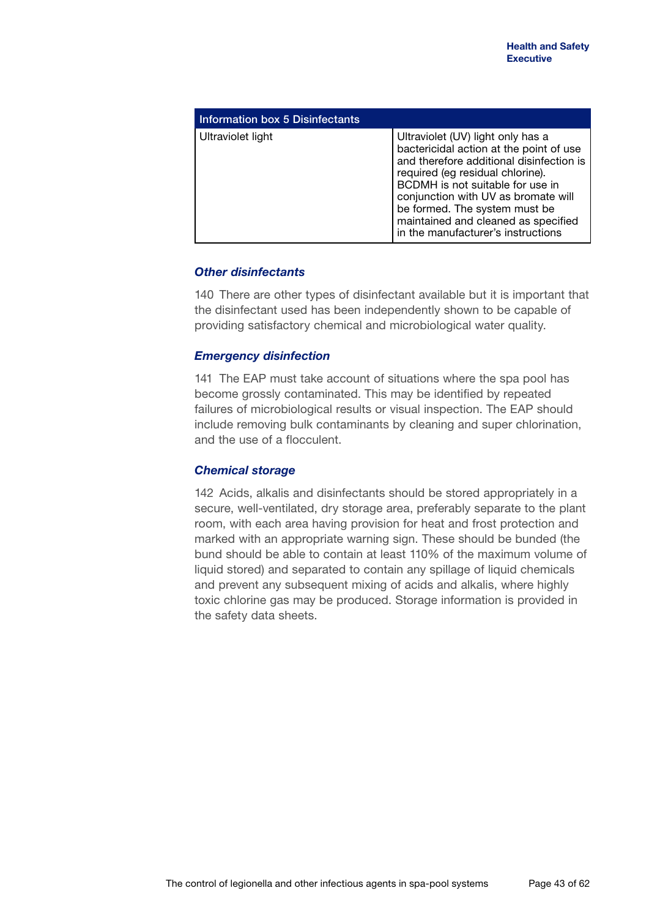| Information box 5 Disinfectants |                                                                                                                                                                                                                                                                                                                                                       |
|---------------------------------|-------------------------------------------------------------------------------------------------------------------------------------------------------------------------------------------------------------------------------------------------------------------------------------------------------------------------------------------------------|
| Ultraviolet light               | Ultraviolet (UV) light only has a<br>bactericidal action at the point of use<br>and therefore additional disinfection is<br>required (eg residual chlorine).<br>BCDMH is not suitable for use in<br>conjunction with UV as bromate will<br>be formed. The system must be<br>maintained and cleaned as specified<br>in the manufacturer's instructions |

### *Other disinfectants*

140 There are other types of disinfectant available but it is important that the disinfectant used has been independently shown to be capable of providing satisfactory chemical and microbiological water quality.

### *Emergency disinfection*

141 The EAP must take account of situations where the spa pool has become grossly contaminated. This may be identified by repeated failures of microbiological results or visual inspection. The EAP should include removing bulk contaminants by cleaning and super chlorination, and the use of a flocculent.

### *Chemical storage*

142 Acids, alkalis and disinfectants should be stored appropriately in a secure, well-ventilated, dry storage area, preferably separate to the plant room, with each area having provision for heat and frost protection and marked with an appropriate warning sign. These should be bunded (the bund should be able to contain at least 110% of the maximum volume of liquid stored) and separated to contain any spillage of liquid chemicals and prevent any subsequent mixing of acids and alkalis, where highly toxic chlorine gas may be produced. Storage information is provided in the safety data sheets.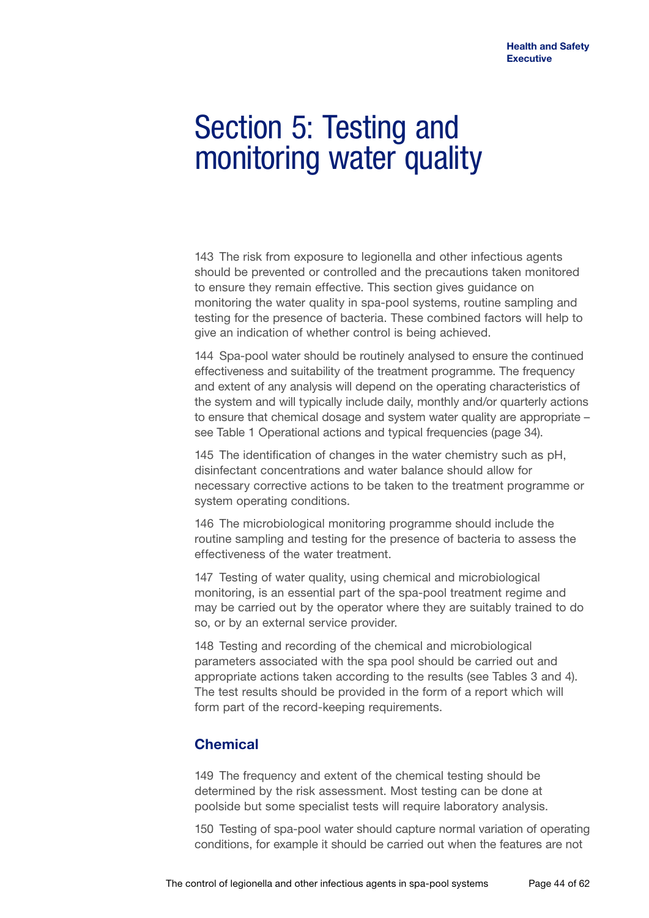## Section 5: Testing and monitoring water quality

143 The risk from exposure to legionella and other infectious agents should be prevented or controlled and the precautions taken monitored to ensure they remain effective. This section gives guidance on monitoring the water quality in spa-pool systems, routine sampling and testing for the presence of bacteria. These combined factors will help to give an indication of whether control is being achieved.

144 Spa-pool water should be routinely analysed to ensure the continued effectiveness and suitability of the treatment programme. The frequency and extent of any analysis will depend on the operating characteristics of the system and will typically include daily, monthly and/or quarterly actions to ensure that chemical dosage and system water quality are appropriate – see Table 1 Operational actions and typical frequencies (page 34).

145 The identification of changes in the water chemistry such as pH, disinfectant concentrations and water balance should allow for necessary corrective actions to be taken to the treatment programme or system operating conditions.

146 The microbiological monitoring programme should include the routine sampling and testing for the presence of bacteria to assess the effectiveness of the water treatment.

147 Testing of water quality, using chemical and microbiological monitoring, is an essential part of the spa-pool treatment regime and may be carried out by the operator where they are suitably trained to do so, or by an external service provider.

148 Testing and recording of the chemical and microbiological parameters associated with the spa pool should be carried out and appropriate actions taken according to the results (see Tables 3 and 4). The test results should be provided in the form of a report which will form part of the record-keeping requirements.

## **Chemical**

149 The frequency and extent of the chemical testing should be determined by the risk assessment. Most testing can be done at poolside but some specialist tests will require laboratory analysis.

150 Testing of spa-pool water should capture normal variation of operating conditions, for example it should be carried out when the features are not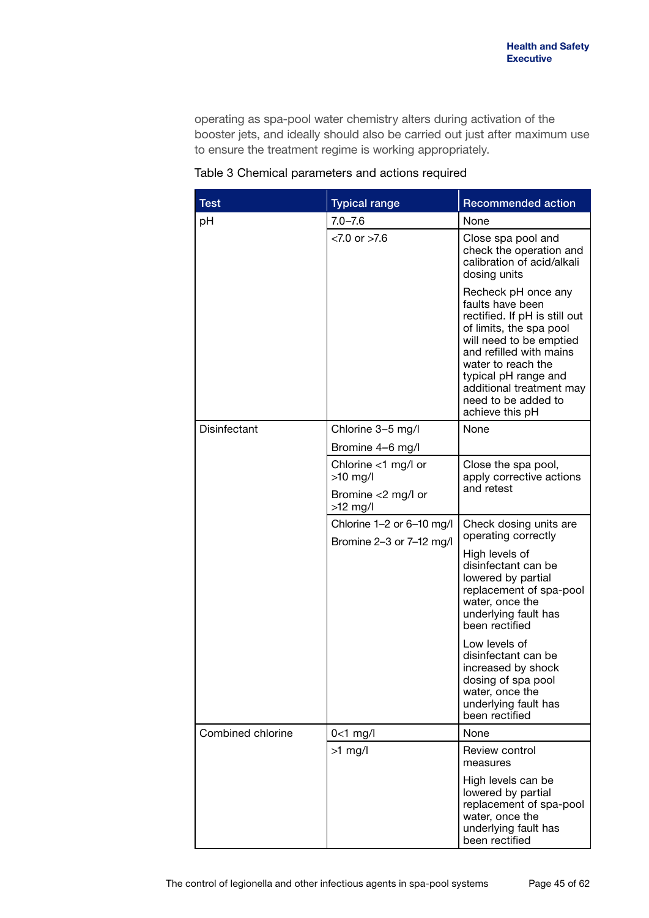operating as spa-pool water chemistry alters during activation of the booster jets, and ideally should also be carried out just after maximum use to ensure the treatment regime is working appropriately.

| <b>Test</b>       | <b>Typical range</b>                                  | <b>Recommended action</b>                                                                                                                                                                                                                                                     |
|-------------------|-------------------------------------------------------|-------------------------------------------------------------------------------------------------------------------------------------------------------------------------------------------------------------------------------------------------------------------------------|
| рH                | $7.0 - 7.6$                                           | None                                                                                                                                                                                                                                                                          |
|                   | $< 7.0$ or $> 7.6$                                    | Close spa pool and<br>check the operation and<br>calibration of acid/alkali<br>dosing units                                                                                                                                                                                   |
|                   |                                                       | Recheck pH once any<br>faults have been<br>rectified. If pH is still out<br>of limits, the spa pool<br>will need to be emptied<br>and refilled with mains<br>water to reach the<br>typical pH range and<br>additional treatment may<br>need to be added to<br>achieve this pH |
| Disinfectant      | Chlorine 3-5 mg/l                                     | None                                                                                                                                                                                                                                                                          |
|                   | Bromine 4-6 mg/l                                      |                                                                                                                                                                                                                                                                               |
|                   | Chlorine $<$ 1 mg/l or<br>$>10$ mg/l                  | Close the spa pool,<br>apply corrective actions                                                                                                                                                                                                                               |
|                   | Bromine <2 mg/l or<br>$>12$ mg/l                      | and retest                                                                                                                                                                                                                                                                    |
|                   | Chlorine 1-2 or 6-10 mg/l<br>Bromine 2-3 or 7-12 mg/l | Check dosing units are<br>operating correctly                                                                                                                                                                                                                                 |
|                   |                                                       | High levels of<br>disinfectant can be<br>lowered by partial<br>replacement of spa-pool<br>water, once the<br>underlying fault has<br>been rectified                                                                                                                           |
|                   |                                                       | Low levels of<br>disinfectant can be<br>increased by shock<br>dosing of spa pool<br>water, once the<br>underlying fault has<br>been rectified                                                                                                                                 |
| Combined chlorine | $0<1$ mg/l                                            | None                                                                                                                                                                                                                                                                          |
|                   | $>1$ mg/l                                             | Review control<br>measures                                                                                                                                                                                                                                                    |
|                   |                                                       | High levels can be<br>lowered by partial<br>replacement of spa-pool<br>water, once the<br>underlying fault has<br>been rectified                                                                                                                                              |

Table 3 Chemical parameters and actions required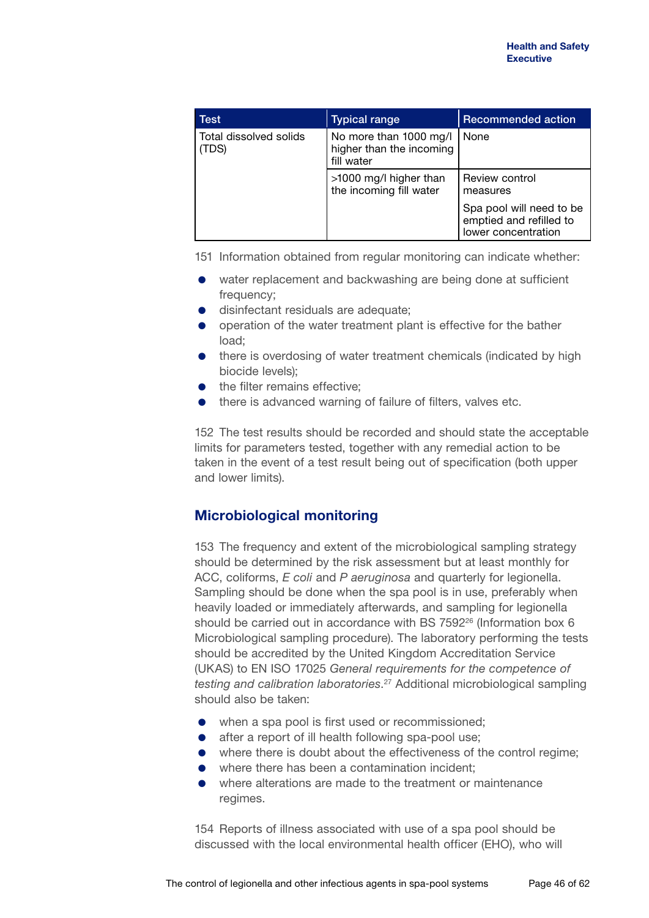| Test                            | <b>Typical range</b>                                             | <b>Recommended action</b>                                                  |
|---------------------------------|------------------------------------------------------------------|----------------------------------------------------------------------------|
| Total dissolved solids<br>(TDS) | No more than 1000 mg/l<br>higher than the incoming<br>fill water | None                                                                       |
|                                 | >1000 mg/l higher than<br>the incoming fill water                | Review control<br>measures                                                 |
|                                 |                                                                  | Spa pool will need to be<br>emptied and refilled to<br>lower concentration |

151 Information obtained from regular monitoring can indicate whether:

- water replacement and backwashing are being done at sufficient frequency;
- **o** disinfectant residuals are adequate:
- **•** operation of the water treatment plant is effective for the bather load;
- there is overdosing of water treatment chemicals (indicated by high biocide levels);
- the filter remains effective;
- there is advanced warning of failure of filters, valves etc.

152 The test results should be recorded and should state the acceptable limits for parameters tested, together with any remedial action to be taken in the event of a test result being out of specification (both upper and lower limits).

## **Microbiological monitoring**

153 The frequency and extent of the microbiological sampling strategy should be determined by the risk assessment but at least monthly for ACC, coliforms, *E coli* and *P aeruginosa* and quarterly for legionella. Sampling should be done when the spa pool is in use, preferably when heavily loaded or immediately afterwards, and sampling for legionella should be carried out in accordance with BS 7592<sup>26</sup> (Information box 6 Microbiological sampling procedure). The laboratory performing the tests should be accredited by the United Kingdom Accreditation Service (UKAS) to EN ISO 17025 *General requirements for the competence of testing and calibration laboratories*. 27 Additional microbiological sampling should also be taken:

- when a spa pool is first used or recommissioned:
- **•** after a report of ill health following spa-pool use:
- where there is doubt about the effectiveness of the control regime;
- where there has been a contamination incident:
- where alterations are made to the treatment or maintenance regimes.

154 Reports of illness associated with use of a spa pool should be discussed with the local environmental health officer (EHO), who will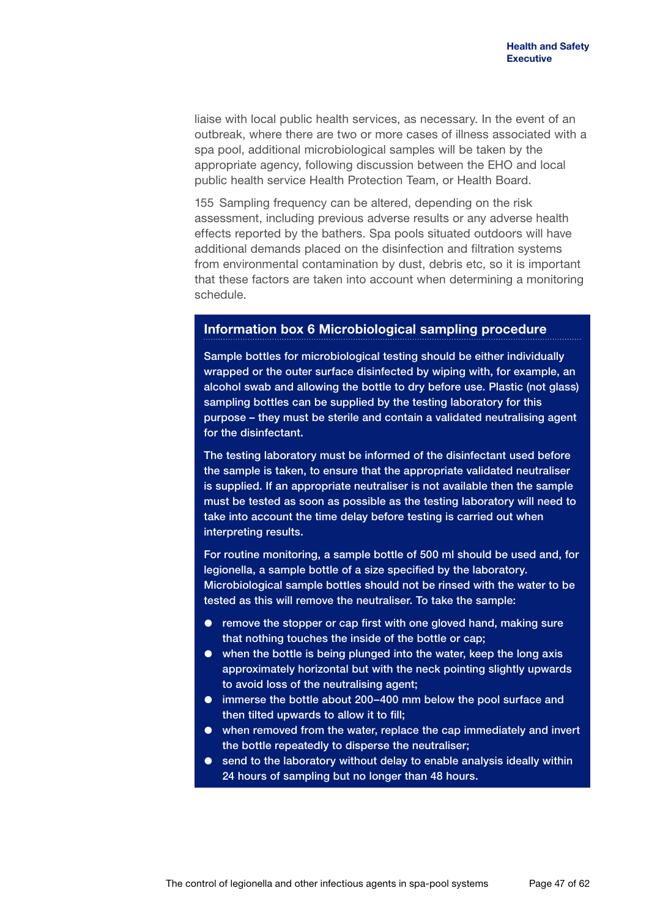liaise with local public health services, as necessary. In the event of an outbreak, where there are two or more cases of illness associated with a spa pool, additional microbiological samples will be taken by the appropriate agency, following discussion between the EHO and local public health service Health Protection Team, or Health Board.

155 Sampling frequency can be altered, depending on the risk assessment, including previous adverse results or any adverse health effects reported by the bathers. Spa pools situated outdoors will have additional demands placed on the disinfection and filtration systems from environmental contamination by dust, debris etc, so it is important that these factors are taken into account when determining a monitoring schedule.

### **Information box 6 Microbiological sampling procedure**

Sample bottles for microbiological testing should be either individually wrapped or the outer surface disinfected by wiping with, for example, an alcohol swab and allowing the bottle to dry before use. Plastic (not glass) sampling bottles can be supplied by the testing laboratory for this purpose – they must be sterile and contain a validated neutralising agent for the disinfectant.

The testing laboratory must be informed of the disinfectant used before the sample is taken, to ensure that the appropriate validated neutraliser is supplied. If an appropriate neutraliser is not available then the sample must be tested as soon as possible as the testing laboratory will need to take into account the time delay before testing is carried out when interpreting results.

For routine monitoring, a sample bottle of 500 ml should be used and, for legionella, a sample bottle of a size specified by the laboratory. Microbiological sample bottles should not be rinsed with the water to be tested as this will remove the neutraliser. To take the sample:

- remove the stopper or cap first with one gloved hand, making sure that nothing touches the inside of the bottle or cap;
- when the bottle is being plunged into the water, keep the long axis approximately horizontal but with the neck pointing slightly upwards to avoid loss of the neutralising agent;
- immerse the bottle about 200–400 mm below the pool surface and then tilted upwards to allow it to fill;
- when removed from the water, replace the cap immediately and invert the bottle repeatedly to disperse the neutraliser;
- send to the laboratory without delay to enable analysis ideally within 24 hours of sampling but no longer than 48 hours.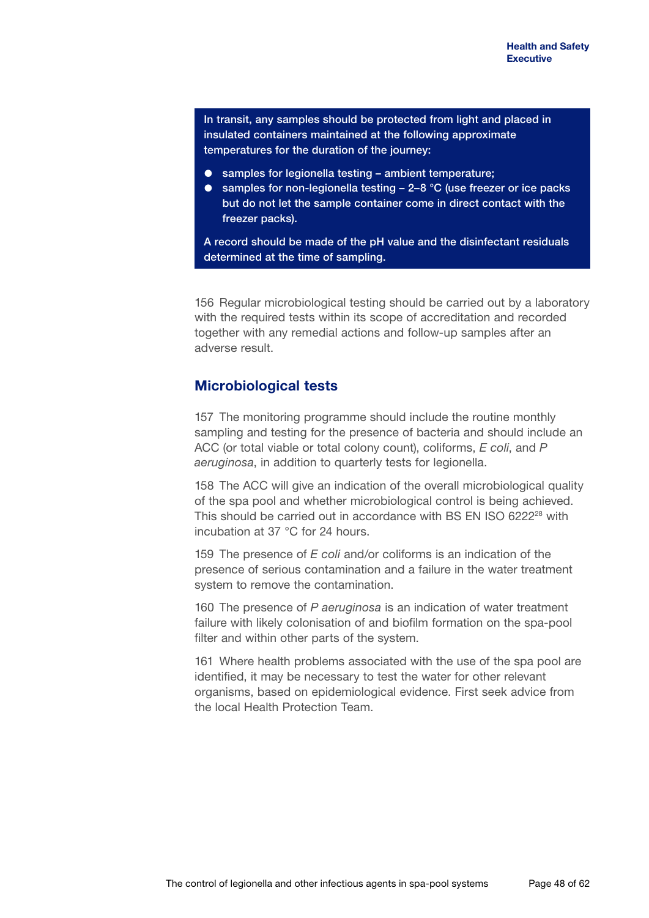In transit, any samples should be protected from light and placed in insulated containers maintained at the following approximate temperatures for the duration of the journey:

- samples for legionella testing ambient temperature;
- samples for non-legionella testing  $-2-8$  °C (use freezer or ice packs but do not let the sample container come in direct contact with the freezer packs).

A record should be made of the pH value and the disinfectant residuals determined at the time of sampling.

156 Regular microbiological testing should be carried out by a laboratory with the required tests within its scope of accreditation and recorded together with any remedial actions and follow-up samples after an adverse result.

### **Microbiological tests**

157 The monitoring programme should include the routine monthly sampling and testing for the presence of bacteria and should include an ACC (or total viable or total colony count), coliforms, *E coli*, and *P aeruginosa*, in addition to quarterly tests for legionella.

158 The ACC will give an indication of the overall microbiological quality of the spa pool and whether microbiological control is being achieved. This should be carried out in accordance with BS EN ISO 6222<sup>28</sup> with incubation at 37 °C for 24 hours.

159 The presence of *E coli* and/or coliforms is an indication of the presence of serious contamination and a failure in the water treatment system to remove the contamination.

160 The presence of *P aeruginosa* is an indication of water treatment failure with likely colonisation of and biofilm formation on the spa-pool filter and within other parts of the system.

161 Where health problems associated with the use of the spa pool are identified, it may be necessary to test the water for other relevant organisms, based on epidemiological evidence. First seek advice from the local Health Protection Team.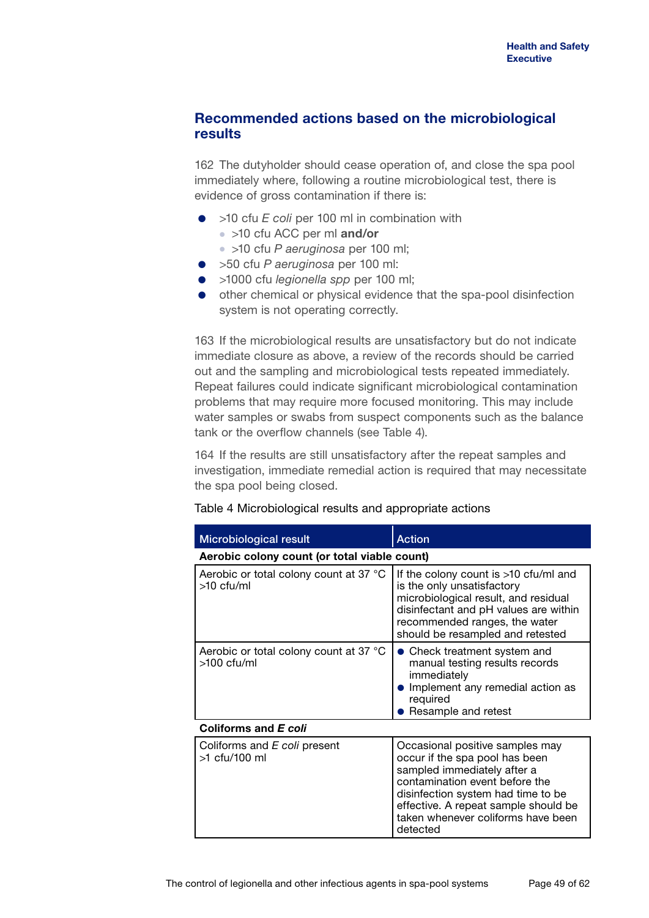## **Recommended actions based on the microbiological results**

162 The dutyholder should cease operation of, and close the spa pool immediately where, following a routine microbiological test, there is evidence of gross contamination if there is:

- >10 cfu *E* coli per 100 ml in combination with
	- >10 cfu ACC per ml **and/or**
	- >10 cfu *P aeruginosa* per 100 ml;
- >50 cfu *P aeruginosa* per 100 ml:
- >1000 cfu *legionella spp* per 100 ml;
- other chemical or physical evidence that the spa-pool disinfection system is not operating correctly.

163 If the microbiological results are unsatisfactory but do not indicate immediate closure as above, a review of the records should be carried out and the sampling and microbiological tests repeated immediately. Repeat failures could indicate significant microbiological contamination problems that may require more focused monitoring. This may include water samples or swabs from suspect components such as the balance tank or the overflow channels (see Table 4).

164 If the results are still unsatisfactory after the repeat samples and investigation, immediate remedial action is required that may necessitate the spa pool being closed.

| <b>Microbiological result</b>                           | <b>Action</b>                                                                                                                                                                                                                                                      |  |
|---------------------------------------------------------|--------------------------------------------------------------------------------------------------------------------------------------------------------------------------------------------------------------------------------------------------------------------|--|
| Aerobic colony count (or total viable count)            |                                                                                                                                                                                                                                                                    |  |
| Aerobic or total colony count at 37 °C<br>>10 cfu/ml    | If the colony count is $>10$ cfu/ml and<br>is the only unsatisfactory<br>microbiological result, and residual<br>disinfectant and pH values are within<br>recommended ranges, the water<br>should be resampled and retested                                        |  |
| Aerobic or total colony count at 37 °C<br>$>100$ cfu/ml | Check treatment system and<br>manual testing results records<br>immediately<br>Implement any remedial action as<br>required<br>Resample and retest                                                                                                                 |  |
| Coliforms and E coli                                    |                                                                                                                                                                                                                                                                    |  |
| Coliforms and E coli present<br>>1 cfu/100 ml           | Occasional positive samples may<br>occur if the spa pool has been<br>sampled immediately after a<br>contamination event before the<br>disinfection system had time to be<br>effective. A repeat sample should be<br>taken whenever coliforms have been<br>detected |  |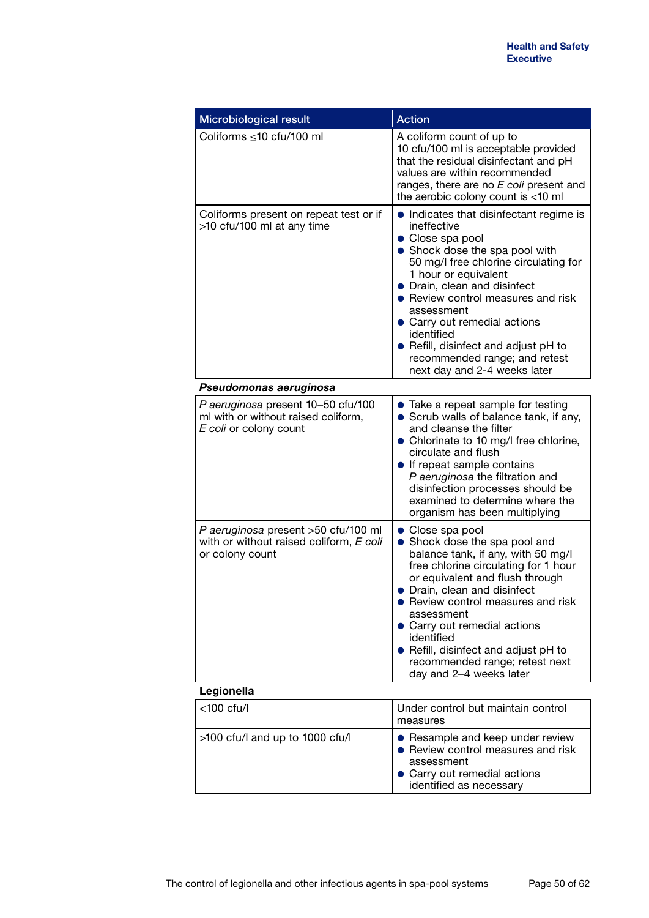| Microbiological result                                                                              | <b>Action</b>                                                                                                                                                                                                                                                                                                                                                                                                          |
|-----------------------------------------------------------------------------------------------------|------------------------------------------------------------------------------------------------------------------------------------------------------------------------------------------------------------------------------------------------------------------------------------------------------------------------------------------------------------------------------------------------------------------------|
| Coliforms ≤10 cfu/100 ml                                                                            | A coliform count of up to<br>10 cfu/100 ml is acceptable provided<br>that the residual disinfectant and pH<br>values are within recommended<br>ranges, there are no E coli present and<br>the aerobic colony count is <10 ml                                                                                                                                                                                           |
| Coliforms present on repeat test or if<br>>10 cfu/100 ml at any time                                | • Indicates that disinfectant regime is<br>ineffective<br>• Close spa pool<br>Shock dose the spa pool with<br>50 mg/l free chlorine circulating for<br>1 hour or equivalent<br>• Drain, clean and disinfect<br>• Review control measures and risk<br>assessment<br>• Carry out remedial actions<br>identified<br>• Refill, disinfect and adjust pH to<br>recommended range; and retest<br>next day and 2-4 weeks later |
| Pseudomonas aeruginosa                                                                              |                                                                                                                                                                                                                                                                                                                                                                                                                        |
| P aeruginosa present 10-50 cfu/100<br>ml with or without raised coliform,<br>E coli or colony count | • Take a repeat sample for testing<br>• Scrub walls of balance tank, if any,<br>and cleanse the filter<br>• Chlorinate to 10 mg/l free chlorine,<br>circulate and flush<br>• If repeat sample contains<br>P aeruginosa the filtration and<br>disinfection processes should be<br>examined to determine where the<br>organism has been multiplying                                                                      |
| P aeruginosa present >50 cfu/100 ml<br>with or without raised coliform, E coli<br>or colony count   | • Close spa pool<br>Shock dose the spa pool and<br>$\bullet$<br>balance tank, if any, with 50 mg/l<br>free chlorine circulating for 1 hour<br>or equivalent and flush through<br>Drain, clean and disinfect<br>Review control measures and risk<br>assessment<br>• Carry out remedial actions<br>identified<br>• Refill, disinfect and adjust pH to<br>recommended range; retest next<br>day and 2-4 weeks later       |
| Legionella                                                                                          |                                                                                                                                                                                                                                                                                                                                                                                                                        |
| <100 cfu/l                                                                                          | Under control but maintain control<br>measures                                                                                                                                                                                                                                                                                                                                                                         |
| >100 cfu/l and up to 1000 cfu/l                                                                     | • Resample and keep under review<br>• Review control measures and risk<br>assessment<br>• Carry out remedial actions<br>identified as necessary                                                                                                                                                                                                                                                                        |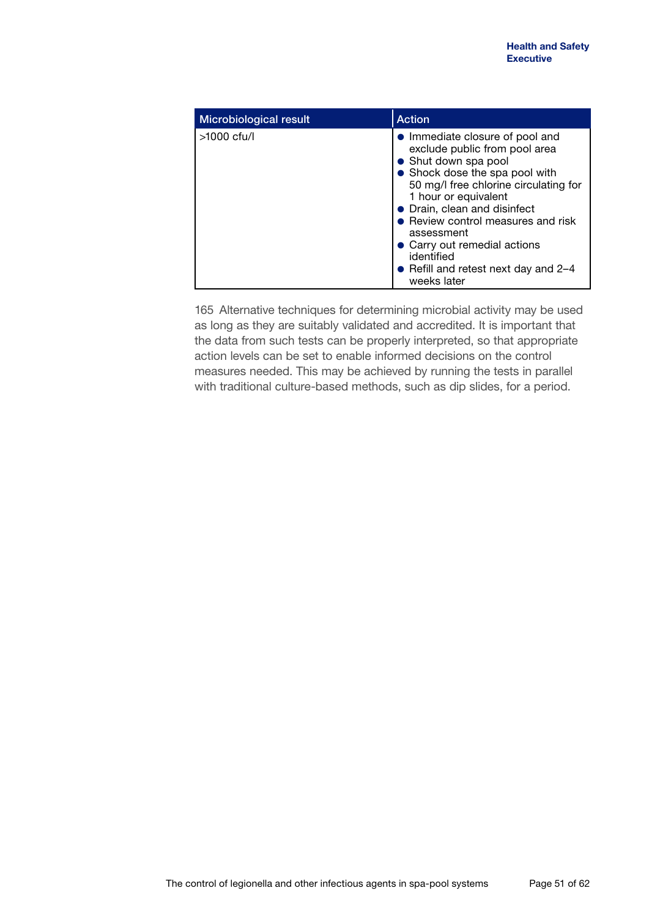| Microbiological result | <b>Action</b>                                                                                                                                                                                                                                                                                                                                                                        |
|------------------------|--------------------------------------------------------------------------------------------------------------------------------------------------------------------------------------------------------------------------------------------------------------------------------------------------------------------------------------------------------------------------------------|
| $>1000$ cfu/l          | Immediate closure of pool and<br>exclude public from pool area<br>Shut down spa pool<br>• Shock dose the spa pool with<br>50 mg/l free chlorine circulating for<br>1 hour or equivalent<br>• Drain, clean and disinfect<br>Review control measures and risk<br>assessment<br>Carry out remedial actions<br>identified<br>$\bullet$ Refill and retest next day and 2–4<br>weeks later |

165 Alternative techniques for determining microbial activity may be used as long as they are suitably validated and accredited. It is important that the data from such tests can be properly interpreted, so that appropriate action levels can be set to enable informed decisions on the control measures needed. This may be achieved by running the tests in parallel with traditional culture-based methods, such as dip slides, for a period.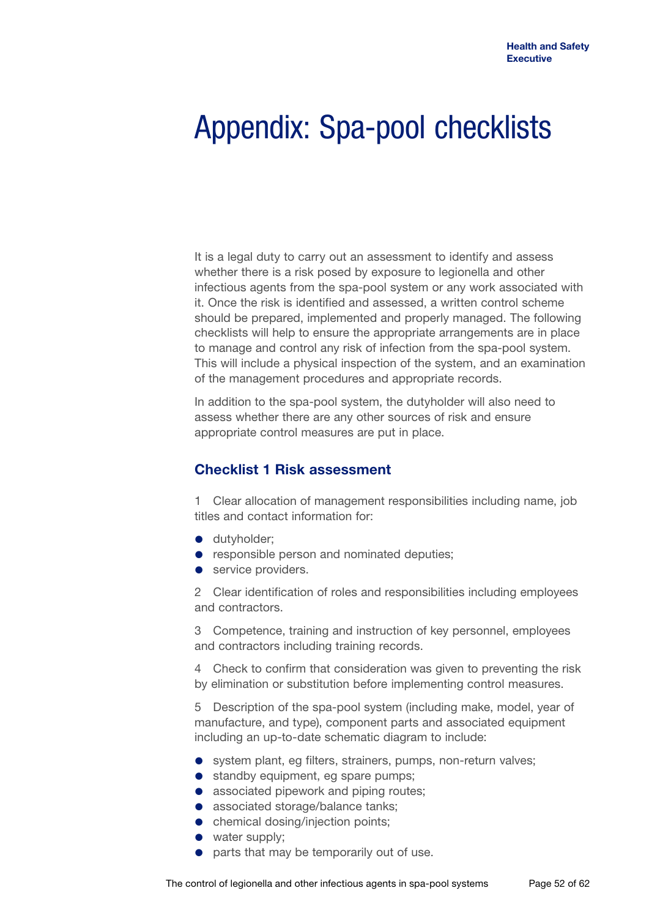# Appendix: Spa-pool checklists

It is a legal duty to carry out an assessment to identify and assess whether there is a risk posed by exposure to legionella and other infectious agents from the spa-pool system or any work associated with it. Once the risk is identified and assessed, a written control scheme should be prepared, implemented and properly managed. The following checklists will help to ensure the appropriate arrangements are in place to manage and control any risk of infection from the spa-pool system. This will include a physical inspection of the system, and an examination of the management procedures and appropriate records.

In addition to the spa-pool system, the dutyholder will also need to assess whether there are any other sources of risk and ensure appropriate control measures are put in place.

## **Checklist 1 Risk assessment**

1 Clear allocation of management responsibilities including name, job titles and contact information for:

- **·** dutyholder;
- **•** responsible person and nominated deputies;
- service providers.

2 Clear identification of roles and responsibilities including employees and contractors.

3 Competence, training and instruction of key personnel, employees and contractors including training records.

4 Check to confirm that consideration was given to preventing the risk by elimination or substitution before implementing control measures.

5 Description of the spa-pool system (including make, model, year of manufacture, and type), component parts and associated equipment including an up-to-date schematic diagram to include:

- system plant, eg filters, strainers, pumps, non-return valves;
- **•** standby equipment, eg spare pumps;
- associated pipework and piping routes;
- associated storage/balance tanks:
- chemical dosing/injection points;
- water supply;
- parts that may be temporarily out of use.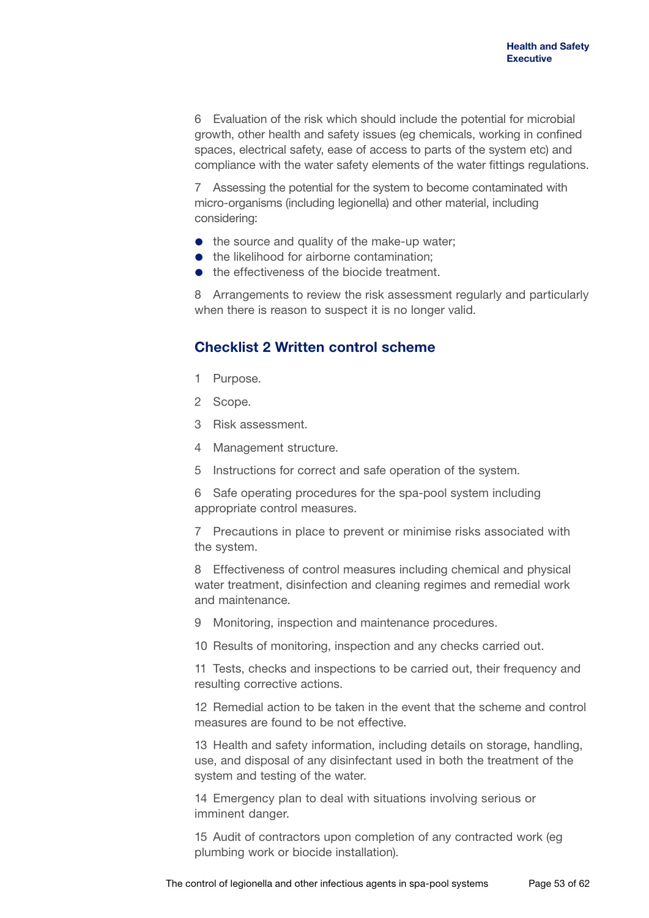6 Evaluation of the risk which should include the potential for microbial growth, other health and safety issues (eg chemicals, working in confined spaces, electrical safety, ease of access to parts of the system etc) and compliance with the water safety elements of the water fittings regulations.

7 Assessing the potential for the system to become contaminated with micro-organisms (including legionella) and other material, including considering:

- the source and quality of the make-up water;
- the likelihood for airborne contamination;
- the effectiveness of the biocide treatment.

8 Arrangements to review the risk assessment regularly and particularly when there is reason to suspect it is no longer valid.

## **Checklist 2 Written control scheme**

- 1 Purpose.
- 2 Scope.
- 3 Risk assessment.
- 4 Management structure.
- 5 Instructions for correct and safe operation of the system.

6 Safe operating procedures for the spa-pool system including appropriate control measures.

7 Precautions in place to prevent or minimise risks associated with the system.

8 Effectiveness of control measures including chemical and physical water treatment, disinfection and cleaning regimes and remedial work and maintenance.

- 9 Monitoring, inspection and maintenance procedures.
- 10 Results of monitoring, inspection and any checks carried out.

11 Tests, checks and inspections to be carried out, their frequency and resulting corrective actions.

12 Remedial action to be taken in the event that the scheme and control measures are found to be not effective.

13 Health and safety information, including details on storage, handling, use, and disposal of any disinfectant used in both the treatment of the system and testing of the water.

14 Emergency plan to deal with situations involving serious or imminent danger.

15 Audit of contractors upon completion of any contracted work (eg plumbing work or biocide installation).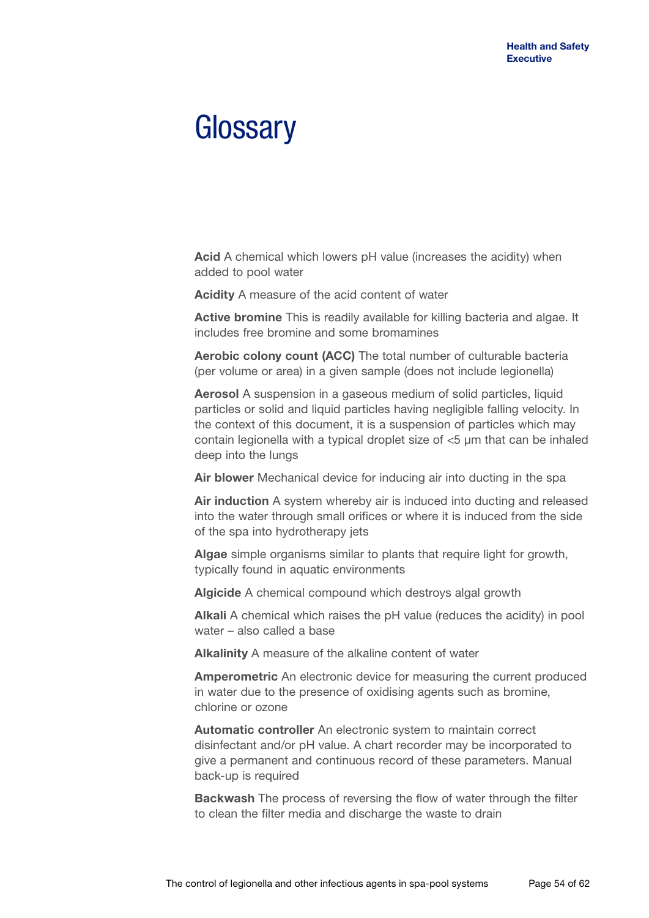## **Glossary**

**Acid** A chemical which lowers pH value (increases the acidity) when added to pool water

**Acidity** A measure of the acid content of water

**Active bromine** This is readily available for killing bacteria and algae. It includes free bromine and some bromamines

**Aerobic colony count (ACC)** The total number of culturable bacteria (per volume or area) in a given sample (does not include legionella)

**Aerosol** A suspension in a gaseous medium of solid particles, liquid particles or solid and liquid particles having negligible falling velocity. In the context of this document, it is a suspension of particles which may contain legionella with a typical droplet size of <5 μm that can be inhaled deep into the lungs

**Air blower** Mechanical device for inducing air into ducting in the spa

**Air induction** A system whereby air is induced into ducting and released into the water through small orifices or where it is induced from the side of the spa into hydrotherapy jets

**Algae** simple organisms similar to plants that require light for growth, typically found in aquatic environments

**Algicide** A chemical compound which destroys algal growth

**Alkali** A chemical which raises the pH value (reduces the acidity) in pool water – also called a base

**Alkalinity** A measure of the alkaline content of water

**Amperometric** An electronic device for measuring the current produced in water due to the presence of oxidising agents such as bromine, chlorine or ozone

**Automatic controller** An electronic system to maintain correct disinfectant and/or pH value. A chart recorder may be incorporated to give a permanent and continuous record of these parameters. Manual back-up is required

**Backwash** The process of reversing the flow of water through the filter to clean the filter media and discharge the waste to drain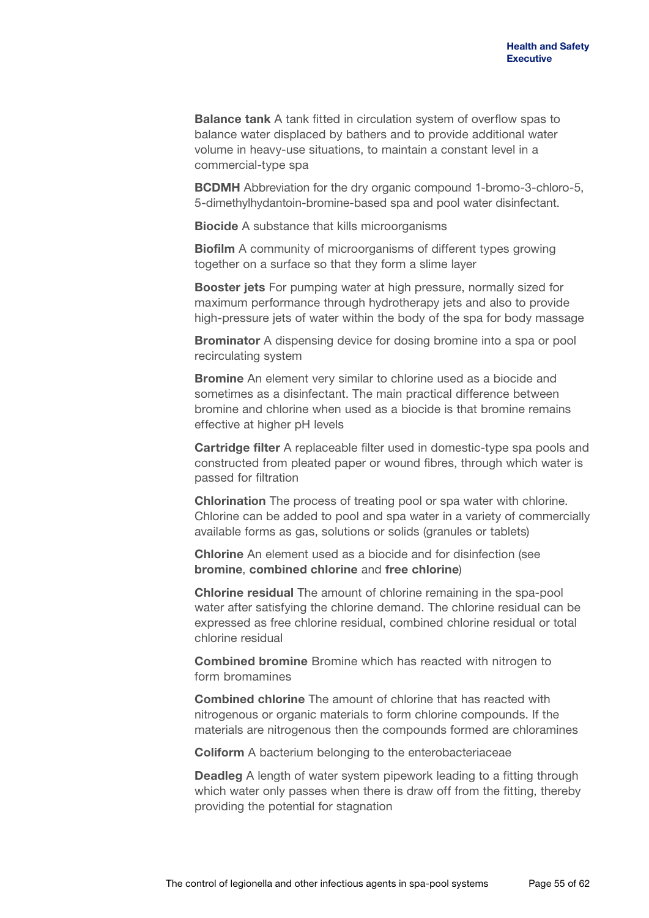**Balance tank** A tank fitted in circulation system of overflow spas to balance water displaced by bathers and to provide additional water volume in heavy-use situations, to maintain a constant level in a commercial-type spa

**BCDMH** Abbreviation for the dry organic compound 1-bromo-3-chloro-5, 5-dimethylhydantoin-bromine-based spa and pool water disinfectant.

**Biocide** A substance that kills microorganisms

**Biofilm** A community of microorganisms of different types growing together on a surface so that they form a slime layer

**Booster jets** For pumping water at high pressure, normally sized for maximum performance through hydrotherapy jets and also to provide high-pressure jets of water within the body of the spa for body massage

**Brominator** A dispensing device for dosing bromine into a spa or pool recirculating system

**Bromine** An element very similar to chlorine used as a biocide and sometimes as a disinfectant. The main practical difference between bromine and chlorine when used as a biocide is that bromine remains effective at higher pH levels

**Cartridge filter** A replaceable filter used in domestic-type spa pools and constructed from pleated paper or wound fibres, through which water is passed for filtration

**Chlorination** The process of treating pool or spa water with chlorine. Chlorine can be added to pool and spa water in a variety of commercially available forms as gas, solutions or solids (granules or tablets)

**Chlorine** An element used as a biocide and for disinfection (see **bromine**, **combined chlorine** and **free chlorine**)

**Chlorine residual** The amount of chlorine remaining in the spa-pool water after satisfying the chlorine demand. The chlorine residual can be expressed as free chlorine residual, combined chlorine residual or total chlorine residual

**Combined bromine** Bromine which has reacted with nitrogen to form bromamines

**Combined chlorine** The amount of chlorine that has reacted with nitrogenous or organic materials to form chlorine compounds. If the materials are nitrogenous then the compounds formed are chloramines

**Coliform** A bacterium belonging to the enterobacteriaceae

**Deadleg** A length of water system pipework leading to a fitting through which water only passes when there is draw off from the fitting, thereby providing the potential for stagnation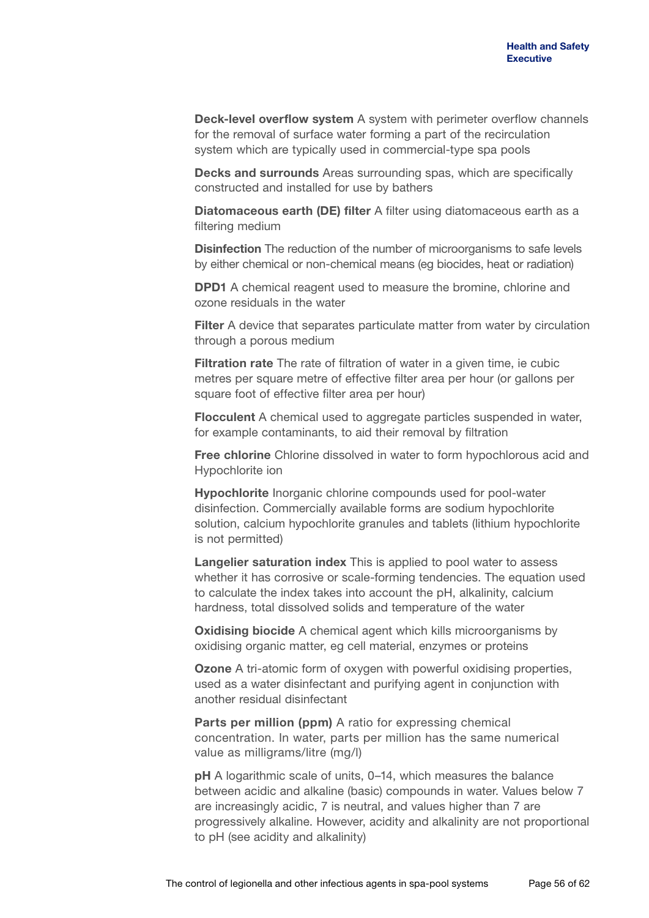**Deck-level overflow system** A system with perimeter overflow channels for the removal of surface water forming a part of the recirculation system which are typically used in commercial-type spa pools

**Decks and surrounds** Areas surrounding spas, which are specifically constructed and installed for use by bathers

**Diatomaceous earth (DE) filter** A filter using diatomaceous earth as a filtering medium

**Disinfection** The reduction of the number of microorganisms to safe levels by either chemical or non-chemical means (eg biocides, heat or radiation)

**DPD1** A chemical reagent used to measure the bromine, chlorine and ozone residuals in the water

**Filter** A device that separates particulate matter from water by circulation through a porous medium

**Filtration rate** The rate of filtration of water in a given time, ie cubic metres per square metre of effective filter area per hour (or gallons per square foot of effective filter area per hour)

**Flocculent** A chemical used to aggregate particles suspended in water, for example contaminants, to aid their removal by filtration

**Free chlorine** Chlorine dissolved in water to form hypochlorous acid and Hypochlorite ion

**Hypochlorite** Inorganic chlorine compounds used for pool-water disinfection. Commercially available forms are sodium hypochlorite solution, calcium hypochlorite granules and tablets (lithium hypochlorite is not permitted)

**Langelier saturation index** This is applied to pool water to assess whether it has corrosive or scale-forming tendencies. The equation used to calculate the index takes into account the pH, alkalinity, calcium hardness, total dissolved solids and temperature of the water

**Oxidising biocide** A chemical agent which kills microorganisms by oxidising organic matter, eg cell material, enzymes or proteins

**Ozone** A tri-atomic form of oxygen with powerful oxidising properties, used as a water disinfectant and purifying agent in conjunction with another residual disinfectant

**Parts per million (ppm)** A ratio for expressing chemical concentration. In water, parts per million has the same numerical value as milligrams/litre (mg/l)

**pH** A logarithmic scale of units, 0–14, which measures the balance between acidic and alkaline (basic) compounds in water. Values below 7 are increasingly acidic, 7 is neutral, and values higher than 7 are progressively alkaline. However, acidity and alkalinity are not proportional to pH (see acidity and alkalinity)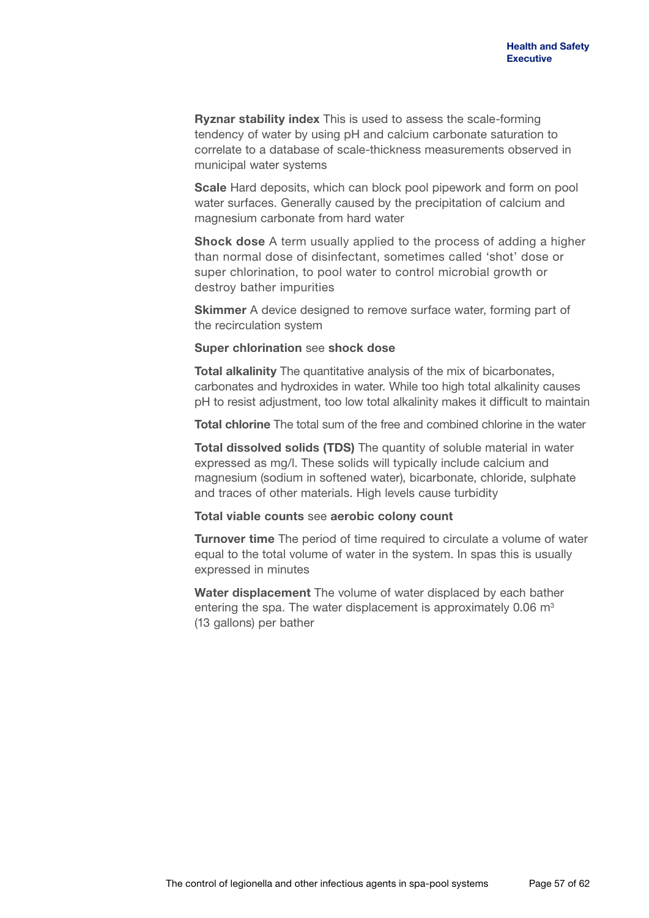**Ryznar stability index** This is used to assess the scale-forming tendency of water by using pH and calcium carbonate saturation to correlate to a database of scale-thickness measurements observed in municipal water systems

**Scale** Hard deposits, which can block pool pipework and form on pool water surfaces. Generally caused by the precipitation of calcium and magnesium carbonate from hard water

**Shock dose** A term usually applied to the process of adding a higher than normal dose of disinfectant, sometimes called 'shot' dose or super chlorination, to pool water to control microbial growth or destroy bather impurities

**Skimmer** A device designed to remove surface water, forming part of the recirculation system

### **Super chlorination** see **shock dose**

**Total alkalinity** The quantitative analysis of the mix of bicarbonates, carbonates and hydroxides in water. While too high total alkalinity causes pH to resist adjustment, too low total alkalinity makes it difficult to maintain

**Total chlorine** The total sum of the free and combined chlorine in the water

**Total dissolved solids (TDS)** The quantity of soluble material in water expressed as mg/l. These solids will typically include calcium and magnesium (sodium in softened water), bicarbonate, chloride, sulphate and traces of other materials. High levels cause turbidity

#### **Total viable counts** see **aerobic colony count**

**Turnover time** The period of time required to circulate a volume of water equal to the total volume of water in the system. In spas this is usually expressed in minutes

**Water displacement** The volume of water displaced by each bather entering the spa. The water displacement is approximately  $0.06 \, \text{m}^3$ (13 gallons) per bather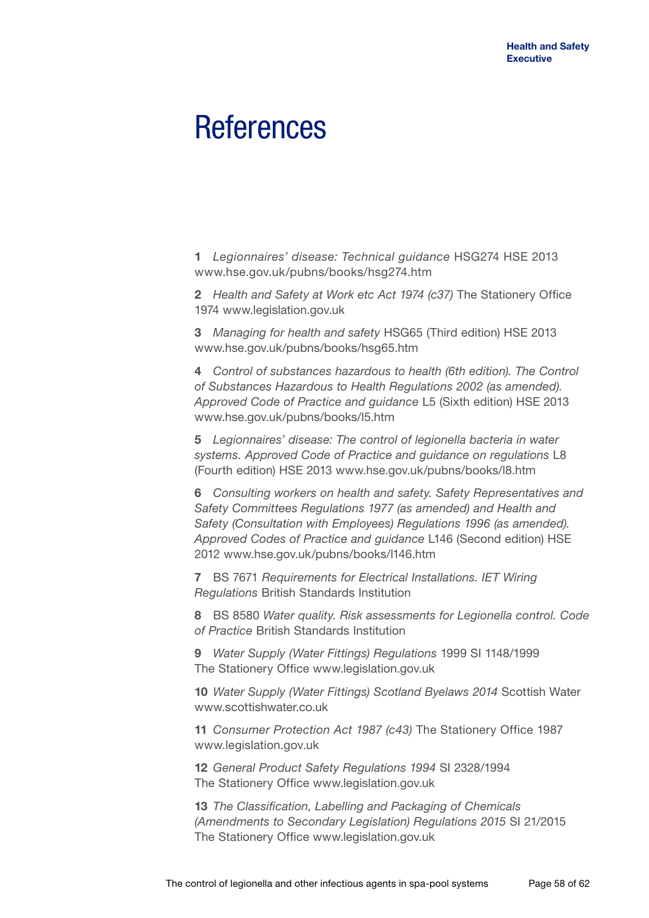## **References**

**1** *Legionnaires' disease: Technical guidance* HSG274 HSE 2013 <www.hse.gov.uk/pubns/books/hsg274.htm>

**2** *Health and Safety at Work etc Act 1974 (c37)* The Stationery Office 1974<www.legislation.gov.uk>

**3** *Managing for health and safety* HSG65 (Third edition) HSE 2013 <www.hse.gov.uk/pubns/books/hsg65.htm>

**4** *Control of substances hazardous to health (6th edition). The Control of Substances Hazardous to Health Regulations 2002 (as amended). Approved Code of Practice and guidance* L5 (Sixth edition) HSE 2013 <www.hse.gov.uk/pubns/books/l5.htm>

**5** *Legionnaires' disease: The control of legionella bacteria in water systems. Approved Code of Practice and guidance on regulations* L8 (Fourth edition) HSE 2013 <www.hse.gov.uk/pubns/books/l8.htm>

**6** *Consulting workers on health and safety. Safety Representatives and Safety Committees Regulations 1977 (as amended) and Health and Safety (Consultation with Employees) Regulations 1996 (as amended). Approved Codes of Practice and guidance* L146 (Second edition) HSE 2012<www.hse.gov.uk/pubns/books/l146.htm>

**7** BS 7671 *Requirements for Electrical Installations. IET Wiring Regulations* British Standards Institution

**8** BS 8580 *Water quality. Risk assessments for Legionella control. Code of Practice* British Standards Institution

**9** *Water Supply (Water Fittings) Regulations* 1999 SI 1148/1999 The Stationery Office <www.legislation.gov.uk>

**10** *Water Supply (Water Fittings) Scotland Byelaws 2014* Scottish Water <www.scottishwater.co.uk>

**11** *Consumer Protection Act 1987 (c43)* The Stationery Office 1987 <www.legislation.gov.uk>

**12** *General Product Safety Regulations 1994* SI 2328/1994 The Stationery Office <www.legislation.gov.uk>

**13** *The Classification, Labelling and Packaging of Chemicals (Amendments to Secondary Legislation) Regulations 2015* SI 21/2015 The Stationery Office <www.legislation.gov.uk>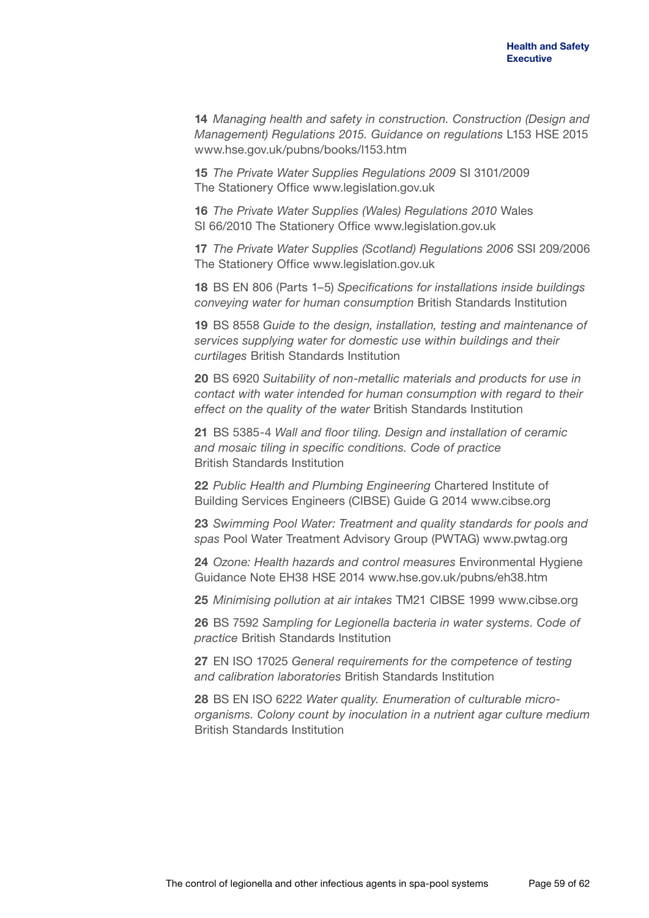**14** *Managing health and safety in construction. Construction (Design and Management) Regulations 2015. Guidance on regulations* L153 HSE 2015 <www.hse.gov.uk/pubns/books/l153.htm>

**15** *The Private Water Supplies Regulations 2009* SI 3101/2009 The Stationery Office <www.legislation.gov.uk>

**16** *The Private Water Supplies (Wales) Regulations 2010* Wales SI 66/2010 The Stationery Office <www.legislation.gov.uk>

**17** *The Private Water Supplies (Scotland) Regulations 2006* SSI 209/2006 The Stationery Office <www.legislation.gov.uk>

**18** BS EN 806 (Parts 1–5) *Specifications for installations inside buildings conveying water for human consumption* British Standards Institution

**19** BS 8558 *Guide to the design, installation, testing and maintenance of services supplying water for domestic use within buildings and their curtilages* British Standards Institution

**20** BS 6920 *Suitability of non-metallic materials and products for use in contact with water intended for human consumption with regard to their effect on the quality of the water* British Standards Institution

**21** BS 5385-4 *Wall and floor tiling. Design and installation of ceramic and mosaic tiling in specific conditions. Code of practice* British Standards Institution

**22** *Public Health and Plumbing Engineering* Chartered Institute of Building Services Engineers (CIBSE) Guide G 2014 <www.cibse.org>

**23** *Swimming Pool Water: Treatment and quality standards for pools and spas* Pool Water Treatment Advisory Group (PWTAG)<www.pwtag.org>

**24** *Ozone: Health hazards and control measures* Environmental Hygiene Guidance Note EH38 HSE 2014 <www.hse.gov.uk/pubns/eh38.htm>

**25** *Minimising pollution at air intakes* TM21 CIBSE 1999<www.cibse.org>

**26** BS 7592 *Sampling for Legionella bacteria in water systems. Code of practice* British Standards Institution

**27** EN ISO 17025 *General requirements for the competence of testing and calibration laboratories* British Standards Institution

**28** BS EN ISO 6222 *Water quality. Enumeration of culturable microorganisms. Colony count by inoculation in a nutrient agar culture medium*  British Standards Institution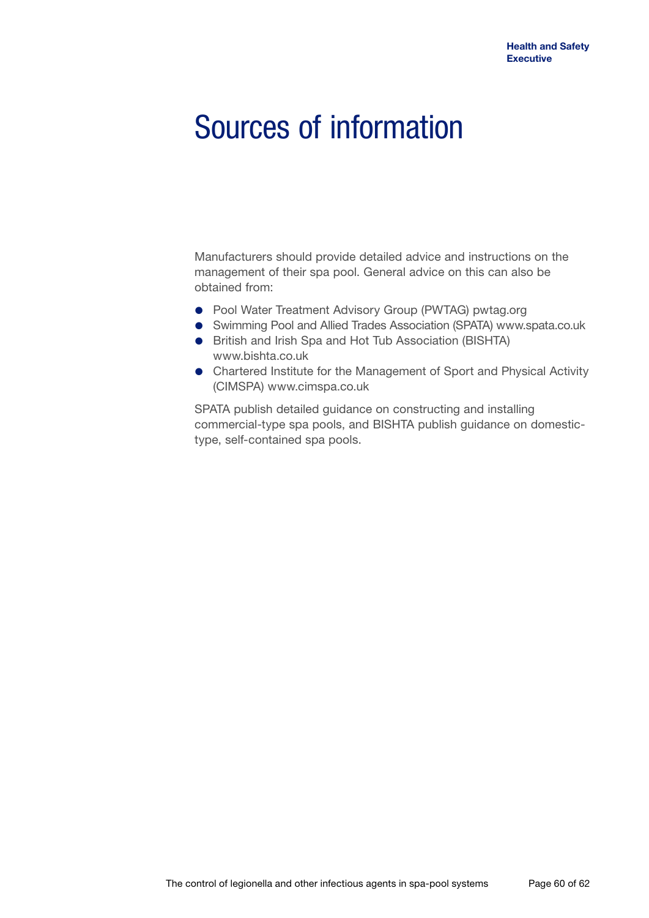# Sources of information

Manufacturers should provide detailed advice and instructions on the management of their spa pool. General advice on this can also be obtained from:

- Pool Water Treatment Advisory Group (PWTAG) <pwtag.org>
- Swimming Pool and Allied Trades Association (SPATA)<www.spata.co.uk>
- **•** British and Irish Spa and Hot Tub Association (BISHTA) <www.bishta.co.uk>
- Chartered Institute for the Management of Sport and Physical Activity (CIMSPA) <www.cimspa.co.uk>

SPATA publish detailed guidance on constructing and installing commercial-type spa pools, and BISHTA publish guidance on domestictype, self-contained spa pools.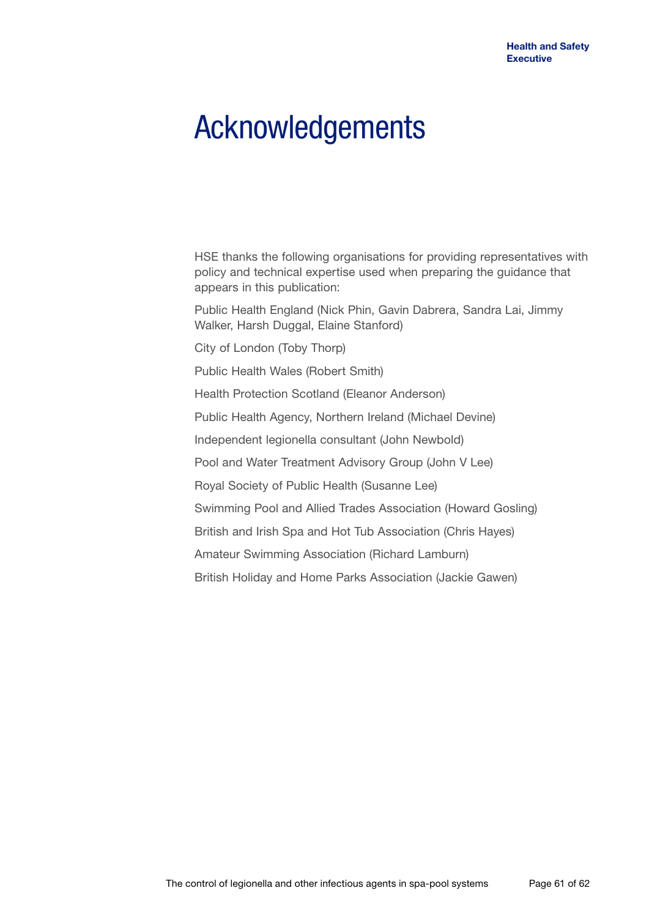# Acknowledgements

HSE thanks the following organisations for providing representatives with policy and technical expertise used when preparing the guidance that appears in this publication:

Public Health England (Nick Phin, Gavin Dabrera, Sandra Lai, Jimmy Walker, Harsh Duggal, Elaine Stanford)

City of London (Toby Thorp)

Public Health Wales (Robert Smith)

Health Protection Scotland (Eleanor Anderson)

Public Health Agency, Northern Ireland (Michael Devine)

Independent legionella consultant (John Newbold)

Pool and Water Treatment Advisory Group (John V Lee)

Royal Society of Public Health (Susanne Lee)

Swimming Pool and Allied Trades Association (Howard Gosling)

British and Irish Spa and Hot Tub Association (Chris Hayes)

Amateur Swimming Association (Richard Lamburn)

British Holiday and Home Parks Association (Jackie Gawen)